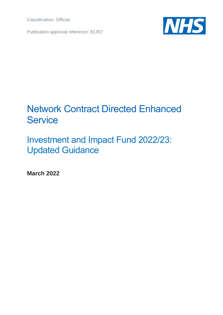Classification: Official

Publication approval reference: B1357



# Network Contract Directed Enhanced **Service**

Investment and Impact Fund 2022/23: Updated Guidance

**March 2022**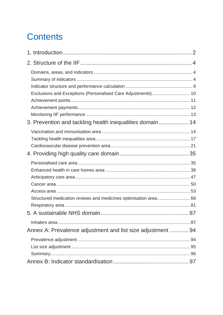# **Contents**

| Exclusions and Exceptions (Personalised Care Adjustments) 10<br>3. Prevention and tackling health inequalities domain  14 |  |
|---------------------------------------------------------------------------------------------------------------------------|--|
|                                                                                                                           |  |
| Structured medication reviews and medicines optimisation area 68                                                          |  |
| Annex A: Prevalence adjustment and list size adjustment  94                                                               |  |
|                                                                                                                           |  |
|                                                                                                                           |  |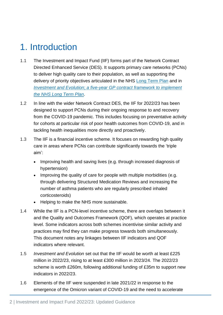# <span id="page-2-0"></span>1. Introduction

- 1.1 The Investment and Impact Fund (IIF) forms part of the Network Contract Directed Enhanced Service (DES). It supports primary care networks (PCNs) to deliver high quality care to their population, as well as supporting the delivery of priority objectives articulated in the NHS [Long Term Plan](https://www.longtermplan.nhs.uk/wp-content/uploads/2019/08/nhs-long-term-plan-version-1.2.pdf) and in *Investment and Evolution*; *[a five-year GP contract framework to implement](https://www.england.nhs.uk/wp-content/uploads/2019/01/gp-contract-2019.pdf)  [the NHS Long Term Plan](https://www.england.nhs.uk/wp-content/uploads/2019/01/gp-contract-2019.pdf)*.
- 1.2 In line with the wider Network Contract DES, the IIF for 2022/23 has been designed to support PCNs during their ongoing response to and recovery from the COVID-19 pandemic. This includes focusing on preventative activity for cohorts at particular risk of poor health outcomes from COVID-19, and in tackling health inequalities more directly and proactively.
- 1.3 The IIF is a financial incentive scheme. It focuses on rewarding high quality care in areas where PCNs can contribute significantly towards the 'triple aim':
	- Improving health and saving lives (e.g. through increased diagnosis of hypertension)
	- Improving the quality of care for people with multiple morbidities (e.g. through delivering Structured Medication Reviews and increasing the number of asthma patients who are regularly prescribed inhaled corticosteroids)
	- Helping to make the NHS more sustainable.
- 1.4 While the IIF is a PCN-level incentive scheme, there are overlaps between it and the Quality and Outcomes Framework (QOF), which operates at practice level. Some indicators across both schemes incentivise similar activity and practices may find they can make progress towards both simultaneously. This document notes any linkages between IIF indicators and QOF indicators where relevant.
- 1.5 *Investment and Evolution* set out that the IIF would be worth at least £225 million in 2022/23, rising to at least £300 million in 2023/24. The 2022/23 scheme is worth £260m, following additional funding of £35m to support new indicators in 2022/23.
- 1.6 Elements of the IIF were suspended in late 2021/22 in response to the emergence of the Omicron variant of COVID-19 and the need to accelerate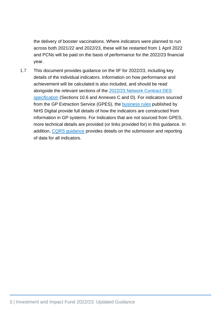the delivery of booster vaccinations. Where indicators were planned to run across both 2021/22 and 2022/23, these will be restarted from 1 April 2022 and PCNs will be paid on the basis of performance for the 2022/23 financial year.

1.7 This document provides guidance on the IIF for 2022/23, including key details of the individual indicators. Information on how performance and achievement will be calculated is also included, and should be read alongside the relevant sections of the 2022/23 [Network Contract DES](https://www.england.nhs.uk/publication/network-contract-directed-enhanced-service-contract-specification-2022-23-pcn-requirements-and-entitlements)  [specification](https://www.england.nhs.uk/publication/network-contract-directed-enhanced-service-contract-specification-2022-23-pcn-requirements-and-entitlements) (Sections 10.6 and Annexes C and D). For indicators sourced from the GP Extraction Service (GPES), the [business rules](https://digital.nhs.uk/data-and-information/data-collections-and-data-sets/data-collections/quality-and-outcomes-framework-qof) published by NHS Digital provide full details of how the indicators are constructed from information in GP systems. For Indicators that are not sourced from GPES, more technical details are provided (or links provided for) in this guidance. In addition, [CQRS guidance](https://academy.midlandsandlancashirecsu.nhs.uk/cqrs-national-training/training-materials/) provides details on the submission and reporting of data for all indicators.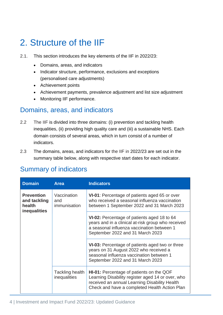# <span id="page-4-0"></span>2. Structure of the IIF

- 2.1. This section introduces the key elements of the IIF in 2022/23:
	- Domains, areas, and indicators
	- Indicator structure, performance, exclusions and exceptions (personalised care adjustments)
	- Achievement points
	- Achievement payments, prevalence adjustment and list size adjustment
	- Monitoring IIF performance.

### <span id="page-4-1"></span>Domains, areas, and indicators

- 2.2 The IIF is divided into three domains: (i) prevention and tackling health inequalities, (ii) providing high quality care and (iii) a sustainable NHS. Each domain consists of several areas, which in turn consist of a number of indicators.
- 2.3 The domains, areas, and indicators for the IIF in 2022/23 are set out in the summary table below, along with respective start dates for each indicator.

## <span id="page-4-2"></span>Summary of indicators

| <b>Domain</b>                               | <b>Area</b>                                                                                                                                                               | <b>Indicators</b>                                                                                                                                                                                      |
|---------------------------------------------|---------------------------------------------------------------------------------------------------------------------------------------------------------------------------|--------------------------------------------------------------------------------------------------------------------------------------------------------------------------------------------------------|
| <b>Prevention</b><br>and tackling<br>health | Vaccination<br>and<br>immunisation<br>inequalities                                                                                                                        | VI-01: Percentage of patients aged 65 or over<br>who received a seasonal influenza vaccination<br>between 1 September 2022 and 31 March 2023                                                           |
|                                             |                                                                                                                                                                           | VI-02: Percentage of patients aged 18 to 64<br>years and in a clinical at-risk group who received<br>a seasonal influenza vaccination between 1<br>September 2022 and 31 March 2023                    |
| Tackling health<br>inequalities             | VI-03: Percentage of patients aged two or three<br>years on 31 August 2022 who received a<br>seasonal influenza vaccination between 1<br>September 2022 and 31 March 2023 |                                                                                                                                                                                                        |
|                                             |                                                                                                                                                                           | <b>HI-01:</b> Percentage of patients on the QOF<br>Learning Disability register aged 14 or over, who<br>received an annual Learning Disability Health<br>Check and have a completed Health Action Plan |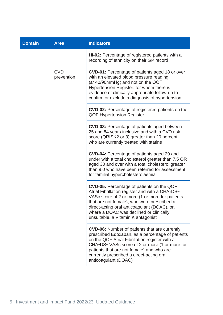| <b>Domain</b> | <b>Area</b>              | <b>Indicators</b>                                                                                                                                                                                                                                                                                                                                                    |
|---------------|--------------------------|----------------------------------------------------------------------------------------------------------------------------------------------------------------------------------------------------------------------------------------------------------------------------------------------------------------------------------------------------------------------|
|               |                          | HI-02: Percentage of registered patients with a<br>recording of ethnicity on their GP record                                                                                                                                                                                                                                                                         |
|               | <b>CVD</b><br>prevention | <b>CVD-01:</b> Percentage of patients aged 18 or over<br>with an elevated blood pressure reading<br>(≥140/90mmHg) and not on the QOF<br>Hypertension Register, for whom there is<br>evidence of clinically appropriate follow-up to<br>confirm or exclude a diagnosis of hypertension                                                                                |
|               |                          | <b>CVD-02:</b> Percentage of registered patients on the<br><b>QOF Hypertension Register</b>                                                                                                                                                                                                                                                                          |
|               |                          | <b>CVD-03:</b> Percentage of patients aged between<br>25 and 84 years inclusive and with a CVD risk<br>score (QRISK2 or 3) greater than 20 percent,<br>who are currently treated with statins                                                                                                                                                                        |
|               |                          | CVD-04: Percentage of patients aged 29 and<br>under with a total cholesterol greater than 7.5 OR<br>aged 30 and over with a total cholesterol greater<br>than 9.0 who have been referred for assessment<br>for familial hypercholesterolaemia                                                                                                                        |
|               |                          | <b>CVD-05:</b> Percentage of patients on the QOF<br>Atrial Fibrillation register and with a CHA2DS2-<br>VASc score of 2 or more (1 or more for patients<br>that are not female), who were prescribed a<br>direct-acting oral anticoagulant (DOAC), or,<br>where a DOAC was declined or clinically<br>unsuitable, a Vitamin K antagonist                              |
|               |                          | <b>CVD-06:</b> Number of patients that are currently<br>prescribed Edoxaban, as a percentage of patients<br>on the QOF Atrial Fibrillation register with a<br>CHA <sub>2</sub> DS <sub>2</sub> -VAS <sub>c</sub> score of 2 or more (1 or more for<br>patients that are not female) and who are<br>currently prescribed a direct-acting oral<br>anticoagulant (DOAC) |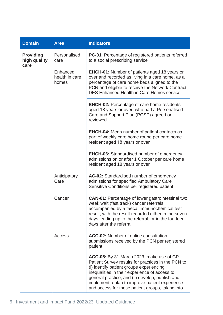| <b>Domain</b>                            | <b>Area</b>                         | <b>Indicators</b>                                                                                                                                                                                                                                                                                                                                    |
|------------------------------------------|-------------------------------------|------------------------------------------------------------------------------------------------------------------------------------------------------------------------------------------------------------------------------------------------------------------------------------------------------------------------------------------------------|
| <b>Providing</b><br>high quality<br>care | Personalised<br>care                | <b>PC-01:</b> Percentage of registered patients referred<br>to a social prescribing service                                                                                                                                                                                                                                                          |
|                                          | Enhanced<br>health in care<br>homes | <b>EHCH-01:</b> Number of patients aged 18 years or<br>over and recorded as living in a care home, as a<br>percentage of care home beds aligned to the<br>PCN and eligible to receive the Network Contract<br><b>DES Enhanced Health in Care Homes service</b>                                                                                       |
|                                          |                                     | <b>EHCH-02:</b> Percentage of care home residents<br>aged 18 years or over, who had a Personalised<br>Care and Support Plan (PCSP) agreed or<br>reviewed                                                                                                                                                                                             |
|                                          |                                     | <b>EHCH-04:</b> Mean number of patient contacts as<br>part of weekly care home round per care home<br>resident aged 18 years or over                                                                                                                                                                                                                 |
|                                          |                                     | <b>EHCH-06:</b> Standardised number of emergency<br>admissions on or after 1 October per care home<br>resident aged 18 years or over                                                                                                                                                                                                                 |
|                                          | Anticipatory<br>Care                | AC-02: Standardised number of emergency<br>admissions for specified Ambulatory Care<br>Sensitive Conditions per registered patient                                                                                                                                                                                                                   |
|                                          | Cancer                              | <b>CAN-01:</b> Percentage of lower gastrointestinal two<br>week wait (fast track) cancer referrals<br>accompanied by a faecal immunochemical test<br>result, with the result recorded either in the seven<br>days leading up to the referral, or in the fourteen<br>days after the referral                                                          |
|                                          | Access                              | <b>ACC-02:</b> Number of online consultation<br>submissions received by the PCN per registered<br>patient                                                                                                                                                                                                                                            |
|                                          |                                     | ACC-05: By 31 March 2023, make use of GP<br>Patient Survey results for practices in the PCN to<br>(i) identify patient groups experiencing<br>inequalities in their experience of access to<br>general practice, and (ii) develop, publish and<br>implement a plan to improve patient experience<br>and access for these patient groups, taking into |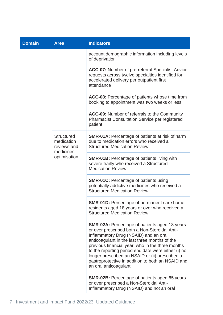| <b>Domain</b>             | <b>Area</b>                                                                                                                | <b>Indicators</b>                                                                                                                                                                                                                                                                                                                                                                                                                    |
|---------------------------|----------------------------------------------------------------------------------------------------------------------------|--------------------------------------------------------------------------------------------------------------------------------------------------------------------------------------------------------------------------------------------------------------------------------------------------------------------------------------------------------------------------------------------------------------------------------------|
|                           |                                                                                                                            | account demographic information including levels<br>of deprivation                                                                                                                                                                                                                                                                                                                                                                   |
|                           |                                                                                                                            | <b>ACC-07:</b> Number of pre-referral Specialist Advice<br>requests across twelve specialties identified for<br>accelerated delivery per outpatient first<br>attendance                                                                                                                                                                                                                                                              |
|                           |                                                                                                                            | ACC-08: Percentage of patients whose time from<br>booking to appointment was two weeks or less                                                                                                                                                                                                                                                                                                                                       |
|                           |                                                                                                                            | ACC-09: Number of referrals to the Community<br><b>Pharmacist Consultation Service per registered</b><br>patient                                                                                                                                                                                                                                                                                                                     |
|                           | <b>Structured</b><br>medication<br>reviews and                                                                             | <b>SMR-01A: Percentage of patients at risk of harm</b><br>due to medication errors who received a<br><b>Structured Medication Review</b>                                                                                                                                                                                                                                                                                             |
| medicines<br>optimisation | <b>SMR-01B: Percentage of patients living with</b><br>severe frailty who received a Structured<br><b>Medication Review</b> |                                                                                                                                                                                                                                                                                                                                                                                                                                      |
|                           |                                                                                                                            | <b>SMR-01C: Percentage of patients using</b><br>potentially addictive medicines who received a<br><b>Structured Medication Review</b>                                                                                                                                                                                                                                                                                                |
|                           |                                                                                                                            | <b>SMR-01D:</b> Percentage of permanent care home<br>residents aged 18 years or over who received a<br><b>Structured Medication Review</b>                                                                                                                                                                                                                                                                                           |
|                           |                                                                                                                            | SMR-02A: Percentage of patients aged 18 years<br>or over prescribed both a Non-Steroidal Anti-<br>Inflammatory Drug (NSAID) and an oral<br>anticoagulant in the last three months of the<br>previous financial year, who in the three months<br>to the reporting period end date were either (i) no<br>longer prescribed an NSAID or (ii) prescribed a<br>gastroprotective in addition to both an NSAID and<br>an oral anticoagulant |
|                           |                                                                                                                            | <b>SMR-02B:</b> Percentage of patients aged 65 years<br>or over prescribed a Non-Steroidal Anti-<br>Inflammatory Drug (NSAID) and not an oral                                                                                                                                                                                                                                                                                        |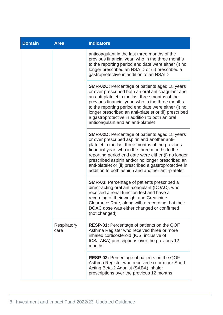| <b>Domain</b> | <b>Area</b>                                                                                                                                                                                                                                             | <b>Indicators</b>                                                                                                                                                                                                                                                                                                                                                                                                                       |
|---------------|---------------------------------------------------------------------------------------------------------------------------------------------------------------------------------------------------------------------------------------------------------|-----------------------------------------------------------------------------------------------------------------------------------------------------------------------------------------------------------------------------------------------------------------------------------------------------------------------------------------------------------------------------------------------------------------------------------------|
|               | anticoagulant in the last three months of the<br>previous financial year, who in the three months<br>to the reporting period end date were either (i) no<br>longer prescribed an NSAID or (ii) prescribed a<br>gastroprotective in addition to an NSAID |                                                                                                                                                                                                                                                                                                                                                                                                                                         |
|               |                                                                                                                                                                                                                                                         | <b>SMR-02C:</b> Percentage of patients aged 18 years<br>or over prescribed both an oral anticoagulant and<br>an anti-platelet in the last three months of the<br>previous financial year, who in the three months<br>to the reporting period end date were either (i) no<br>longer prescribed an anti-platelet or (ii) prescribed<br>a gastroprotective in addition to both an oral<br>anticoagulant and an anti-platelet               |
|               |                                                                                                                                                                                                                                                         | <b>SMR-02D:</b> Percentage of patients aged 18 years<br>or over prescribed aspirin and another anti-<br>platelet in the last three months of the previous<br>financial year, who in the three months to the<br>reporting period end date were either (i) no longer<br>prescribed aspirin and/or no longer prescribed an<br>anti-platelet or (ii) prescribed a gastroprotective in<br>addition to both aspirin and another anti-platelet |
|               |                                                                                                                                                                                                                                                         | <b>SMR-03:</b> Percentage of patients prescribed a<br>direct-acting oral anti-coagulant (DOAC), who<br>received a renal function test and have a<br>recording of their weight and Creatinine<br>Clearance Rate, along with a recording that their<br>DOAC dose was either changed or confirmed<br>(not changed)                                                                                                                         |
|               | Respiratory<br>care                                                                                                                                                                                                                                     | <b>RESP-01:</b> Percentage of patients on the QOF<br>Asthma Register who received three or more<br>inhaled corticosteroid (ICS, inclusive of<br>ICS/LABA) prescriptions over the previous 12<br>months                                                                                                                                                                                                                                  |
|               |                                                                                                                                                                                                                                                         | RESP-02: Percentage of patients on the QOF<br>Asthma Register who received six or more Short<br>Acting Beta-2 Agonist (SABA) inhaler<br>prescriptions over the previous 12 months                                                                                                                                                                                                                                                       |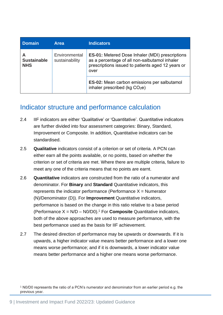| <b>Domain</b>                                                            | <b>Area</b>                                                                                                                                                          | <b>Indicators</b>                                                                               |
|--------------------------------------------------------------------------|----------------------------------------------------------------------------------------------------------------------------------------------------------------------|-------------------------------------------------------------------------------------------------|
| Environmental<br>A<br><b>Sustainable</b><br>sustainability<br><b>NHS</b> | <b>ES-01: Metered Dose Inhaler (MDI) prescriptions</b><br>as a percentage of all non-salbutamol inhaler<br>prescriptions issued to patients aged 12 years or<br>over |                                                                                                 |
|                                                                          |                                                                                                                                                                      | <b>ES-02:</b> Mean carbon emissions per salbutamol<br>inhaler prescribed (kg CO <sub>2</sub> e) |

### <span id="page-9-0"></span>Indicator structure and performance calculation

- 2.4 IIF indicators are either 'Qualitative' or 'Quantitative'. Quantitative indicators are further divided into four assessment categories: Binary, Standard, Improvement or Composite. In addition, Quantitative indicators can be standardised.
- 2.5 **Qualitative** indicators consist of a criterion or set of criteria. A PCN can either earn all the points available, or no points, based on whether the criterion or set of criteria are met. Where there are multiple criteria, failure to meet any one of the criteria means that no points are earnt.
- 2.6 **Quantitative** indicators are constructed from the ratio of a numerator and denominator. For **Binary** and **Standard** Quantitative indicators, this represents the indicator performance (Performance  $X =$  Numerator (N)/Denominator (D)). For **Improvement** Quantitative indicators, performance is based on the change in this ratio relative to a base period (Performance X = N/D – N0/D0). <sup>1</sup> For **Composite** Quantitative indicators, both of the above approaches are used to measure performance, with the best performance used as the basis for IIF achievement.
- 2.7 The desired direction of performance may be upwards or downwards. If it is upwards, a higher indicator value means better performance and a lower one means worse performance; and if it is downwards, a lower indicator value means better performance and a higher one means worse performance.

<sup>&</sup>lt;sup>1</sup> N0/D0 represents the ratio of a PCN's numerator and denominator from an earlier period e.g. the previous year.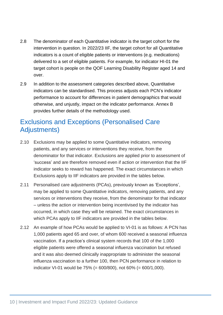- 2.8 The denominator of each Quantitative indicator is the target cohort for the intervention in question. In 2022/23 IIF, the target cohort for all Quantitative indicators is a count of eligible patients or interventions (e.g. medications) delivered to a set of eligible patients. For example, for indicator HI-01 the target cohort is people on the QOF Learning Disability Register aged 14 and over.
- 2.9 In addition to the assessment categories described above, Quantitative indicators can be standardised. This process adjusts each PCN's indicator performance to account for differences in patient demographics that would otherwise, and unjustly, impact on the indicator performance. Annex B provides further details of the methodology used.

## <span id="page-10-0"></span>Exclusions and Exceptions (Personalised Care Adjustments)

- 2.10 Exclusions may be applied to some Quantitative indicators, removing patients, and any services or interventions they receive, from the denominator for that indicator. Exclusions are applied prior to assessment of 'success' and are therefore removed even if action or intervention that the IIF indicator seeks to reward has happened. The exact circumstances in which Exclusions apply to IIF indicators are provided in the tables below.
- 2.11 Personalised care adjustments (PCAs), previously known as 'Exceptions', may be applied to some Quantitative indicators, removing patients, and any services or interventions they receive, from the denominator for that indicator – unless the action or intervention being incentivised by the indicator has occurred, in which case they will be retained. The exact circumstances in which PCAs apply to IIF indicators are provided in the tables below.
- 2.12 An example of how PCAs would be applied to VI-01 is as follows: A PCN has 1,000 patients aged 65 and over, of whom 600 received a seasonal influenza vaccination. If a practice's clinical system records that 100 of the 1,000 eligible patients were offered a seasonal influenza vaccination but refused and it was also deemed clinically inappropriate to administer the seasonal influenza vaccination to a further 100, then PCN performance in relation to indicator VI-01 would be 75% (= 600/800), not 60% (= 600/1,000).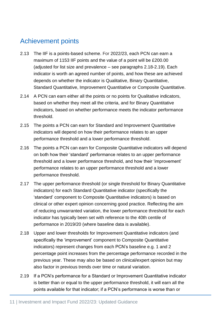## <span id="page-11-0"></span>Achievement points

- 2.13 The IIF is a points-based scheme. For 2022/23, each PCN can earn a maximum of 1153 IIF points and the value of a point will be £200.00 (adjusted for list size and prevalence – see paragraphs 2.18-2.19). Each indicator is worth an agreed number of points, and how these are achieved depends on whether the indicator is Qualitative, Binary Quantitative, Standard Quantitative, Improvement Quantitative or Composite Quantitative.
- 2.14 A PCN can earn either all the points or no points for Qualitative indicators, based on whether they meet all the criteria, and for Binary Quantitative indicators, based on whether performance meets the indicator performance threshold.
- 2.15 The points a PCN can earn for Standard and Improvement Quantitative indicators will depend on how their performance relates to an upper performance threshold and a lower performance threshold.
- 2.16 The points a PCN can earn for Composite Quantitative indicators will depend on both how their 'standard' performance relates to an upper performance threshold and a lower performance threshold, and how their 'improvement' performance relates to an upper performance threshold and a lower performance threshold.
- 2.17 The upper performance threshold (or single threshold for Binary Quantitative indicators) for each Standard Quantitative indicator (specifically the 'standard' component to Composite Quantitative indicators) is based on clinical or other expert opinion concerning good practice. Reflecting the aim of reducing unwarranted variation, the lower performance threshold for each indicator has typically been set with reference to the 40th centile of performance in 2019/20 (where baseline data is available).
- 2.18 Upper and lower thresholds for Improvement Quantitative indicators (and specifically the 'improvement' component to Composite Quantitative indicators) represent changes from each PCN's baseline e.g. 1 and 2 percentage point increases from the percentage performance recorded in the previous year. These may also be based on clinical/expert opinion but may also factor in previous trends over time or natural variation.
- <span id="page-11-1"></span>2.19 If a PCN's performance for a Standard or Improvement Quantitative indicator is better than or equal to the upper performance threshold, it will earn all the points available for that indicator; if a PCN's performance is worse than or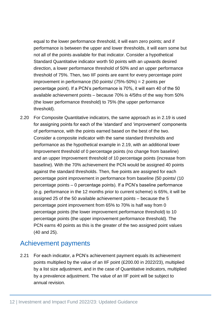equal to the lower performance threshold, it will earn zero points; and if performance is between the upper and lower thresholds, it will earn some but not all of the points available for that indicator. Consider a hypothetical Standard Quantitative indicator worth 50 points with an upwards desired direction, a lower performance threshold of 50% and an upper performance threshold of 75%. Then, two IIF points are earnt for every percentage point improvement in performance (50 points/ (75%-50%) = 2 points per percentage point). If a PCN's performance is 70%, it will earn 40 of the 50 available achievement points – because 70% is 4/5ths of the way from 50% (the lower performance threshold) to 75% (the upper performance threshold).

2.20 For Composite Quantitative indicators, the same approach as in [2.19](#page-11-1) is used for assigning points for each of the 'standard' and 'improvement' components of performance, with the points earned based on the best of the two. Consider a composite indicator with the same standard thresholds and performance as the hypothetical example in [2.19,](#page-11-1) with an additional lower Improvement threshold of 0 percentage points (no change from baseline) and an upper Improvement threshold of 10 percentage points (increase from baseline). With the 70% achievement the PCN would be assigned 40 points against the standard thresholds. Then, five points are assigned for each percentage point improvement in performance from baseline (50 points/ (10 percentage points – 0 percentage points). If a PCN's baseline performance (e.g. performance in the 12 months prior to current scheme) is 65%, it will be assigned 25 of the 50 available achievement points – because the 5 percentage point improvement from 65% to 70% is half way from 0 percentage points (the lower improvement performance threshold) to 10 percentage points (the upper improvement performance threshold). The PCN earns 40 points as this is the greater of the two assigned point values (40 and 25).

### <span id="page-12-0"></span>Achievement payments

2.21 For each indicator, a PCN's achievement payment equals its achievement points multiplied by the value of an IIF point (£200.00 in 2022/23), multiplied by a list size adjustment, and in the case of Quantitative indicators, multiplied by a prevalence adjustment. The value of an IIF point will be subject to annual revision.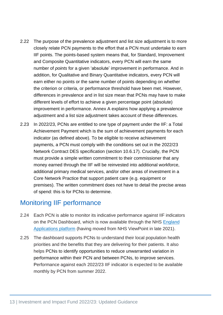- 2.22 The purpose of the prevalence adjustment and list size adjustment is to more closely relate PCN payments to the effort that a PCN must undertake to earn IIF points. The points-based system means that, for Standard, Improvement and Composite Quantitative indicators, every PCN will earn the same number of *points* for a given 'absolute' improvement in performance. And in addition, for Qualitative and Binary Quantitative indicators, every PCN will earn either no points or the same number of points depending on whether the criterion or criteria, or performance threshold have been met. However, differences in prevalence and in list size mean that PCNs may have to make different levels of effort to achieve a given percentage point (absolute) improvement in performance. Annex A explains how applying a prevalence adjustment and a list size adjustment takes account of these differences.
- 2.23 In 2022/23, PCNs are entitled to one type of payment under the IIF: a Total Achievement Payment which is the sum of achievement payments for each indicator (as defined above). To be eligible to receive achievement payments, a PCN must comply with the conditions set out in the 2022/23 Network Contract DES specification (section 10.6.17). Crucially, the PCN must provide a simple written commitment to their commissioner that any money earned through the IIF will be reinvested into additional workforce, additional primary medical services, and/or other areas of investment in a Core Network Practice that support patient care (e.g. equipment or premises). The written commitment does not have to detail the precise areas of spend: this is for PCNs to determine.

### <span id="page-13-0"></span>Monitoring IIF performance

- 2.24 Each PCN is able to monitor its indicative performance against IIF indicators on the PCN Dashboard, which is now available through the NHS England [Applications platform](https://www.england.nhs.uk/applications/) (having moved from NHS ViewPoint in late 2021).
- 2.25 The dashboard supports PCNs to understand their local population health priorities and the benefits that they are delivering for their patients. It also helps PCNs to identify opportunities to reduce unwarranted variation in performance within their PCN and between PCNs, to improve services. Performance against each 2022/23 IIF indicator is expected to be available monthly by PCN from summer 2022.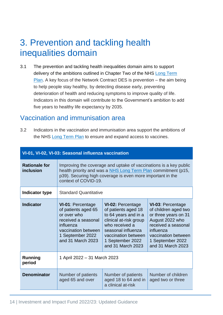## <span id="page-14-0"></span>3. Prevention and tackling health inequalities domain

3.1 The prevention and tackling health inequalities domain aims to support delivery of the ambitions outlined in Chapter Two of the NHS Long Term [Plan.](https://www.longtermplan.nhs.uk/wp-content/uploads/2019/08/nhs-long-term-plan-version-1.2.pdf) A key focus of the Network Contract DES is prevention – the aim being to help people stay healthy, by detecting disease early, preventing deterioration of health and reducing symptoms to improve quality of life. Indicators in this domain will contribute to the Government's ambition to add five years to healthy life expectancy by 2035.

### <span id="page-14-1"></span>Vaccination and immunisation area

3.2 Indicators in the vaccination and immunisation area support the ambitions of the NHS Long [Term Plan](https://www.longtermplan.nhs.uk/wp-content/uploads/2019/08/nhs-long-term-plan-version-1.2.pdf) to ensure and expand access to vaccines.

|                                   | VI-01, VI-02, VI-03: Seasonal influenza vaccination                                                                                                                                                                      |                                                                                                                                                                                                           |                                                                                                                                                                                                 |
|-----------------------------------|--------------------------------------------------------------------------------------------------------------------------------------------------------------------------------------------------------------------------|-----------------------------------------------------------------------------------------------------------------------------------------------------------------------------------------------------------|-------------------------------------------------------------------------------------------------------------------------------------------------------------------------------------------------|
| <b>Rationale for</b><br>inclusion | Improving the coverage and uptake of vaccinations is a key public<br>health priority and was a NHS Long Term Plan commitment (p15,<br>p39). Securing high coverage is even more important in the<br>context of COVID-19. |                                                                                                                                                                                                           |                                                                                                                                                                                                 |
| Indicator type                    | <b>Standard Quantitative</b>                                                                                                                                                                                             |                                                                                                                                                                                                           |                                                                                                                                                                                                 |
| <b>Indicator</b>                  | <b>VI-01: Percentage</b><br>of patients aged 65<br>or over who<br>received a seasonal<br>influenza<br>vaccination between<br>1 September 2022<br>and 31 March 2023                                                       | <b>VI-02: Percentage</b><br>of patients aged 18<br>to 64 years and in a<br>clinical at-risk group<br>who received a<br>seasonal influenza<br>vaccination between<br>1 September 2022<br>and 31 March 2023 | <b>VI-03: Percentage</b><br>of children aged two<br>or three years on 31<br>August 2022 who<br>received a seasonal<br>influenza<br>vaccination between<br>1 September 2022<br>and 31 March 2023 |
| <b>Running</b><br>period          | 1 April 2022 - 31 March 2023                                                                                                                                                                                             |                                                                                                                                                                                                           |                                                                                                                                                                                                 |
| <b>Denominator</b>                | Number of patients<br>aged 65 and over                                                                                                                                                                                   | Number of patients<br>aged 18 to 64 and in<br>a clinical at-risk                                                                                                                                          | Number of children<br>aged two or three                                                                                                                                                         |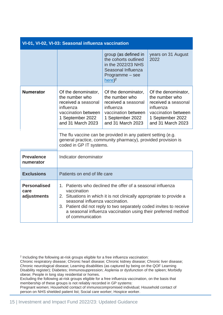| VI-01, VI-02, VI-03: Seasonal influenza vaccination |                                                                                                                                                                                                                                                                                                                                                  |                                                                                                                                                                                                           |                                                                                                                                           |
|-----------------------------------------------------|--------------------------------------------------------------------------------------------------------------------------------------------------------------------------------------------------------------------------------------------------------------------------------------------------------------------------------------------------|-----------------------------------------------------------------------------------------------------------------------------------------------------------------------------------------------------------|-------------------------------------------------------------------------------------------------------------------------------------------|
|                                                     |                                                                                                                                                                                                                                                                                                                                                  | group (as defined in<br>the cohorts outlined<br>in the 2022/23 NHS<br>Seasonal Influenza<br>Programme - see<br>$here)^2$                                                                                  | years on 31 August<br>2022                                                                                                                |
| <b>Numerator</b>                                    | Of the denominator,<br>the number who<br>received a seasonal<br>influenza<br>vaccination between<br>1 September 2022<br>and 31 March 2023                                                                                                                                                                                                        | Of the denominator,<br>the number who<br>received a seasonal<br>influenza<br>vaccination between<br>1 September 2022<br>and 31 March 2023<br>The flu vaccine can be provided in any patient setting (e.g. | Of the denominator,<br>the number who<br>received a seasonal<br>influenza<br>vaccination between<br>1 September 2022<br>and 31 March 2023 |
|                                                     | coded in GP IT systems.                                                                                                                                                                                                                                                                                                                          | general practice, community pharmacy), provided provision is                                                                                                                                              |                                                                                                                                           |
| <b>Prevalence</b><br>numerator                      | Indicator denominator                                                                                                                                                                                                                                                                                                                            |                                                                                                                                                                                                           |                                                                                                                                           |
| <b>Exclusions</b>                                   | Patients on end of life care                                                                                                                                                                                                                                                                                                                     |                                                                                                                                                                                                           |                                                                                                                                           |
| <b>Personalised</b><br>care<br>adjustments          | 1. Patients who declined the offer of a seasonal influenza<br>vaccination<br>2. Situations in which it is not clinically appropriate to provide a<br>seasonal influenza vaccination.<br>3. Patient did not reply to two separately coded invites to receive<br>a seasonal influenza vaccination using their preferred method<br>of communication |                                                                                                                                                                                                           |                                                                                                                                           |

Pregnant women; Household contact of immunocompromised individual; Household contact of person on NHS shielded patient list; Social care worker; Hospice worker.

<sup>2</sup> Including the following at-risk groups eligible for a free influenza vaccination:

Chronic respiratory disease; Chronic heart disease; Chronic kidney disease; Chronic liver disease; Chronic neurological disease; Learning disabilities (as captured by being on the QOF Learning Disability register); Diabetes; Immunosuppression; Asplenia or dysfunction of the spleen; Morbidly obese; People in long stay residential or homes.

Excluding the following at-risk groups eligible for a free influenza vaccination, on the basis that membership of these groups is not reliably recorded in GP systems: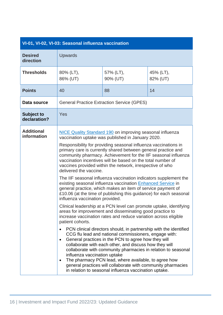| VI-01, VI-02, VI-03: Seasonal influenza vaccination |  |
|-----------------------------------------------------|--|

| <b>Desired</b><br>direction       | Upwards                                                                                                                                                                                                                                                                                                 |                                                                                                                                                                                                                                                                                                                                                                                                                                                                                               |                       |
|-----------------------------------|---------------------------------------------------------------------------------------------------------------------------------------------------------------------------------------------------------------------------------------------------------------------------------------------------------|-----------------------------------------------------------------------------------------------------------------------------------------------------------------------------------------------------------------------------------------------------------------------------------------------------------------------------------------------------------------------------------------------------------------------------------------------------------------------------------------------|-----------------------|
| <b>Thresholds</b>                 | 80% (LT),<br>86% (UT)                                                                                                                                                                                                                                                                                   | 57% (LT),<br>90% (UT)                                                                                                                                                                                                                                                                                                                                                                                                                                                                         | 45% (LT),<br>82% (UT) |
| <b>Points</b>                     | 40                                                                                                                                                                                                                                                                                                      | 88                                                                                                                                                                                                                                                                                                                                                                                                                                                                                            | 14                    |
| Data source                       |                                                                                                                                                                                                                                                                                                         | <b>General Practice Extraction Service (GPES)</b>                                                                                                                                                                                                                                                                                                                                                                                                                                             |                       |
| <b>Subject to</b><br>declaration? | Yes                                                                                                                                                                                                                                                                                                     |                                                                                                                                                                                                                                                                                                                                                                                                                                                                                               |                       |
| <b>Additional</b><br>information  | <b>NICE Quality Standard 190 on improving seasonal influenza</b><br>vaccination uptake was published in January 2020.                                                                                                                                                                                   |                                                                                                                                                                                                                                                                                                                                                                                                                                                                                               |                       |
|                                   | delivered the vaccine.                                                                                                                                                                                                                                                                                  | Responsibility for providing seasonal influenza vaccinations in<br>primary care is currently shared between general practice and<br>community pharmacy. Achievement for the IIF seasonal influenza<br>vaccination incentives will be based on the total number of<br>vaccines provided within the network, irrespective of who                                                                                                                                                                |                       |
|                                   | The IIF seasonal influenza vaccination indicators supplement the<br>existing seasonal influenza vaccination Enhanced Service in<br>general practice, which makes an item of service payment of<br>£10.06 (at the time of publishing this guidance) for each seasonal<br>influenza vaccination provided. |                                                                                                                                                                                                                                                                                                                                                                                                                                                                                               |                       |
|                                   | patient cohorts.                                                                                                                                                                                                                                                                                        | Clinical leadership at a PCN level can promote uptake, identifying<br>areas for improvement and disseminating good practice to<br>increase vaccination rates and reduce variation across eligible                                                                                                                                                                                                                                                                                             |                       |
|                                   | ٠<br>influenza vaccination uptake<br>٠                                                                                                                                                                                                                                                                  | PCN clinical directors should, in partnership with the identified<br>CCG flu lead and national commissioners, engage with:<br>General practices in the PCN to agree how they will<br>collaborate with each other, and discuss how they will<br>collaborate with community pharmacies in relation to seasonal<br>The pharmacy PCN lead, where available, to agree how<br>general practices will collaborate with community pharmacies<br>in relation to seasonal influenza vaccination uptake. |                       |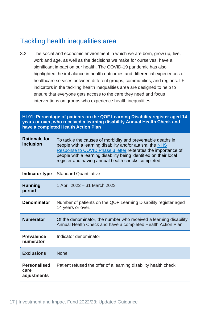## <span id="page-17-0"></span>Tackling health inequalities area

3.3 The social and economic environment in which we are born, grow up, live, work and age, as well as the decisions we make for ourselves, have a significant impact on our health. The COVID-19 pandemic has also highlighted the imbalance in health outcomes and differential experiences of healthcare services between different groups, communities, and regions. IIF indicators in the tackling health inequalities area are designed to help to ensure that everyone gets access to the care they need and focus interventions on groups who experience health inequalities.

#### **HI-01: Percentage of patients on the QOF Learning Disability register aged 14 years or over, who received a learning disability Annual Health Check and have a completed Health Action Plan**

| <b>Rationale for</b><br>inclusion          | To tackle the causes of morbidity and preventable deaths in<br>people with a learning disability and/or autism, the NHS<br>Response to COVID Phase 3 letter reiterates the importance of<br>people with a learning disability being identified on their local<br>register and having annual health checks completed. |
|--------------------------------------------|----------------------------------------------------------------------------------------------------------------------------------------------------------------------------------------------------------------------------------------------------------------------------------------------------------------------|
| Indicator type                             | <b>Standard Quantitative</b>                                                                                                                                                                                                                                                                                         |
| <b>Running</b><br>period                   | 1 April 2022 - 31 March 2023                                                                                                                                                                                                                                                                                         |
| <b>Denominator</b>                         | Number of patients on the QOF Learning Disability register aged<br>14 years or over.                                                                                                                                                                                                                                 |
| <b>Numerator</b>                           | Of the denominator, the number who received a learning disability<br>Annual Health Check and have a completed Health Action Plan                                                                                                                                                                                     |
| <b>Prevalence</b><br>numerator             | Indicator denominator                                                                                                                                                                                                                                                                                                |
| <b>Exclusions</b>                          | <b>None</b>                                                                                                                                                                                                                                                                                                          |
| <b>Personalised</b><br>care<br>adjustments | Patient refused the offer of a learning disability health check.                                                                                                                                                                                                                                                     |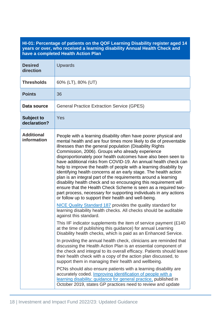#### **HI-01: Percentage of patients on the QOF Learning Disability register aged 14 years or over, who received a learning disability Annual Health Check and have a completed Health Action Plan**

| <b>Desired</b><br>direction       | <b>Upwards</b>                                                                                                                                                                                                                                                                                                                                                                                                                                                                                                                                                                                                                                                                                                                                                                                                                                                                                                                                                                                                                                                                                                                                                                                                                                                                                                                                                                                                                                                                                                                                                                                                                                                                                                                                                                                                                                                           |
|-----------------------------------|--------------------------------------------------------------------------------------------------------------------------------------------------------------------------------------------------------------------------------------------------------------------------------------------------------------------------------------------------------------------------------------------------------------------------------------------------------------------------------------------------------------------------------------------------------------------------------------------------------------------------------------------------------------------------------------------------------------------------------------------------------------------------------------------------------------------------------------------------------------------------------------------------------------------------------------------------------------------------------------------------------------------------------------------------------------------------------------------------------------------------------------------------------------------------------------------------------------------------------------------------------------------------------------------------------------------------------------------------------------------------------------------------------------------------------------------------------------------------------------------------------------------------------------------------------------------------------------------------------------------------------------------------------------------------------------------------------------------------------------------------------------------------------------------------------------------------------------------------------------------------|
| <b>Thresholds</b>                 | 60% (LT), 80% (UT)                                                                                                                                                                                                                                                                                                                                                                                                                                                                                                                                                                                                                                                                                                                                                                                                                                                                                                                                                                                                                                                                                                                                                                                                                                                                                                                                                                                                                                                                                                                                                                                                                                                                                                                                                                                                                                                       |
| <b>Points</b>                     | 36                                                                                                                                                                                                                                                                                                                                                                                                                                                                                                                                                                                                                                                                                                                                                                                                                                                                                                                                                                                                                                                                                                                                                                                                                                                                                                                                                                                                                                                                                                                                                                                                                                                                                                                                                                                                                                                                       |
| Data source                       | <b>General Practice Extraction Service (GPES)</b>                                                                                                                                                                                                                                                                                                                                                                                                                                                                                                                                                                                                                                                                                                                                                                                                                                                                                                                                                                                                                                                                                                                                                                                                                                                                                                                                                                                                                                                                                                                                                                                                                                                                                                                                                                                                                        |
| <b>Subject to</b><br>declaration? | Yes                                                                                                                                                                                                                                                                                                                                                                                                                                                                                                                                                                                                                                                                                                                                                                                                                                                                                                                                                                                                                                                                                                                                                                                                                                                                                                                                                                                                                                                                                                                                                                                                                                                                                                                                                                                                                                                                      |
| <b>Additional</b><br>information  | People with a learning disability often have poorer physical and<br>mental health and are four times more likely to die of preventable<br>illnesses than the general population (Disability Rights<br>Commission, 2006). Groups who already experience<br>disproportionately poor health outcomes have also been seen to<br>have additional risks from COVID-19. An annual health check can<br>help to improve the health of people with a learning disability by<br>identifying health concerns at an early stage. The health action<br>plan is an integral part of the requirements around a learning<br>disability health check and so encouraging this requirement will<br>ensure that the Health Check Scheme is seen as a required two-<br>part process, necessary for supporting individuals in any actions<br>or follow up to support their health and well-being.<br><b>NICE Quality Standard 187 provides the quality standard for</b><br>learning disability health checks. All checks should be auditable<br>against this standard.<br>This IIF indicator supplements the item of service payment (£140)<br>at the time of publishing this guidance) for annual Learning<br>Disability health checks, which is paid as an Enhanced Service.<br>In providing the annual health check, clinicians are reminded that<br>discussing the Health Action Plan is an essential component of<br>the check and integral to its overall efficacy. Patients should leave<br>their health check with a copy of the action plan discussed, to<br>support them in managing their health and wellbeing.<br>PCNs should also ensure patients with a learning disability are<br>accurately coded. Improving identification of people with a<br>learning disability; guidance for general practice, published in<br>October 2019, states GP practices need to review and update |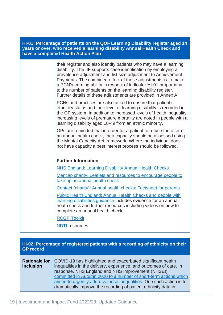#### **HI-01: Percentage of patients on the QOF Learning Disability register aged 14 years or over, who received a learning disability Annual Health Check and have a completed Health Action Plan**

| their register and also identify patients who may have a learning<br>disability. The IIF supports case identification by employing a<br>prevalence adjustment and list size adjustment to Achievement<br>Payments. The combined effect of these adjustments is to make<br>a PCN's earning ability in respect of indicator HI-01 proportional<br>to the number of patients on the learning disability register.<br>Further details of these adjustments are provided in Annex A. |
|---------------------------------------------------------------------------------------------------------------------------------------------------------------------------------------------------------------------------------------------------------------------------------------------------------------------------------------------------------------------------------------------------------------------------------------------------------------------------------|
| PCNs and practices are also asked to ensure that patient's<br>ethnicity status and their level of learning disability is recorded in<br>the GP system. In addition to increased levels of health inequality,<br>increasing levels of premature mortality are noted in people with a<br>learning disability aged 18-49 from an ethnic minority.                                                                                                                                  |
| GPs are reminded that in order for a patient to refuse the offer of<br>an annual health check, their capacity should be assessed using<br>the Mental Capacity Act framework. Where the individual does<br>not have capacity a best interest process should be followed.                                                                                                                                                                                                         |
| <b>Further Information</b>                                                                                                                                                                                                                                                                                                                                                                                                                                                      |
| <b>NHS England: Learning Disability Annual Health Checks</b>                                                                                                                                                                                                                                                                                                                                                                                                                    |
| Mencap charity: Leaflets and resources to encourage people to<br>take up an annual health check                                                                                                                                                                                                                                                                                                                                                                                 |
| Contact (charity): Annual health checks: Factsheet for parents                                                                                                                                                                                                                                                                                                                                                                                                                  |
| <b>Public Health England: Annual Health Checks and people with</b><br>learning disabilities guidance includes evidence for an annual<br>heath check and further resources including videos on how to<br>complete an annual health check.                                                                                                                                                                                                                                        |
| <b>RCGP Toolkit</b>                                                                                                                                                                                                                                                                                                                                                                                                                                                             |
| <b>NDTI</b> resources                                                                                                                                                                                                                                                                                                                                                                                                                                                           |

#### **HI-02: Percentage of registered patients with a recording of ethnicity on their GP record**

| <b>Rationale for</b><br>inclusion | COVID-19 has highlighted and exacerbated significant health<br>inequalities in the delivery, experience, and outcomes of care. In<br>response, NHS England and NHS Improvement (NHSEI)                     |
|-----------------------------------|------------------------------------------------------------------------------------------------------------------------------------------------------------------------------------------------------------|
|                                   | committed in Autumn 2020 to a number of short-term actions which<br>aimed to urgently address these inequalities. One such action is to<br>dramatically improve the recording of patient ethnicity data in |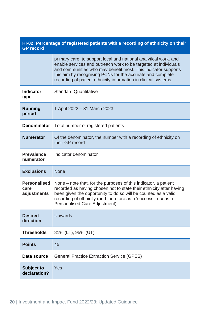| HI-02: Percentage of registered patients with a recording of ethnicity on their<br><b>GP</b> record |                                                                                                                                                                                                                                                                                                                                       |
|-----------------------------------------------------------------------------------------------------|---------------------------------------------------------------------------------------------------------------------------------------------------------------------------------------------------------------------------------------------------------------------------------------------------------------------------------------|
|                                                                                                     | primary care, to support local and national analytical work, and<br>enable services and outreach work to be targeted at individuals<br>and communities who may benefit most. This indicator supports<br>this aim by recognising PCNs for the accurate and complete<br>recording of patient ethnicity information in clinical systems. |
| <b>Indicator</b><br>type                                                                            | <b>Standard Quantitative</b>                                                                                                                                                                                                                                                                                                          |
| <b>Running</b><br>period                                                                            | 1 April 2022 - 31 March 2023                                                                                                                                                                                                                                                                                                          |
| <b>Denominator</b>                                                                                  | Total number of registered patients                                                                                                                                                                                                                                                                                                   |
| <b>Numerator</b>                                                                                    | Of the denominator, the number with a recording of ethnicity on<br>their GP record                                                                                                                                                                                                                                                    |
| <b>Prevalence</b><br>numerator                                                                      | Indicator denominator                                                                                                                                                                                                                                                                                                                 |
| <b>Exclusions</b>                                                                                   | <b>None</b>                                                                                                                                                                                                                                                                                                                           |
| <b>Personalised</b><br>care<br>adjustments                                                          | None – note that, for the purposes of this indicator, a patient<br>recorded as having chosen not to state their ethnicity after having<br>been given the opportunity to do so will be counted as a valid<br>recording of ethnicity (and therefore as a 'success', not as a<br>Personalised Care Adjustment).                          |
| <b>Desired</b><br>direction                                                                         | <b>Upwards</b>                                                                                                                                                                                                                                                                                                                        |
| <b>Thresholds</b>                                                                                   | 81% (LT), 95% (UT)                                                                                                                                                                                                                                                                                                                    |
| <b>Points</b>                                                                                       | 45                                                                                                                                                                                                                                                                                                                                    |
| Data source                                                                                         | <b>General Practice Extraction Service (GPES)</b>                                                                                                                                                                                                                                                                                     |
| <b>Subject to</b><br>declaration?                                                                   | Yes                                                                                                                                                                                                                                                                                                                                   |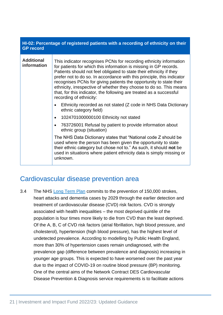| HI-02: Percentage of registered patients with a recording of ethnicity on their<br><b>GP</b> record |                                                                                                                                                                                                                                                                                                                                                                                                                                                                                                                                         |
|-----------------------------------------------------------------------------------------------------|-----------------------------------------------------------------------------------------------------------------------------------------------------------------------------------------------------------------------------------------------------------------------------------------------------------------------------------------------------------------------------------------------------------------------------------------------------------------------------------------------------------------------------------------|
| <b>Additional</b><br>information                                                                    | This indicator recognises PCNs for recording ethnicity information<br>for patients for which this information is missing in GP records.<br>Patients should not feel obligated to state their ethnicity if they<br>prefer not to do so. In accordance with this principle, this indicator<br>recognises PCNs for giving patients the opportunity to state their<br>ethnicity, irrespective of whether they choose to do so. This means<br>that, for this indicator, the following are treated as a successful<br>recording of ethnicity: |
|                                                                                                     | Ethnicity recorded as not stated (Z code in NHS Data Dictionary<br>ethnic category field)                                                                                                                                                                                                                                                                                                                                                                                                                                               |
|                                                                                                     | 1024701000000100 Ethnicity not stated<br>$\bullet$                                                                                                                                                                                                                                                                                                                                                                                                                                                                                      |
|                                                                                                     | 763726001 Refusal by patient to provide information about<br>$\bullet$<br>ethnic group (situation)                                                                                                                                                                                                                                                                                                                                                                                                                                      |
|                                                                                                     | The NHS Data Dictionary states that "National code Z should be<br>used where the person has been given the opportunity to state<br>their ethnic category but chose not to." As such, it should not be<br>used in situations where patient ethnicity data is simply missing or<br>unknown.                                                                                                                                                                                                                                               |

### <span id="page-21-0"></span>Cardiovascular disease prevention area

3.4 The NHS [Long Term Plan](https://www.longtermplan.nhs.uk/wp-content/uploads/2019/08/nhs-long-term-plan-version-1.2.pdf) commits to the prevention of 150,000 strokes, heart attacks and dementia cases by 2029 through the earlier detection and treatment of cardiovascular disease (CVD) risk factors. CVD is strongly associated with health inequalities – the most deprived quintile of the population is four times more likely to die from CVD than the least deprived. Of the A, B, C of CVD risk factors (atrial fibrillation, high blood pressure, and cholesterol), hypertension (high blood pressure), has the highest level of undetected prevalence. According to modelling by Public Health England, more than 30% of hypertension cases remain undiagnosed, with the prevalence gap (difference between prevalence and diagnosis) increasing in younger age groups. This is expected to have worsened over the past year due to the impact of COVID-19 on routine blood pressure (BP) monitoring. One of the central aims of the Network Contract DES Cardiovascular Disease Prevention & Diagnosis service requirements is to facilitate actions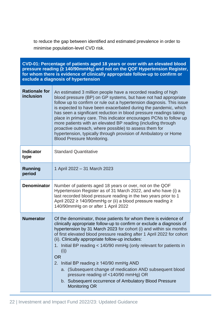to reduce the gap between identified and estimated prevalence in order to minimise population-level CVD risk.

| CVD-01: Percentage of patients aged 18 years or over with an elevated blood<br>pressure reading (≥ 140/90mmHg) and not on the QOF Hypertension Register,<br>for whom there is evidence of clinically appropriate follow-up to confirm or<br>exclude a diagnosis of hypertension |                                                                                                                                                                                                                                                                                                                                                                                                                                                                                                                                                                                                                                                                               |
|---------------------------------------------------------------------------------------------------------------------------------------------------------------------------------------------------------------------------------------------------------------------------------|-------------------------------------------------------------------------------------------------------------------------------------------------------------------------------------------------------------------------------------------------------------------------------------------------------------------------------------------------------------------------------------------------------------------------------------------------------------------------------------------------------------------------------------------------------------------------------------------------------------------------------------------------------------------------------|
| <b>Rationale for</b><br>inclusion                                                                                                                                                                                                                                               | An estimated 3 million people have a recorded reading of high<br>blood pressure (BP) on GP systems, but have not had appropriate<br>follow up to confirm or rule out a hypertension diagnosis. This issue<br>is expected to have been exacerbated during the pandemic, which<br>has seen a significant reduction in blood pressure readings taking<br>place in primary care. This indicator encourages PCNs to follow up<br>more patients with an elevated BP reading (including through<br>proactive outreach, where possible) to assess them for<br>hypertension, typically through provision of Ambulatory or Home<br><b>Blood Pressure Monitoring.</b>                    |
| <b>Indicator</b><br>type                                                                                                                                                                                                                                                        | <b>Standard Quantitative</b>                                                                                                                                                                                                                                                                                                                                                                                                                                                                                                                                                                                                                                                  |
| <b>Running</b><br>period                                                                                                                                                                                                                                                        | 1 April 2022 - 31 March 2023                                                                                                                                                                                                                                                                                                                                                                                                                                                                                                                                                                                                                                                  |
| <b>Denominator</b>                                                                                                                                                                                                                                                              | Number of patients aged 18 years or over, not on the QOF<br>Hypertension Register as of 31 March 2022, and who have (i) a<br>last recorded blood pressure reading in the two years prior to 1<br>April 2022 ≥ 140/90mmHg or (ii) a blood pressure reading ≥<br>140/90mmHg on or after 1 April 2022                                                                                                                                                                                                                                                                                                                                                                            |
| <b>Numerator</b>                                                                                                                                                                                                                                                                | Of the denominator, those patients for whom there is evidence of<br>clinically appropriate follow-up to confirm or exclude a diagnosis of<br>hypertension by 31 March 2023 for cohort (i) and within six months<br>of first elevated blood pressure reading after 1 April 2022 for cohort<br>(ii). Clinically appropriate follow-up includes:<br>1. Initial BP reading < 140/90 mmHg (only relevant for patients in<br>(i))<br><b>OR</b><br>2. Initial BP reading $\geq$ 140/90 mmHg AND<br>a. (Subsequent change of medication AND subsequent blood<br>pressure reading of <140/90 mmHg) OR<br>b. Subsequent occurrence of Ambulatory Blood Pressure<br><b>Monitoring OR</b> |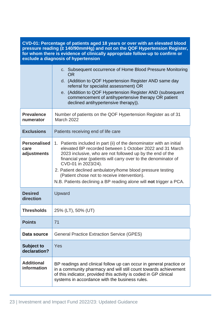**CVD-01: Percentage of patients aged 18 years or over with an elevated blood pressure reading (≥ 140/90mmHg) and not on the QOF Hypertension Register, for whom there is evidence of clinically appropriate follow-up to confirm or exclude a diagnosis of hypertension**

|                                            | c. Subsequent occurrence of Home Blood Pressure Monitoring<br><b>OR</b><br>d. (Addition to QOF Hypertension Register AND same day<br>referral for specialist assessment) OR<br>e. (Addition to QOF Hypertension Register AND (subsequent<br>commencement of antihypertensive therapy OR patient<br>declined antihypertensive therapy)).                                                                                                                                    |
|--------------------------------------------|----------------------------------------------------------------------------------------------------------------------------------------------------------------------------------------------------------------------------------------------------------------------------------------------------------------------------------------------------------------------------------------------------------------------------------------------------------------------------|
| <b>Prevalence</b><br>numerator             | Number of patients on the QOF Hypertension Register as of 31<br><b>March 2022</b>                                                                                                                                                                                                                                                                                                                                                                                          |
| <b>Exclusions</b>                          | Patients receiving end of life care                                                                                                                                                                                                                                                                                                                                                                                                                                        |
| <b>Personalised</b><br>care<br>adjustments | 1. Patients included in part (ii) of the denominator with an initial<br>elevated BP recorded between 1 October 2022 and 31 March<br>2023 inclusive, who are not followed up by the end of the<br>financial year (patients will carry over to the denominator of<br>CVD-01 in 2023/24).<br>2. Patient declined ambulatory/home blood pressure testing<br>(Patient chose not to receive intervention).<br>N.B. Patients declining a BP reading alone will not trigger a PCA. |
| <b>Desired</b><br>direction                | Upward                                                                                                                                                                                                                                                                                                                                                                                                                                                                     |
| <b>Thresholds</b>                          | 25% (LT), 50% (UT)                                                                                                                                                                                                                                                                                                                                                                                                                                                         |
| <b>Points</b>                              | 71                                                                                                                                                                                                                                                                                                                                                                                                                                                                         |
| Data source                                | <b>General Practice Extraction Service (GPES)</b>                                                                                                                                                                                                                                                                                                                                                                                                                          |
| <b>Subject to</b><br>declaration?          | Yes                                                                                                                                                                                                                                                                                                                                                                                                                                                                        |
| <b>Additional</b><br>information           | BP readings and clinical follow up can occur in general practice or<br>in a community pharmacy and will still count towards achievement<br>of this indicator, provided this activity is coded in GP clinical<br>systems in accordance with the business rules.                                                                                                                                                                                                             |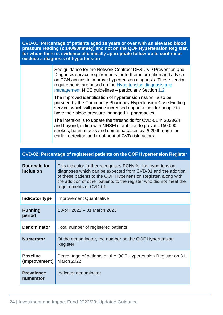**CVD-01: Percentage of patients aged 18 years or over with an elevated blood pressure reading (≥ 140/90mmHg) and not on the QOF Hypertension Register, for whom there is evidence of clinically appropriate follow-up to confirm or exclude a diagnosis of hypertension**

> See guidance for the Network Contract DES CVD Prevention and Diagnosis service requirements for further information and advice on PCN actions to improve hypertension diagnosis. These service requirements are based on the [Hypertension diagnosis and](https://www.nice.org.uk/guidance/ng136)  [management](https://www.nice.org.uk/guidance/ng136) NICE guidelines - particularly Section [1.2.](https://www.nice.org.uk/guidance/ng136/chapter/Recommendations#diagnosing-hypertension)

> The improved identification of hypertension risk will also be pursued by the Community Pharmacy Hypertension Case Finding service, which will provide increased opportunities for people to have their blood pressure managed in pharmacies.

The intention is to update the thresholds for CVD-01 in 2023/24 and beyond, in line with NHSEI's ambition to prevent 150,000 strokes, heart attacks and dementia cases by 2029 through the earlier detection and treatment of CVD risk factors.

| CVD-02: Percentage of registered patients on the QOF Hypertension Register |                                                                                                                                                                                                                                                                                                 |
|----------------------------------------------------------------------------|-------------------------------------------------------------------------------------------------------------------------------------------------------------------------------------------------------------------------------------------------------------------------------------------------|
| <b>Rationale for</b><br>inclusion                                          | This indicator further recognises PCNs for the hypertension<br>diagnoses which can be expected from CVD-01 and the addition<br>of these patients to the QOF Hypertension Register, along with<br>the addition of other patients to the register who did not meet the<br>requirements of CVD-01. |
| Indicator type                                                             | <b>Improvement Quantitative</b>                                                                                                                                                                                                                                                                 |
| <b>Running</b><br>period                                                   | 1 April 2022 – 31 March 2023                                                                                                                                                                                                                                                                    |
| <b>Denominator</b>                                                         | Total number of registered patients                                                                                                                                                                                                                                                             |
| <b>Numerator</b>                                                           | Of the denominator, the number on the QOF Hypertension<br>Register                                                                                                                                                                                                                              |
| <b>Baseline</b><br>(Improvement)                                           | Percentage of patients on the QOF Hypertension Register on 31<br>March 2022                                                                                                                                                                                                                     |
| <b>Prevalence</b><br>numerator                                             | Indicator denominator                                                                                                                                                                                                                                                                           |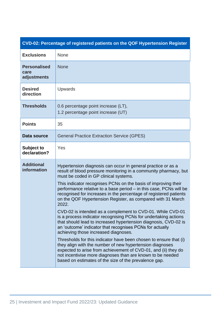| CVD-02: Percentage of registered patients on the QOF Hypertension Register |                                                                                                                                                                                                                                                                                                                                                                                                                                                                                                                                                                                                                                                                                                                                                                                                                                                                                                                                                                                                                                                                                                  |
|----------------------------------------------------------------------------|--------------------------------------------------------------------------------------------------------------------------------------------------------------------------------------------------------------------------------------------------------------------------------------------------------------------------------------------------------------------------------------------------------------------------------------------------------------------------------------------------------------------------------------------------------------------------------------------------------------------------------------------------------------------------------------------------------------------------------------------------------------------------------------------------------------------------------------------------------------------------------------------------------------------------------------------------------------------------------------------------------------------------------------------------------------------------------------------------|
| <b>Exclusions</b>                                                          | None                                                                                                                                                                                                                                                                                                                                                                                                                                                                                                                                                                                                                                                                                                                                                                                                                                                                                                                                                                                                                                                                                             |
| <b>Personalised</b><br>care<br>adjustments                                 | <b>None</b>                                                                                                                                                                                                                                                                                                                                                                                                                                                                                                                                                                                                                                                                                                                                                                                                                                                                                                                                                                                                                                                                                      |
| <b>Desired</b><br>direction                                                | Upwards                                                                                                                                                                                                                                                                                                                                                                                                                                                                                                                                                                                                                                                                                                                                                                                                                                                                                                                                                                                                                                                                                          |
| <b>Thresholds</b>                                                          | 0.6 percentage point increase (LT),<br>1.2 percentage point increase (UT)                                                                                                                                                                                                                                                                                                                                                                                                                                                                                                                                                                                                                                                                                                                                                                                                                                                                                                                                                                                                                        |
| <b>Points</b>                                                              | 35                                                                                                                                                                                                                                                                                                                                                                                                                                                                                                                                                                                                                                                                                                                                                                                                                                                                                                                                                                                                                                                                                               |
| Data source                                                                | <b>General Practice Extraction Service (GPES)</b>                                                                                                                                                                                                                                                                                                                                                                                                                                                                                                                                                                                                                                                                                                                                                                                                                                                                                                                                                                                                                                                |
| Subject to<br>declaration?                                                 | Yes                                                                                                                                                                                                                                                                                                                                                                                                                                                                                                                                                                                                                                                                                                                                                                                                                                                                                                                                                                                                                                                                                              |
| <b>Additional</b><br>information                                           | Hypertension diagnosis can occur in general practice or as a<br>result of blood pressure monitoring in a community pharmacy, but<br>must be coded in GP clinical systems.<br>This indicator recognises PCNs on the basis of improving their<br>performance relative to a base period – in this case, PCNs will be<br>recognised for increases in the percentage of registered patients<br>on the QOF Hypertension Register, as compared with 31 March<br>2022.<br>CVD-02 is intended as a complement to CVD-01. While CVD-01<br>is a process indicator recognising PCNs for undertaking actions<br>that should lead to increased hypertension diagnosis, CVD-02 is<br>an 'outcome' indicator that recognises PCNs for actually<br>achieving those increased diagnoses.<br>Thresholds for this indicator have been chosen to ensure that (i)<br>they align with the number of new hypertension diagnoses<br>expected to arise from achievement of CVD-01, and (ii) they do<br>not incentivise more diagnoses than are known to be needed<br>based on estimates of the size of the prevalence gap. |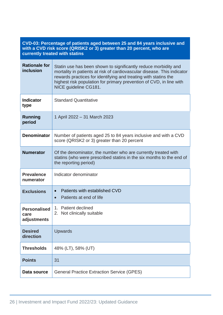| CVD-03: Percentage of patients aged between 25 and 84 years inclusive and |
|---------------------------------------------------------------------------|
| with a CVD risk score (QRISK2 or 3) greater than 20 percent, who are      |
| <b>currently treated with statins</b>                                     |

| <b>Rationale for</b><br>inclusion          | Statin use has been shown to significantly reduce morbidity and<br>mortality in patients at risk of cardiovascular disease. This indicator<br>rewards practices for identifying and treating with statins the<br>highest risk population for primary prevention of CVD, in line with<br>NICE guideline CG181. |
|--------------------------------------------|---------------------------------------------------------------------------------------------------------------------------------------------------------------------------------------------------------------------------------------------------------------------------------------------------------------|
| <b>Indicator</b><br>type                   | <b>Standard Quantitative</b>                                                                                                                                                                                                                                                                                  |
| <b>Running</b><br>period                   | 1 April 2022 – 31 March 2023                                                                                                                                                                                                                                                                                  |
| <b>Denominator</b>                         | Number of patients aged 25 to 84 years inclusive and with a CVD<br>score (QRISK2 or 3) greater than 20 percent                                                                                                                                                                                                |
| <b>Numerator</b>                           | Of the denominator, the number who are currently treated with<br>statins (who were prescribed statins in the six months to the end of<br>the reporting period)                                                                                                                                                |
| <b>Prevalence</b><br>numerator             | Indicator denominator                                                                                                                                                                                                                                                                                         |
| <b>Exclusions</b>                          | Patients with established CVD<br>$\bullet$<br>Patients at end of life<br>$\bullet$                                                                                                                                                                                                                            |
| <b>Personalised</b><br>care<br>adjustments | 1. Patient declined<br>2. Not clinically suitable                                                                                                                                                                                                                                                             |
| <b>Desired</b><br>direction                | <b>Upwards</b>                                                                                                                                                                                                                                                                                                |
| <b>Thresholds</b>                          | 48% (LT), 58% (UT)                                                                                                                                                                                                                                                                                            |
| <b>Points</b>                              | 31                                                                                                                                                                                                                                                                                                            |
| Data source                                | <b>General Practice Extraction Service (GPES)</b>                                                                                                                                                                                                                                                             |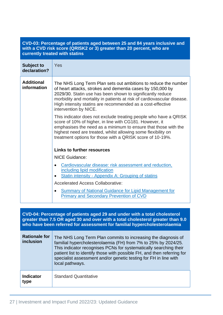#### **CVD-03: Percentage of patients aged between 25 and 84 years inclusive and with a CVD risk score (QRISK2 or 3) greater than 20 percent, who are currently treated with statins**

| <b>Subject to</b><br>declaration? | Yes                                                                                                                                                                                                                                                                                                                                                         |
|-----------------------------------|-------------------------------------------------------------------------------------------------------------------------------------------------------------------------------------------------------------------------------------------------------------------------------------------------------------------------------------------------------------|
| <b>Additional</b><br>information  | The NHS Long Term Plan sets out ambitions to reduce the number<br>of heart attacks, strokes and dementia cases by 150,000 by<br>2029/30. Statin use has been shown to significantly reduce<br>morbidity and mortality in patients at risk of cardiovascular disease.<br>High intensity statins are recommended as a cost-effective<br>intervention by NICE. |
|                                   | This indicator does not exclude treating people who have a QRISK<br>score of 10% of higher, in line with CG181. However, it<br>emphasises the need as a minimum to ensure that those with the<br>highest need are treated, whilst allowing some flexibility on<br>treatment options for those with a QRISK score of 10-19%.                                 |
|                                   | <b>Links to further resources</b>                                                                                                                                                                                                                                                                                                                           |
|                                   | <b>NICE Guidance:</b>                                                                                                                                                                                                                                                                                                                                       |
|                                   | Cardiovascular disease: risk assessment and reduction,<br>including lipid modification<br><b>Statin intensity - Appendix A: Grouping of statins</b>                                                                                                                                                                                                         |
|                                   | <b>Accelerated Access Collaborative:</b>                                                                                                                                                                                                                                                                                                                    |
|                                   | <b>Summary of National Guidance for Lipid Management for</b><br>$\bullet$<br><b>Primary and Secondary Prevention of CVD</b>                                                                                                                                                                                                                                 |
|                                   |                                                                                                                                                                                                                                                                                                                                                             |

**CVD-04: Percentage of patients aged 29 and under with a total cholesterol greater than 7.5 OR aged 30 and over with a total cholesterol greater than 9.0 who have been referred for assessment for familial hypercholesterolaemia**

| <b>Rationale for</b><br><i>inclusion</i> | The NHS Long Term Plan commits to increasing the diagnosis of<br>familial hypercholesterolaemia (FH) from 7% to 25% by 2024/25.<br>This indicator recognises PCNs for systematically searching their<br>patient list to identify those with possible FH, and then referring for<br>specialist assessment and/or genetic testing for FH in line with<br>local pathways. |
|------------------------------------------|------------------------------------------------------------------------------------------------------------------------------------------------------------------------------------------------------------------------------------------------------------------------------------------------------------------------------------------------------------------------|
| <b>Indicator</b><br>type                 | <b>Standard Quantitative</b>                                                                                                                                                                                                                                                                                                                                           |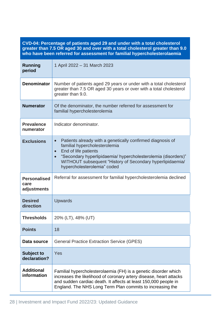**CVD-04: Percentage of patients aged 29 and under with a total cholesterol greater than 7.5 OR aged 30 and over with a total cholesterol greater than 9.0 who have been referred for assessment for familial hypercholesterolaemia**

| <b>Running</b><br>period                   | 1 April 2022 - 31 March 2023                                                                                                                                                                                                                                                                                            |
|--------------------------------------------|-------------------------------------------------------------------------------------------------------------------------------------------------------------------------------------------------------------------------------------------------------------------------------------------------------------------------|
| <b>Denominator</b>                         | Number of patients aged 29 years or under with a total cholesterol<br>greater than 7.5 OR aged 30 years or over with a total cholesterol<br>greater than 9.0.                                                                                                                                                           |
| <b>Numerator</b>                           | Of the denominator, the number referred for assessment for<br>familial hypercholesterolemia                                                                                                                                                                                                                             |
| <b>Prevalence</b><br>numerator             | Indicator denominator.                                                                                                                                                                                                                                                                                                  |
| <b>Exclusions</b>                          | Patients already with a genetically confirmed diagnosis of<br>$\bullet$<br>familial hypercholesterolemia<br>End of life patients<br>$\bullet$<br>"Secondary hyperlipidaemia/ hypercholesterolemia (disorders)"<br>$\bullet$<br>WITHOUT subsequent "History of Secondary hyperlipidaemia/<br>hypercholesterolemia" coded |
| <b>Personalised</b><br>care<br>adjustments | Referral for assessment for familial hypercholesterolemia declined                                                                                                                                                                                                                                                      |
| <b>Desired</b><br>direction                | Upwards                                                                                                                                                                                                                                                                                                                 |
| <b>Thresholds</b>                          | 20% (LT), 48% (UT)                                                                                                                                                                                                                                                                                                      |
| <b>Points</b>                              | 18                                                                                                                                                                                                                                                                                                                      |
| Data source                                | <b>General Practice Extraction Service (GPES)</b>                                                                                                                                                                                                                                                                       |
| <b>Subject to</b><br>declaration?          | Yes                                                                                                                                                                                                                                                                                                                     |
| <b>Additional</b><br>information           | Familial hypercholesterolaemia (FH) is a genetic disorder which<br>increases the likelihood of coronary artery disease, heart attacks<br>and sudden cardiac death. It affects at least 150,000 people in<br>England. The NHS Long Term Plan commits to increasing the                                                   |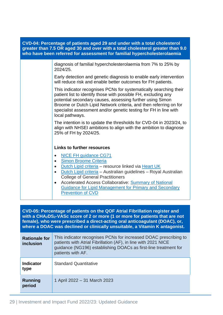| CVD-04: Percentage of patients aged 29 and under with a total cholesterol<br>greater than 7.5 OR aged 30 and over with a total cholesterol greater than 9.0<br>who have been referred for assessment for familial hypercholesterolaemia |                                                                                                                                                                                                                                                                                                                                                                                                                                                    |
|-----------------------------------------------------------------------------------------------------------------------------------------------------------------------------------------------------------------------------------------|----------------------------------------------------------------------------------------------------------------------------------------------------------------------------------------------------------------------------------------------------------------------------------------------------------------------------------------------------------------------------------------------------------------------------------------------------|
|                                                                                                                                                                                                                                         | diagnosis of familial hypercholesterolaemia from 7% to 25% by<br>2024/25.                                                                                                                                                                                                                                                                                                                                                                          |
|                                                                                                                                                                                                                                         | Early detection and genetic diagnosis to enable early intervention<br>will reduce risk and enable better outcomes for FH patients.                                                                                                                                                                                                                                                                                                                 |
|                                                                                                                                                                                                                                         | This indicator recognises PCNs for systematically searching their<br>patient list to identify those with possible FH, excluding any<br>potential secondary causes, assessing further using Simon<br>Broome or Dutch Lipid Network criteria, and then referring on for<br>specialist assessment and/or genetic testing for FH in line with<br>local pathways.                                                                                       |
|                                                                                                                                                                                                                                         | The intention is to update the thresholds for CVD-04 in 2023/24, to<br>align with NHSEI ambitions to align with the ambition to diagnose<br>25% of FH by 2024/25.                                                                                                                                                                                                                                                                                  |
|                                                                                                                                                                                                                                         | <b>Links to further resources</b>                                                                                                                                                                                                                                                                                                                                                                                                                  |
|                                                                                                                                                                                                                                         | <b>NICE FH guidance CG71</b><br>$\bullet$<br>Simon Broome Criteria<br>$\bullet$<br>Dutch Lipid criteria - resource linked via Heart UK<br>$\bullet$<br>Dutch Lipid criteria - Australian guidelines - Royal Australian<br>$\bullet$<br><b>College of General Practitioners</b><br>Accelerated Access Collaborative: Summary of National<br>$\bullet$<br><b>Guidance for Lipid Management for Primary and Secondary</b><br><b>Prevention of CVD</b> |
|                                                                                                                                                                                                                                         |                                                                                                                                                                                                                                                                                                                                                                                                                                                    |
| CVD-05: Percentage of patients on the QOF Atrial Fibrillation register and<br>with a CHA <sub>2</sub> DS <sub>2</sub> -VASc score of 2 or more (1 or more for patients that are not                                                     |                                                                                                                                                                                                                                                                                                                                                                                                                                                    |

**female), who were prescribed a direct-acting oral anticoagulant (DOAC), or, where a DOAC was declined or clinically unsuitable, a Vitamin K antagonist.**

| <b>Rationale for</b><br><b>inclusion</b> | This indicator recognises PCNs for increased DOAC prescribing to<br>patients with Atrial Fibrillation (AF), in line with 2021 NICE<br>guidance (NG196) establishing DOACs as first-line treatment for<br>patients with AF. |
|------------------------------------------|----------------------------------------------------------------------------------------------------------------------------------------------------------------------------------------------------------------------------|
| <b>Indicator</b><br>type                 | <b>Standard Quantitative</b>                                                                                                                                                                                               |
| <b>Running</b><br>period                 | 1 April 2022 - 31 March 2023                                                                                                                                                                                               |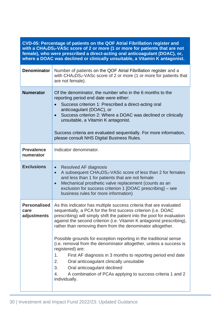| CVD-05: Percentage of patients on the QOF Atrial Fibrillation register and<br>with a CHA <sub>2</sub> DS <sub>2</sub> -VASc score of 2 or more (1 or more for patients that are not<br>female), who were prescribed a direct-acting oral anticoagulant (DOAC), or,<br>where a DOAC was declined or clinically unsuitable, a Vitamin K antagonist. |                                                                                                                                                                                                                                                                                                                                                                                                                                                                                                                                                                                                                                                                                                                                                                        |
|---------------------------------------------------------------------------------------------------------------------------------------------------------------------------------------------------------------------------------------------------------------------------------------------------------------------------------------------------|------------------------------------------------------------------------------------------------------------------------------------------------------------------------------------------------------------------------------------------------------------------------------------------------------------------------------------------------------------------------------------------------------------------------------------------------------------------------------------------------------------------------------------------------------------------------------------------------------------------------------------------------------------------------------------------------------------------------------------------------------------------------|
| <b>Denominator</b>                                                                                                                                                                                                                                                                                                                                | Number of patients on the QOF Atrial Fibrillation register and a<br>with CHA2DS2-VASc score of 2 or more (1 or more for patients that<br>are not female).                                                                                                                                                                                                                                                                                                                                                                                                                                                                                                                                                                                                              |
| <b>Numerator</b>                                                                                                                                                                                                                                                                                                                                  | Of the denominator, the number who in the 6 months to the<br>reporting period end date were either:<br>Success criterion 1: Prescribed a direct-acting oral<br>anticoagulant (DOAC), or<br>Success criterion 2: Where a DOAC was declined or clinically<br>$\bullet$<br>unsuitable, a Vitamin K antagonist.<br>Success criteria are evaluated sequentially. For more information,<br>please consult NHS Digital Business Rules.                                                                                                                                                                                                                                                                                                                                        |
| <b>Prevalence</b><br>numerator                                                                                                                                                                                                                                                                                                                    | Indicator denominator.                                                                                                                                                                                                                                                                                                                                                                                                                                                                                                                                                                                                                                                                                                                                                 |
| <b>Exclusions</b>                                                                                                                                                                                                                                                                                                                                 | Resolved AF diagnosis<br>$\bullet$<br>A subsequent CHA <sub>2</sub> DS <sub>2</sub> -VASc score of less than 2 for females<br>$\bullet$<br>and less than 1 for patients that are not female<br>Mechanical prosthetic valve replacement (counts as an<br>$\bullet$<br>exclusion for success criterion 1 [DOAC prescribing] - see<br>business rules for more information)                                                                                                                                                                                                                                                                                                                                                                                                |
| <b>Personalised</b><br>care<br>adjustments                                                                                                                                                                                                                                                                                                        | As this indicator has multiple success criteria that are evaluated<br>sequentially, a PCA for the first success criterion (i.e. DOAC<br>prescribing) will simply shift the patient into the pool for evaluation<br>against the second criterion (i.e. Vitamin K antagonist prescribing),<br>rather than removing them from the denominator altogether.<br>Possible grounds for exception reporting in the traditional sense<br>(i.e. removal from the denominator altogether, unless a success is<br>registered) are:<br>1.<br>First AF diagnosis in 3 months to reporting period end date<br>2.<br>Oral anticoagulant clinically unsuitable<br>Oral anticoagulant declined<br>3.<br>A combination of PCAs applying to success criteria 1 and 2<br>4.<br>individually. |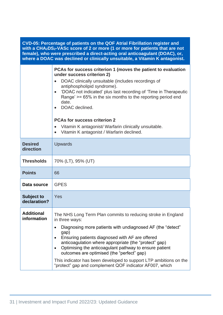| CVD-05: Percentage of patients on the QOF Atrial Fibrillation register and<br>with a CHA <sub>2</sub> DS <sub>2</sub> -VASc score of 2 or more (1 or more for patients that are not<br>female), who were prescribed a direct-acting oral anticoagulant (DOAC), or,<br>where a DOAC was declined or clinically unsuitable, a Vitamin K antagonist. |                                                                                                                                                                                                                                                                                                                                                                                                                                                                                                                       |
|---------------------------------------------------------------------------------------------------------------------------------------------------------------------------------------------------------------------------------------------------------------------------------------------------------------------------------------------------|-----------------------------------------------------------------------------------------------------------------------------------------------------------------------------------------------------------------------------------------------------------------------------------------------------------------------------------------------------------------------------------------------------------------------------------------------------------------------------------------------------------------------|
|                                                                                                                                                                                                                                                                                                                                                   | PCAs for success criterion 1 (moves the patient to evaluation<br>under success criterion 2)<br>DOAC clinically unsuitable (includes recordings of<br>antiphospholipid syndrome).<br>'DOAC not indicated' plus last recording of 'Time in Therapeutic<br>Range' $\ge$ = 65% in the six months to the reporting period end<br>date.<br>DOAC declined.<br><b>PCAs for success criterion 2</b><br>Vitamin K antagonist/ Warfarin clinically unsuitable.<br>$\bullet$<br>Vitamin K antagonist / Warfarin declined.         |
| <b>Desired</b><br>direction                                                                                                                                                                                                                                                                                                                       | <b>Upwards</b>                                                                                                                                                                                                                                                                                                                                                                                                                                                                                                        |
| <b>Thresholds</b>                                                                                                                                                                                                                                                                                                                                 | 70% (LT), 95% (UT)                                                                                                                                                                                                                                                                                                                                                                                                                                                                                                    |
| <b>Points</b>                                                                                                                                                                                                                                                                                                                                     | 66                                                                                                                                                                                                                                                                                                                                                                                                                                                                                                                    |
| Data source                                                                                                                                                                                                                                                                                                                                       | <b>GPES</b>                                                                                                                                                                                                                                                                                                                                                                                                                                                                                                           |
| <b>Subject to</b><br>declaration?                                                                                                                                                                                                                                                                                                                 | Yes                                                                                                                                                                                                                                                                                                                                                                                                                                                                                                                   |
| <b>Additional</b><br>information                                                                                                                                                                                                                                                                                                                  | The NHS Long Term Plan commits to reducing stroke in England<br>in three ways:<br>Diagnosing more patients with undiagnosed AF (the "detect"<br>$\bullet$<br>gap)<br>Ensuring patients diagnosed with AF are offered<br>anticoagulation where appropriate (the "protect" gap)<br>Optimising the anticoagulant pathway to ensure patient<br>outcomes are optimised (the "perfect" gap)<br>This indicator has been developed to support LTP ambitions on the<br>"protect" gap and complement QOF indicator AF007, which |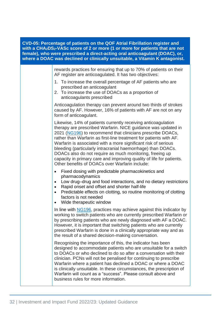| CVD-05: Percentage of patients on the QOF Atrial Fibrillation register and<br>with a CHA <sub>2</sub> DS <sub>2</sub> -VASc score of 2 or more (1 or more for patients that are not<br>female), who were prescribed a direct-acting oral anticoagulant (DOAC), or,<br>where a DOAC was declined or clinically unsuitable, a Vitamin K antagonist. |  |                                                                                                                                                                                                                                                                                                                                                                                                                                                                                                                                                                                            |
|---------------------------------------------------------------------------------------------------------------------------------------------------------------------------------------------------------------------------------------------------------------------------------------------------------------------------------------------------|--|--------------------------------------------------------------------------------------------------------------------------------------------------------------------------------------------------------------------------------------------------------------------------------------------------------------------------------------------------------------------------------------------------------------------------------------------------------------------------------------------------------------------------------------------------------------------------------------------|
|                                                                                                                                                                                                                                                                                                                                                   |  | rewards practices for ensuring that up to 70% of patients on their<br>AF register are anticoagulated. It has two objectives:                                                                                                                                                                                                                                                                                                                                                                                                                                                               |
|                                                                                                                                                                                                                                                                                                                                                   |  | 1. To increase the overall percentage of AF patients who are<br>prescribed an anticoagulant<br>2. To increase the use of DOACs as a proportion of<br>anticoagulants prescribed                                                                                                                                                                                                                                                                                                                                                                                                             |
|                                                                                                                                                                                                                                                                                                                                                   |  | Anticoagulation therapy can prevent around two thirds of strokes<br>caused by AF. However, 16% of patients with AF are not on any<br>form of anticoagulant.                                                                                                                                                                                                                                                                                                                                                                                                                                |
|                                                                                                                                                                                                                                                                                                                                                   |  | Likewise, 14% of patients currently receiving anticoagulation<br>therapy are prescribed Warfarin. NICE guidance was updated in<br>2021 (NG196) to recommend that clinicians prescribe DOACs,<br>rather than Warfarin as first-line treatment for patients with AF.<br>Warfarin is associated with a more significant risk of serious<br>bleeding (particularly intracranial haemorrhage) than DOACs.<br>DOACs also do not require as much monitoring, freeing up<br>capacity in primary care and improving quality of life for patients.<br>Other benefits of DOACs over Warfarin include: |
|                                                                                                                                                                                                                                                                                                                                                   |  | Fixed dosing with predictable pharmacokinetics and<br>$\bullet$<br>pharmacodynamics<br>Low drug-drug and food interactions, and no dietary restrictions<br>$\bullet$<br>Rapid onset and offset and shorter half-life<br>$\bullet$<br>Predictable effects on clotting, so routine monitoring of clotting<br>$\bullet$<br>factors is not needed<br>Wide therapeutic window                                                                                                                                                                                                                   |
|                                                                                                                                                                                                                                                                                                                                                   |  | In line with NG196, practices may achieve against this indicator by<br>working to switch patients who are currently prescribed Warfarin or<br>by prescribing patients who are newly diagnosed with AF a DOAC.<br>However, it is important that switching patients who are currently<br>prescribed Warfarin is done in a clinically appropriate way and as<br>the result of a shared decision-making conversation.                                                                                                                                                                          |
|                                                                                                                                                                                                                                                                                                                                                   |  | Recognising the importance of this, the indicator has been<br>designed to accommodate patients who are unsuitable for a switch<br>to DOACs or who declined to do so after a conversation with their<br>clinician. PCNs will not be penalised for continuing to prescribe<br>Warfarin where a patient has declined a DOAC or where a DOAC<br>is clinically unsuitable. In these circumstances, the prescription of<br>Warfarin will count as a "success". Please consult above and<br>business rules for more information.                                                                  |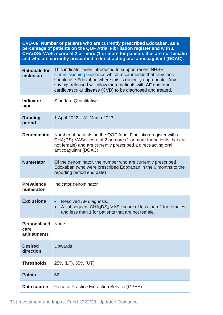| CVD-06: Number of patients who are currently prescribed Edoxaban, as a<br>percentage of patients on the QOF Atrial Fibrillation register and with a<br>CHA <sub>2</sub> DS <sub>2</sub> -VASc score of 2 or more (1 or more for patients that are not female)<br>and who are currently prescribed a direct-acting oral anticoagulant (DOAC). |                                                                                                                                                                                                                                                                                                                |
|----------------------------------------------------------------------------------------------------------------------------------------------------------------------------------------------------------------------------------------------------------------------------------------------------------------------------------------------|----------------------------------------------------------------------------------------------------------------------------------------------------------------------------------------------------------------------------------------------------------------------------------------------------------------|
| <b>Rationale for</b><br>inclusion                                                                                                                                                                                                                                                                                                            | This indicator been introduced to support recent NHSEI<br>Commissioning Guidance which recommends that clinicians<br>should use Edoxaban where this is clinically appropriate. Any<br>savings released will allow more patients with AF and other<br>cardiovascular disease (CVD) to be diagnosed and treated. |
| <b>Indicator</b><br>type                                                                                                                                                                                                                                                                                                                     | <b>Standard Quantitative</b>                                                                                                                                                                                                                                                                                   |
| <b>Running</b><br>period                                                                                                                                                                                                                                                                                                                     | 1 April 2022 - 31 March 2023                                                                                                                                                                                                                                                                                   |
| <b>Denominator</b>                                                                                                                                                                                                                                                                                                                           | Number of patients on the QOF Atrial Fibrillation register with a<br>CHA <sub>2</sub> DS <sub>2</sub> -VASc score of 2 or more (1 or more for patients that are<br>not female) and are currently prescribed a direct-acting oral<br>anticoagulant (DOAC)                                                       |
| <b>Numerator</b>                                                                                                                                                                                                                                                                                                                             | Of the denominator, the number who are currently prescribed<br>Edoxaban (who were prescribed Edoxaban in the 6 months to the<br>reporting period end date)                                                                                                                                                     |
| <b>Prevalence</b><br>numerator                                                                                                                                                                                                                                                                                                               | Indicator denominator                                                                                                                                                                                                                                                                                          |
| <b>Exclusions</b>                                                                                                                                                                                                                                                                                                                            | Resolved AF diagnosis.<br>A subsequent CHA <sub>2</sub> DS <sub>2</sub> -VAS <sub>c</sub> score of less than 2 for females<br>and less than 1 for patients that are not female.                                                                                                                                |
| <b>Personalised</b><br>care<br>adjustments                                                                                                                                                                                                                                                                                                   | <b>None</b>                                                                                                                                                                                                                                                                                                    |
| <b>Desired</b><br>direction                                                                                                                                                                                                                                                                                                                  | <b>Upwards</b>                                                                                                                                                                                                                                                                                                 |
| <b>Thresholds</b>                                                                                                                                                                                                                                                                                                                            | 25% (LT), 35% (UT)                                                                                                                                                                                                                                                                                             |
| <b>Points</b>                                                                                                                                                                                                                                                                                                                                | 66                                                                                                                                                                                                                                                                                                             |
| Data source                                                                                                                                                                                                                                                                                                                                  | <b>General Practice Extraction Service (GPES)</b>                                                                                                                                                                                                                                                              |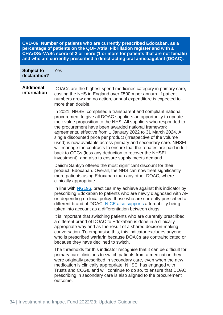| CVD-06: Number of patients who are currently prescribed Edoxaban, as a                                             |
|--------------------------------------------------------------------------------------------------------------------|
| percentage of patients on the QOF Atrial Fibrillation register and with a                                          |
| CHA <sub>2</sub> DS <sub>2</sub> -VAS <sub>C</sub> score of 2 or more (1 or more for patients that are not female) |
| and who are currently prescribed a direct-acting oral anticoagulant (DOAC).                                        |

| <b>Subject to</b><br>declaration? | Yes                                                                                                                                                                                                                                                                                                                                                                                                                                                                                                                                                                                                                                                             |
|-----------------------------------|-----------------------------------------------------------------------------------------------------------------------------------------------------------------------------------------------------------------------------------------------------------------------------------------------------------------------------------------------------------------------------------------------------------------------------------------------------------------------------------------------------------------------------------------------------------------------------------------------------------------------------------------------------------------|
| <b>Additional</b><br>information  | DOACs are the highest spend medicines category in primary care,<br>costing the NHS in England over £500m per annum. If patient<br>numbers grow and no action, annual expenditure is expected to<br>more than double.                                                                                                                                                                                                                                                                                                                                                                                                                                            |
|                                   | In 2021, NHSEI completed a transparent and compliant national<br>procurement to give all DOAC suppliers an opportunity to update<br>their value proposition to the NHS. All suppliers who responded to<br>the procurement have been awarded national framework<br>agreements, effective from 1 January 2022 to 31 March 2024. A<br>single discounted price per product (irrespective of the volume<br>used) is now available across primary and secondary care. NHSEI<br>will manage the contracts to ensure that the rebates are paid in full<br>back to CCGs (less any deduction to recover the NHSEI<br>investment), and also to ensure supply meets demand. |
|                                   | Daiichi Sankyo offered the most significant discount for their<br>product, Edoxaban. Overall, the NHS can now treat significantly<br>more patients using Edoxaban than any other DOAC, where<br>clinically appropriate.                                                                                                                                                                                                                                                                                                                                                                                                                                         |
|                                   | In line with NG196, practices may achieve against this indicator by<br>prescribing Edoxaban to patients who are newly diagnosed with AF<br>or, depending on local policy, those who are currently prescribed a<br>different brand of DOAC. NICE also supports affordability being<br>taken into account as a differentiation between drugs.                                                                                                                                                                                                                                                                                                                     |
|                                   | It is important that switching patients who are currently prescribed<br>a different brand of DOAC to Edoxaban is done in a clinically<br>appropriate way and as the result of a shared decision-making<br>conversation. To emphasise this, this indicator excludes anyone<br>who is prescribed warfarin because DOACs are contraindicated or<br>because they have declined to switch.                                                                                                                                                                                                                                                                           |
|                                   | The thresholds for this indicator recognise that it can be difficult for<br>primary care clinicians to switch patients from a medication they<br>were originally prescribed in secondary care, even when the new<br>medication is clinically appropriate. NHSEI has engaged with<br>Trusts and CCGs, and will continue to do so, to ensure that DOAC<br>prescribing in secondary care is also aligned to the procurement<br>outcome.                                                                                                                                                                                                                            |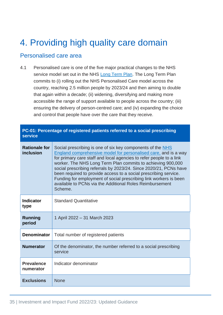# <span id="page-35-0"></span>4. Providing high quality care domain

#### <span id="page-35-1"></span>Personalised care area

4.1 Personalised care is one of the five major practical changes to the NHS service model set out in the NHS [Long Term Plan.](https://www.longtermplan.nhs.uk/wp-content/uploads/2019/08/nhs-long-term-plan-version-1.2.pdf) The Long Term Plan commits to (i) rolling out the NHS Personalised Care model across the country, reaching 2.5 million people by 2023/24 and then aiming to double that again within a decade; (ii) widening, diversifying and making more accessible the range of support available to people across the country; (iii) ensuring the delivery of person-centred care; and (iv) expanding the choice and control that people have over the care that they receive.

**PC-01: Percentage of registered patients referred to a social prescribing** 

| <u>oomago or rogialorou pationia roiorroa lo a aooiar proagriphig</u><br><b>service</b> |                                                                                                                                                                                                                                                                                                                                                                                                                                                                                                                                                          |
|-----------------------------------------------------------------------------------------|----------------------------------------------------------------------------------------------------------------------------------------------------------------------------------------------------------------------------------------------------------------------------------------------------------------------------------------------------------------------------------------------------------------------------------------------------------------------------------------------------------------------------------------------------------|
| <b>Rationale for</b><br>inclusion                                                       | Social prescribing is one of six key components of the NHS<br>England comprehensive model for personalised care, and is a way<br>for primary care staff and local agencies to refer people to a link<br>worker. The NHS Long Term Plan commits to achieving 900,000<br>social prescribing referrals by 2023/24. Since 2020/21, PCNs have<br>been required to provide access to a social prescribing service.<br>Funding for employment of social prescribing link workers is been<br>available to PCNs via the Additional Roles Reimbursement<br>Scheme. |
| <b>Indicator</b><br>type                                                                | <b>Standard Quantitative</b>                                                                                                                                                                                                                                                                                                                                                                                                                                                                                                                             |
| <b>Running</b><br>period                                                                | 1 April 2022 - 31 March 2023                                                                                                                                                                                                                                                                                                                                                                                                                                                                                                                             |
| <b>Denominator</b>                                                                      | Total number of registered patients                                                                                                                                                                                                                                                                                                                                                                                                                                                                                                                      |
| <b>Numerator</b>                                                                        | Of the denominator, the number referred to a social prescribing<br>service                                                                                                                                                                                                                                                                                                                                                                                                                                                                               |
| <b>Prevalence</b><br>numerator                                                          | Indicator denominator                                                                                                                                                                                                                                                                                                                                                                                                                                                                                                                                    |
| <b>Exclusions</b>                                                                       | <b>None</b>                                                                                                                                                                                                                                                                                                                                                                                                                                                                                                                                              |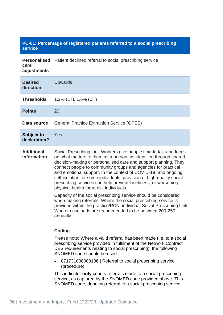# **PC-01: Percentage of registered patients referred to a social prescribing service**

| <b>Personalised</b><br>care<br>adjustments | Patient declined referral to social prescribing service                                                                                                                                                                                                                                                                                                                                                                                                                                                                                                                                                                                                                                                                                                                                                                                                                                                                                                                                                                                                                                                                                                                                                                                                                                                                                                                     |
|--------------------------------------------|-----------------------------------------------------------------------------------------------------------------------------------------------------------------------------------------------------------------------------------------------------------------------------------------------------------------------------------------------------------------------------------------------------------------------------------------------------------------------------------------------------------------------------------------------------------------------------------------------------------------------------------------------------------------------------------------------------------------------------------------------------------------------------------------------------------------------------------------------------------------------------------------------------------------------------------------------------------------------------------------------------------------------------------------------------------------------------------------------------------------------------------------------------------------------------------------------------------------------------------------------------------------------------------------------------------------------------------------------------------------------------|
| <b>Desired</b><br>direction                | <b>Upwards</b>                                                                                                                                                                                                                                                                                                                                                                                                                                                                                                                                                                                                                                                                                                                                                                                                                                                                                                                                                                                                                                                                                                                                                                                                                                                                                                                                                              |
| <b>Thresholds</b>                          | $1.2\%$ (LT), $1.6\%$ (UT)                                                                                                                                                                                                                                                                                                                                                                                                                                                                                                                                                                                                                                                                                                                                                                                                                                                                                                                                                                                                                                                                                                                                                                                                                                                                                                                                                  |
| <b>Points</b>                              | 20                                                                                                                                                                                                                                                                                                                                                                                                                                                                                                                                                                                                                                                                                                                                                                                                                                                                                                                                                                                                                                                                                                                                                                                                                                                                                                                                                                          |
| Data source                                | <b>General Practice Extraction Service (GPES)</b>                                                                                                                                                                                                                                                                                                                                                                                                                                                                                                                                                                                                                                                                                                                                                                                                                                                                                                                                                                                                                                                                                                                                                                                                                                                                                                                           |
| <b>Subject to</b><br>declaration?          | Yes                                                                                                                                                                                                                                                                                                                                                                                                                                                                                                                                                                                                                                                                                                                                                                                                                                                                                                                                                                                                                                                                                                                                                                                                                                                                                                                                                                         |
| <b>Additional</b><br>information           | Social Prescribing Link Workers give people time to talk and focus<br>on what matters to them as a person, as identified through shared<br>decision-making or personalised care and support planning. They<br>connect people to community groups and agencies for practical<br>and emotional support. In the context of COVID-19, and ongoing<br>self-isolation for some individuals, provision of high-quality social<br>prescribing services can help prevent loneliness, or worsening<br>physical health for at risk individuals.<br>Capacity of the social prescribing service should be considered<br>when making referrals. Where the social prescribing service is<br>provided within the practice/PCN, individual Social Prescribing Link<br>Worker caseloads are recommended to be between 200-250<br>annually.<br><b>Coding</b><br>Please note: Where a valid referral has been made (i.e. to a social<br>prescribing service provided in fulfilment of the Network Contract<br>DES requirements relating to social prescribing), the following<br>SNOMED code should be used:<br>871731000000106   Referral to social prescribing service<br>(procedure)<br>This indicator only counts referrals made to a social prescribing<br>service, as captured by the SNOMED code provided above. This<br>SNOMED code, denoting referral to a social prescribing service, |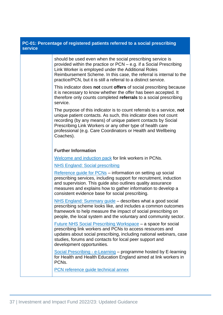| PC-01: Percentage of registered patients referred to a social prescribing<br><b>service</b> |                                                                                                                                                                                                                                                                                                                                                     |  |
|---------------------------------------------------------------------------------------------|-----------------------------------------------------------------------------------------------------------------------------------------------------------------------------------------------------------------------------------------------------------------------------------------------------------------------------------------------------|--|
|                                                                                             | should be used even when the social prescribing service is<br>provided within the practice or PCN – e.g. if a Social Prescribing<br>Link Worker is employed under the Additional Roles<br>Reimbursement Scheme. In this case, the referral is internal to the<br>practice/PCN, but it is still a referral to a distinct service.                    |  |
|                                                                                             | This indicator does not count offers of social prescribing because<br>it is necessary to know whether the offer has been accepted. It<br>therefore only counts completed referrals to a social prescribing<br>service.                                                                                                                              |  |
|                                                                                             | The purpose of this indicator is to count referrals to a service, not<br>unique patient contacts. As such, this indicator does not count<br>recording (by any means) of unique patient contacts by Social<br>Prescribing Link Workers or any other type of health care<br>professional (e.g. Care Coordinators or Health and Wellbeing<br>Coaches). |  |
|                                                                                             | <b>Further Information</b>                                                                                                                                                                                                                                                                                                                          |  |
|                                                                                             | Welcome and induction pack for link workers in PCNs.                                                                                                                                                                                                                                                                                                |  |
|                                                                                             | <b>NHS England: Social prescribing</b>                                                                                                                                                                                                                                                                                                              |  |
|                                                                                             | Reference guide for PCNs - information on setting up social<br>prescribing services, including support for recruitment, induction<br>and supervision. This guide also outlines quality assurance<br>measures and explains how to gather information to develop a<br>consistent evidence base for social prescribing.                                |  |
|                                                                                             | NHS England: Summary guide - describes what a good social<br>prescribing scheme looks like, and includes a common outcomes<br>framework to help measure the impact of social prescribing on<br>people, the local system and the voluntary and community sector.                                                                                     |  |
|                                                                                             | <u>Future NHS Social Prescribing Workspace</u> – a space for social<br>prescribing link workers and PCNs to access resources and<br>updates about social prescribing, including national webinars, case<br>studies, forums and contacts for local peer support and<br>development opportunities.                                                    |  |
|                                                                                             | Social Prescribing - e-Learning – programme hosted by E-learning<br>for Health and Health Education England aimed at link workers in<br>PCN <sub>s</sub> .                                                                                                                                                                                          |  |
|                                                                                             | PCN reference guide technical annex                                                                                                                                                                                                                                                                                                                 |  |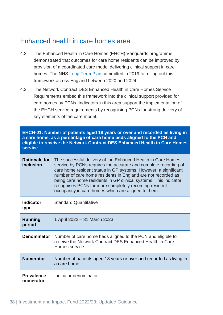# Enhanced health in care homes area

- 4.2 The Enhanced Health in Care Homes (EHCH) Vanguards programme demonstrated that outcomes for care home residents can be improved by provision of a coordinated care model delivering clinical support in care homes. The NHS [Long Term Plan](https://www.longtermplan.nhs.uk/wp-content/uploads/2019/08/nhs-long-term-plan-version-1.2.pdf) committed in 2019 to rolling out this framework across England between 2020 and 2024.
- 4.3 The Network Contract DES Enhanced Health in Care Homes Service Requirements embed this framework into the clinical support provided for care homes by PCNs. Indicators in this area support the implementation of the EHCH service requirements by recognising PCNs for strong delivery of key elements of the care model.

**EHCH-01: Number of patients aged 18 years or over and recorded as living in a care home, as a percentage of care home beds aligned to the PCN and eligible to receive the Network Contract DES Enhanced Health in Care Homes service**

| <b>Rationale for</b><br>inclusion | The successful delivery of the Enhanced Health in Care Homes<br>service by PCNs requires the accurate and complete recording of<br>care home resident status in GP systems. However, a significant<br>number of care home residents in England are not recorded as<br>being care home residents in GP clinical systems. This indicator<br>recognises PCNs for more completely recording resident<br>occupancy in care homes which are aligned to them. |
|-----------------------------------|--------------------------------------------------------------------------------------------------------------------------------------------------------------------------------------------------------------------------------------------------------------------------------------------------------------------------------------------------------------------------------------------------------------------------------------------------------|
| <b>Indicator</b><br>type          | <b>Standard Quantitative</b>                                                                                                                                                                                                                                                                                                                                                                                                                           |
| Running<br>period                 | 1 April 2022 – 31 March 2023                                                                                                                                                                                                                                                                                                                                                                                                                           |
| <b>Denominator</b>                | Number of care home beds aligned to the PCN and eligible to<br>receive the Network Contract DES Enhanced Health in Care<br>Homes service                                                                                                                                                                                                                                                                                                               |
| <b>Numerator</b>                  | Number of patients aged 18 years or over and recorded as living in<br>a care home                                                                                                                                                                                                                                                                                                                                                                      |
| <b>Prevalence</b><br>numerator    | Indicator denominator                                                                                                                                                                                                                                                                                                                                                                                                                                  |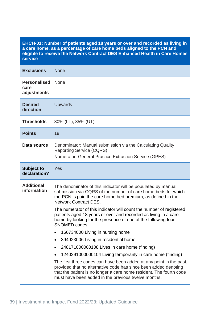### **EHCH-01: Number of patients aged 18 years or over and recorded as living in a care home, as a percentage of care home beds aligned to the PCN and eligible to receive the Network Contract DES Enhanced Health in Care Homes service**

| <b>Exclusions</b>                          | <b>None</b>                                                                                                                                                                                                                                                                                                                                                                                                                                                                                                                                                                                                                                                                                                                                                                                                                                                                                                                              |
|--------------------------------------------|------------------------------------------------------------------------------------------------------------------------------------------------------------------------------------------------------------------------------------------------------------------------------------------------------------------------------------------------------------------------------------------------------------------------------------------------------------------------------------------------------------------------------------------------------------------------------------------------------------------------------------------------------------------------------------------------------------------------------------------------------------------------------------------------------------------------------------------------------------------------------------------------------------------------------------------|
| <b>Personalised</b><br>care<br>adjustments | <b>None</b>                                                                                                                                                                                                                                                                                                                                                                                                                                                                                                                                                                                                                                                                                                                                                                                                                                                                                                                              |
| <b>Desired</b><br>direction                | <b>Upwards</b>                                                                                                                                                                                                                                                                                                                                                                                                                                                                                                                                                                                                                                                                                                                                                                                                                                                                                                                           |
| <b>Thresholds</b>                          | 30% (LT), 85% (UT)                                                                                                                                                                                                                                                                                                                                                                                                                                                                                                                                                                                                                                                                                                                                                                                                                                                                                                                       |
| <b>Points</b>                              | 18                                                                                                                                                                                                                                                                                                                                                                                                                                                                                                                                                                                                                                                                                                                                                                                                                                                                                                                                       |
| Data source                                | Denominator: Manual submission via the Calculating Quality<br><b>Reporting Service (CQRS)</b><br><b>Numerator: General Practice Extraction Service (GPES)</b>                                                                                                                                                                                                                                                                                                                                                                                                                                                                                                                                                                                                                                                                                                                                                                            |
| <b>Subject to</b><br>declaration?          | Yes                                                                                                                                                                                                                                                                                                                                                                                                                                                                                                                                                                                                                                                                                                                                                                                                                                                                                                                                      |
| <b>Additional</b><br>information           | The denominator of this indicator will be populated by manual<br>submission via CQRS of the number of care home beds for which<br>the PCN is paid the care home bed premium, as defined in the<br><b>Network Contract DES.</b><br>The numerator of this indicator will count the number of registered<br>patients aged 18 years or over and recorded as living in a care<br>home by looking for the presence of one of the following four<br><b>SNOMED codes:</b><br>160734000 Living in nursing home<br>394923006 Living in residential home<br>248171000000108 Lives in care home (finding)<br>٠<br>1240291000000104 Living temporarily in care home (finding)<br>The first three codes can have been added at any point in the past,<br>provided that no alternative code has since been added denoting<br>that the patient is no longer a care home resident. The fourth code<br>must have been added in the previous twelve months. |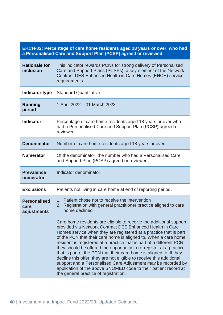| EHCH-02: Percentage of care home residents aged 18 years or over, who had<br>a Personalised Care and Support Plan (PCSP) agreed or reviewed |                                                                                                                                                                                                                                                                                                                                                                                                                                                                                                                                                                                                                                                                                                                                                                                                                                                                                                   |
|---------------------------------------------------------------------------------------------------------------------------------------------|---------------------------------------------------------------------------------------------------------------------------------------------------------------------------------------------------------------------------------------------------------------------------------------------------------------------------------------------------------------------------------------------------------------------------------------------------------------------------------------------------------------------------------------------------------------------------------------------------------------------------------------------------------------------------------------------------------------------------------------------------------------------------------------------------------------------------------------------------------------------------------------------------|
| <b>Rationale for</b><br>inclusion                                                                                                           | This indicator rewards PCNs for strong delivery of Personalised<br>Care and Support Plans (PCSPs), a key element of the Network<br>Contract DES Enhanced Health in Care Homes (EHCH) service<br>requirements.                                                                                                                                                                                                                                                                                                                                                                                                                                                                                                                                                                                                                                                                                     |
| Indicator type                                                                                                                              | <b>Standard Quantitative</b>                                                                                                                                                                                                                                                                                                                                                                                                                                                                                                                                                                                                                                                                                                                                                                                                                                                                      |
| <b>Running</b><br>period                                                                                                                    | 1 April 2022 - 31 March 2023                                                                                                                                                                                                                                                                                                                                                                                                                                                                                                                                                                                                                                                                                                                                                                                                                                                                      |
| <b>Indicator</b>                                                                                                                            | Percentage of care home residents aged 18 years or over who<br>had a Personalised Care and Support Plan (PCSP) agreed or<br>reviewed.                                                                                                                                                                                                                                                                                                                                                                                                                                                                                                                                                                                                                                                                                                                                                             |
| <b>Denominator</b>                                                                                                                          | Number of care home residents aged 18 years or over.                                                                                                                                                                                                                                                                                                                                                                                                                                                                                                                                                                                                                                                                                                                                                                                                                                              |
| <b>Numerator</b>                                                                                                                            | Of the denominator, the number who had a Personalised Care<br>and Support Plan (PCSP) agreed or reviewed.                                                                                                                                                                                                                                                                                                                                                                                                                                                                                                                                                                                                                                                                                                                                                                                         |
| <b>Prevalence</b><br>numerator                                                                                                              | Indicator denominator.                                                                                                                                                                                                                                                                                                                                                                                                                                                                                                                                                                                                                                                                                                                                                                                                                                                                            |
| <b>Exclusions</b>                                                                                                                           | Patients not living in care home at end of reporting period.                                                                                                                                                                                                                                                                                                                                                                                                                                                                                                                                                                                                                                                                                                                                                                                                                                      |
| <b>Personalised</b><br>care<br>adjustments                                                                                                  | 1. Patient chose not to receive the intervention<br>Registration with general practitioner practice aligned to care<br>2.<br>home declined<br>Care home residents are eligible to receive the additional support<br>provided via Network Contract DES Enhanced Health in Care<br>Homes service when they are registered at a practice that is part<br>of the PCN that their care home is aligned to. When a care home<br>resident is registered at a practice that is part of a different PCN,<br>they should be offered the opportunity to re-register at a practice<br>that is part of the PCN that their care home is aligned to. If they<br>decline this offer, they are not eligible to receive this additional<br>support and a Personalised Care Adjustment may be recorded by<br>application of the above SNOMED code to their patient record at<br>the general practice of registration. |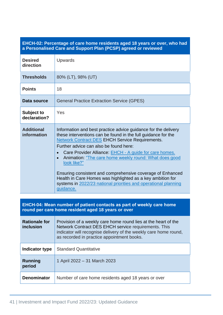## **EHCH-02: Percentage of care home residents aged 18 years or over, who had a Personalised Care and Support Plan (PCSP) agreed or reviewed**

| <b>Desired</b><br>direction                                                                                                | Upwards                                                                                                                                                                                                                                                                                                                                                                                                                                                                                                                                                                                                      |  |
|----------------------------------------------------------------------------------------------------------------------------|--------------------------------------------------------------------------------------------------------------------------------------------------------------------------------------------------------------------------------------------------------------------------------------------------------------------------------------------------------------------------------------------------------------------------------------------------------------------------------------------------------------------------------------------------------------------------------------------------------------|--|
| <b>Thresholds</b>                                                                                                          | 80% (LT), 98% (UT)                                                                                                                                                                                                                                                                                                                                                                                                                                                                                                                                                                                           |  |
| <b>Points</b>                                                                                                              | 18                                                                                                                                                                                                                                                                                                                                                                                                                                                                                                                                                                                                           |  |
| Data source                                                                                                                | <b>General Practice Extraction Service (GPES)</b>                                                                                                                                                                                                                                                                                                                                                                                                                                                                                                                                                            |  |
| <b>Subject to</b><br>declaration?                                                                                          | Yes                                                                                                                                                                                                                                                                                                                                                                                                                                                                                                                                                                                                          |  |
| <b>Additional</b><br>information                                                                                           | Information and best practice advice guidance for the delivery<br>these interventions can be found in the full guidance for the<br><b>Network Contract DES EHCH Service Requirements.</b><br>Further advice can also be found here:<br>Care Provider Alliance: EHCH - A guide for care homes.<br>$\bullet$<br>Animation: "The care home weekly round: What does good<br>$\bullet$<br>look like?"<br>Ensuring consistent and comprehensive coverage of Enhanced<br>Health in Care Homes was highlighted as a key ambition for<br>systems in 2022/23 national priorities and operational planning<br>guidance. |  |
| EHCH-04: Mean number of patient contacts as part of weekly care home<br>round per care home resident aged 18 years or over |                                                                                                                                                                                                                                                                                                                                                                                                                                                                                                                                                                                                              |  |
| <b>Rationale for</b><br>inclusion                                                                                          | Provision of a weekly care home round lies at the heart of the<br>Network Contract DES EHCH service requirements. This<br>indicator will recognise delivery of the weekly care home round,<br>as recorded in practice appointment books.                                                                                                                                                                                                                                                                                                                                                                     |  |
| Indicator type                                                                                                             | <b>Standard Quantitative</b>                                                                                                                                                                                                                                                                                                                                                                                                                                                                                                                                                                                 |  |
| <b>Running</b><br>period                                                                                                   | 1 April 2022 - 31 March 2023                                                                                                                                                                                                                                                                                                                                                                                                                                                                                                                                                                                 |  |
| <b>Denominator</b>                                                                                                         | Number of care home residents aged 18 years or over                                                                                                                                                                                                                                                                                                                                                                                                                                                                                                                                                          |  |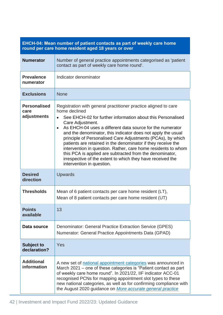| EHCH-04: Mean number of patient contacts as part of weekly care nome<br>round per care home resident aged 18 years or over |                                                                                                                                                                                                                                                                                                                                                                                                                                                                                                                                                                                                                                                                                   |
|----------------------------------------------------------------------------------------------------------------------------|-----------------------------------------------------------------------------------------------------------------------------------------------------------------------------------------------------------------------------------------------------------------------------------------------------------------------------------------------------------------------------------------------------------------------------------------------------------------------------------------------------------------------------------------------------------------------------------------------------------------------------------------------------------------------------------|
| <b>Numerator</b>                                                                                                           | Number of general practice appointments categorised as 'patient<br>contact as part of weekly care home round'.                                                                                                                                                                                                                                                                                                                                                                                                                                                                                                                                                                    |
| <b>Prevalence</b><br>numerator                                                                                             | Indicator denominator                                                                                                                                                                                                                                                                                                                                                                                                                                                                                                                                                                                                                                                             |
| <b>Exclusions</b>                                                                                                          | <b>None</b>                                                                                                                                                                                                                                                                                                                                                                                                                                                                                                                                                                                                                                                                       |
| <b>Personalised</b><br>care<br>adjustments                                                                                 | Registration with general practitioner practice aligned to care<br>home declined<br>See EHCH-02 for further information about this Personalised<br>$\bullet$<br>Care Adjustment.<br>As EHCH-04 uses a different data source for the numerator<br>$\bullet$<br>and the denominator, this indicator does not apply the usual<br>principle of Personalised Care Adjustments (PCAs), by which<br>patients are retained in the denominator if they receive the<br>intervention in question. Rather, care home residents to whom<br>this PCA is applied are subtracted from the denominator,<br>irrespective of the extent to which they have received the<br>intervention in question. |
| <b>Desired</b><br>direction                                                                                                | <b>Upwards</b>                                                                                                                                                                                                                                                                                                                                                                                                                                                                                                                                                                                                                                                                    |
| <b>Thresholds</b>                                                                                                          | Mean of 6 patient contacts per care home resident (LT),<br>Mean of 8 patient contacts per care home resident (UT)                                                                                                                                                                                                                                                                                                                                                                                                                                                                                                                                                                 |
| <b>Points</b><br>available                                                                                                 | 13                                                                                                                                                                                                                                                                                                                                                                                                                                                                                                                                                                                                                                                                                |
| Data source                                                                                                                | Denominator: General Practice Extraction Service (GPES)<br>Numerator: General Practice Appointments Data (GPAD)                                                                                                                                                                                                                                                                                                                                                                                                                                                                                                                                                                   |
| <b>Subject to</b><br>declaration?                                                                                          | Yes                                                                                                                                                                                                                                                                                                                                                                                                                                                                                                                                                                                                                                                                               |
| <b>Additional</b><br>information                                                                                           | A new set of national appointment categories was announced in<br>March 2021 – one of these categories is "Patient contact as part<br>of weekly care home round". In 2021/22, IIF indicator ACC-01<br>recognised PCNs for mapping appointment slot types to these<br>new national categories, as well as for confirming compliance with<br>the August 2020 guidance on More accurate general practice                                                                                                                                                                                                                                                                              |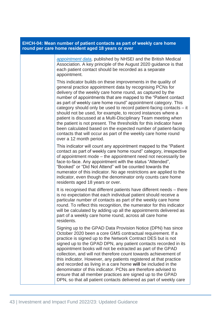| <b>EHCH-04: Mean number of patient contacts as part of weekly care home</b><br>round per care home resident aged 18 years or over |                                                                                                                                                                                                                                                                                                                                                                                                                                                                                                                                                                                                                                                                                                                                                                            |  |
|-----------------------------------------------------------------------------------------------------------------------------------|----------------------------------------------------------------------------------------------------------------------------------------------------------------------------------------------------------------------------------------------------------------------------------------------------------------------------------------------------------------------------------------------------------------------------------------------------------------------------------------------------------------------------------------------------------------------------------------------------------------------------------------------------------------------------------------------------------------------------------------------------------------------------|--|
|                                                                                                                                   | appointment data, published by NHSEI and the British Medical<br>Association. A key principle of the August 2020 guidance is that<br>each patient contact should be recorded as a separate<br>appointment.                                                                                                                                                                                                                                                                                                                                                                                                                                                                                                                                                                  |  |
|                                                                                                                                   | This indicator builds on these improvements in the quality of<br>general practice appointment data by recognising PCNs for<br>delivery of the weekly care home round, as captured by the<br>number of appointments that are mapped to the "Patient contact"<br>as part of weekly care home round" appointment category. This<br>category should only be used to record patient-facing contacts – it<br>should not be used, for example, to record instances where a<br>patient is discussed at a Multi-Disciplinary Team meeting when<br>the patient is not present. The thresholds for this indicator have<br>been calculated based on the expected number of patient-facing<br>contacts that will occur as part of the weekly care home round<br>over a 12 month period. |  |
|                                                                                                                                   | This indicator will count any appointment mapped to the "Patient"<br>contact as part of weekly care home round" category, irrespective<br>of appointment mode – the appointment need not necessarily be<br>face-to-face. Any appointment with the status "Attended",<br>"Booked" or "Did Not Attend" will be counted towards the<br>numerator of this indicator. No age restrictions are applied to the<br>indicator, even though the denominator only counts care home<br>residents aged 18 years or over.                                                                                                                                                                                                                                                                |  |
|                                                                                                                                   | It is recognised that different patients have different needs – there<br>is no expectation that each individual patient should receive a<br>particular number of contacts as part of the weekly care home<br>round. To reflect this recognition, the numerator for this indicator<br>will be calculated by adding up all the appointments delivered as<br>part of a weekly care home round, across all care home<br>residents.                                                                                                                                                                                                                                                                                                                                             |  |
|                                                                                                                                   | Signing up to the GPAD Data Provision Notice (DPN) has since<br>October 2020 been a core GMS contractual requirement. If a<br>practice is signed up to the Network Contract DES but is not<br>signed up to the GPAD DPN, any patient contacts recorded in its<br>appointment books will not be extracted as part of the GPAD<br>collection, and will not therefore count towards achievement of<br>this indicator. However, any patients registered at that practice<br>and recorded as living in a care home will be included in the<br>denominator of this indicator. PCNs are therefore advised to<br>ensure that all member practices are signed up to the GPAD<br>DPN, so that all patient contacts delivered as part of weekly care                                  |  |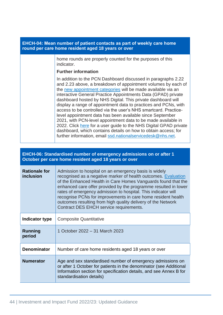| EHCH-04: Mean number of patient contacts as part of weekly care home<br>round per care home resident aged 18 years or over |                                                                                                                                                                                                                                                                                                                                                                                                                                                                                                                                                                                                                                                                                                                                                                                                           |
|----------------------------------------------------------------------------------------------------------------------------|-----------------------------------------------------------------------------------------------------------------------------------------------------------------------------------------------------------------------------------------------------------------------------------------------------------------------------------------------------------------------------------------------------------------------------------------------------------------------------------------------------------------------------------------------------------------------------------------------------------------------------------------------------------------------------------------------------------------------------------------------------------------------------------------------------------|
|                                                                                                                            | home rounds are properly counted for the purposes of this<br>indicator.                                                                                                                                                                                                                                                                                                                                                                                                                                                                                                                                                                                                                                                                                                                                   |
|                                                                                                                            | <b>Further information</b>                                                                                                                                                                                                                                                                                                                                                                                                                                                                                                                                                                                                                                                                                                                                                                                |
|                                                                                                                            | In addition to the PCN Dashboard discussed in paragraphs 2.22<br>and 2.23 above, a breakdown of appointment volumes by each of<br>the new appointment categories will be made available via an<br>interactive General Practice Appointments Data (GPAD) private<br>dashboard hosted by NHS Digital. This private dashboard will<br>display a range of appointment data to practices and PCNs, with<br>access to be controlled via the user's NHS smartcard. Practice-<br>level appointment data has been available since September<br>2021, with PCN-level appointment data to be made available in<br>2022. Click here for a user guide to the NHS Digital GPAD private<br>dashboard, which contains details on how to obtain access; for<br>further information, email ssd.nationalservicedesk@nhs.net. |

| EHCH-06: Standardised number of emergency admissions on or after 1<br>October per care home resident aged 18 years or over |                                                                                                                                                                                                                                                                                                                                                                                                                                                                                                         |
|----------------------------------------------------------------------------------------------------------------------------|---------------------------------------------------------------------------------------------------------------------------------------------------------------------------------------------------------------------------------------------------------------------------------------------------------------------------------------------------------------------------------------------------------------------------------------------------------------------------------------------------------|
| <b>Rationale for</b><br>inclusion                                                                                          | Admission to hospital on an emergency basis is widely<br>recognised as a negative marker of health outcomes. Evaluation<br>of the Enhanced Health in Care Homes Vanguards found that the<br>enhanced care offer provided by the programme resulted in lower<br>rates of emergency admission to hospital. This indicator will<br>recognise PCNs for improvements in care home resident health<br>outcomes resulting from high quality delivery of the Network<br>Contract DES EHCH service requirements. |
| Indicator type                                                                                                             | <b>Composite Quantitative</b>                                                                                                                                                                                                                                                                                                                                                                                                                                                                           |
| Running<br>period                                                                                                          | 1 October 2022 - 31 March 2023                                                                                                                                                                                                                                                                                                                                                                                                                                                                          |
| <b>Denominator</b>                                                                                                         | Number of care home residents aged 18 years or over                                                                                                                                                                                                                                                                                                                                                                                                                                                     |
| <b>Numerator</b>                                                                                                           | Age and sex standardised number of emergency admissions on<br>or after 1 October for patients in the denominator (see Additional<br>Information section for specification details, and see Annex B for<br>standardisation details)                                                                                                                                                                                                                                                                      |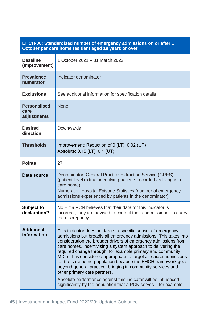| EHCH-06: Standardised number of emergency admissions on or after 1 |  |
|--------------------------------------------------------------------|--|
| October per care home resident aged 18 years or over               |  |

| <b>Baseline</b><br>(Improvement)           | 1 October 2021 - 31 March 2022                                                                                                                                                                                                                                                                                                                                                                                                                                                                                                                                                                                                                                                                              |
|--------------------------------------------|-------------------------------------------------------------------------------------------------------------------------------------------------------------------------------------------------------------------------------------------------------------------------------------------------------------------------------------------------------------------------------------------------------------------------------------------------------------------------------------------------------------------------------------------------------------------------------------------------------------------------------------------------------------------------------------------------------------|
| <b>Prevalence</b><br>numerator             | Indicator denominator                                                                                                                                                                                                                                                                                                                                                                                                                                                                                                                                                                                                                                                                                       |
| <b>Exclusions</b>                          | See additional information for specification details                                                                                                                                                                                                                                                                                                                                                                                                                                                                                                                                                                                                                                                        |
| <b>Personalised</b><br>care<br>adjustments | <b>None</b>                                                                                                                                                                                                                                                                                                                                                                                                                                                                                                                                                                                                                                                                                                 |
| <b>Desired</b><br>direction                | Downwards                                                                                                                                                                                                                                                                                                                                                                                                                                                                                                                                                                                                                                                                                                   |
| <b>Thresholds</b>                          | Improvement: Reduction of 0 (LT), 0.02 (UT)<br>Absolute: 0.15 (LT), 0.1 (UT)                                                                                                                                                                                                                                                                                                                                                                                                                                                                                                                                                                                                                                |
| <b>Points</b>                              | 27                                                                                                                                                                                                                                                                                                                                                                                                                                                                                                                                                                                                                                                                                                          |
| Data source                                | <b>Denominator: General Practice Extraction Service (GPES)</b><br>(patient level extract identifying patients recorded as living in a<br>care home).<br>Numerator: Hospital Episode Statistics (number of emergency<br>admissions experienced by patients in the denominator).                                                                                                                                                                                                                                                                                                                                                                                                                              |
| <b>Subject to</b><br>declaration?          | $No$ – if a PCN believes that their data for this indicator is<br>incorrect, they are advised to contact their commissioner to query<br>the discrepancy.                                                                                                                                                                                                                                                                                                                                                                                                                                                                                                                                                    |
| <b>Additional</b><br>information           | This indicator does not target a specific subset of emergency<br>admissions but broadly all emergency admissions. This takes into<br>consideration the broader drivers of emergency admissions from<br>care homes, incentivising a system approach to delivering the<br>required change through, for example primary and community<br>MDTs. It is considered appropriate to target all-cause admissions<br>for the care home population because the EHCH framework goes<br>beyond general practice, bringing in community services and<br>other primary care partners.<br>Absolute performance against this indicator will be influenced<br>significantly by the population that a PCN serves – for example |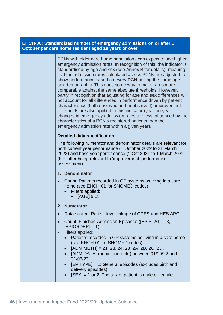### **EHCH-06: Standardised number of emergency admissions on or after 1 October per care home resident aged 18 years or over**

PCNs with older care home populations can expect to see higher emergency admission rates. In recognition of this, the indicator is standardised by age and sex (see Annex B for details), meaning that the admission rates calculated across PCNs are adjusted to show performance based on every PCN having the same agesex demographic. This goes some way to make rates more comparable against the same absolute thresholds. However, partly in recognition that adjusting for age and sex differences will not account for all differences in performance driven by patient characteristics (both observed and unobserved), improvement thresholds are also applied to this indicator (year-on-year changes in emergency admission rates are less influenced by the characteristics of a PCN's registered patients than the emergency admission rate within a given year).

### **Detailed data specification**

The following numerator and denominator details are relevant for both current year performance (1 October 2022 to 31 March 2023) and base year performance (1 Oct 2021 to 1 March 2022 (the latter being relevant to 'improvement' performance assessment).

### **1. Denominator**

- Count: Patients recorded in GP systems as living in a care home (see EHCH-01 for SNOMED codes).
	- Filters applied:
		- $[AGE] \geq 18.$
- **2. Numerator**
- Data source: Patient level linkage of GPES and HES APC.
- Count: Finished Admission Episodes ([EPISTAT] = 3,  $[EPIORDER] = 1]$
- Filters applied:
	- Patients recorded in GP systems as living in a care home (see EHCH-01 for SNOMED codes).
	- $[ADMIMETH] = 21, 23, 24, 28, 2A, 2B, 2C, 2D.$
	- [ADMIDATE] (admission date) between 01/10/22 and 31/03/23
	- [EPITYPE] = 1; General episodes (excludes birth and delivery episodes)
		- $[SEX] = 1$  or 2: The sex of patient is male or female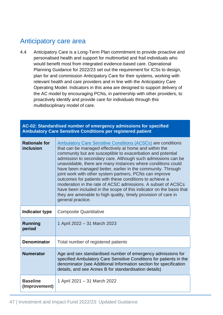# Anticipatory care area

4.4 Anticipatory Care is a Long-Term Plan commitment to provide proactive and personalised health and support for multimorbid and frail individuals who would benefit most from integrated evidence-based care. Operational Planning Guidance for 2022/23 set out the requirement for ICSs to design, plan for and commission Anticipatory Care for their systems, working with relevant health and care providers and in line with the Anticipatory Care Operating Model. Indicators in this area are designed to support delivery of the AC model by encouraging PCNs, in partnership with other providers, to proactively identify and provide care for individuals through this multidisciplinary model of care.

|                                   | AC-02: Standardised number of emergency admissions for specified<br><b>Ambulatory Care Sensitive Conditions per registered patient</b>                                                                                                                                                                                                                                                                                                                                                                                                                                                                                                                                                                                                          |
|-----------------------------------|-------------------------------------------------------------------------------------------------------------------------------------------------------------------------------------------------------------------------------------------------------------------------------------------------------------------------------------------------------------------------------------------------------------------------------------------------------------------------------------------------------------------------------------------------------------------------------------------------------------------------------------------------------------------------------------------------------------------------------------------------|
| <b>Rationale for</b><br>inclusion | <b>Ambulatory Care Sensitive Conditions (ACSCs) are conditions</b><br>that can be managed effectively at home and within the<br>community but are susceptible to exacerbation and potential<br>admission to secondary care. Although such admissions can be<br>unavoidable, there are many instances where conditions could<br>have been managed better, earlier in the community. Through<br>joint work with other system partners, PCNs can improve<br>outcomes for patients with these conditions to achieve a<br>moderation in the rate of ACSC admissions. A subset of ACSCs<br>have been included in the scope of this indicator on the basis that<br>they are amenable to high quality, timely provision of care in<br>general practice. |
| Indicator type                    | <b>Composite Quantitative</b>                                                                                                                                                                                                                                                                                                                                                                                                                                                                                                                                                                                                                                                                                                                   |
| <b>Running</b><br>period          | 1 April 2022 – 31 March 2023                                                                                                                                                                                                                                                                                                                                                                                                                                                                                                                                                                                                                                                                                                                    |
| <b>Denominator</b>                | Total number of registered patients                                                                                                                                                                                                                                                                                                                                                                                                                                                                                                                                                                                                                                                                                                             |
| <b>Numerator</b>                  | Age and sex standardised number of emergency admissions for<br>specified Ambulatory Care Sensitive Conditions for patients in the<br>denominator (see Additional Information section for specification<br>details, and see Annex B for standardisation details)                                                                                                                                                                                                                                                                                                                                                                                                                                                                                 |
| <b>Baseline</b><br>(Improvement)  | 1 April 2021 - 31 March 2022                                                                                                                                                                                                                                                                                                                                                                                                                                                                                                                                                                                                                                                                                                                    |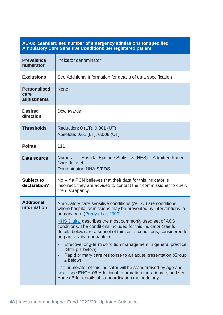## **AC-02: Standardised number of emergency admissions for specified Ambulatory Care Sensitive Conditions per registered patient**

| <b>Prevalence</b><br>numerator             | Indicator denominator                                                                                                                                                                                                                                                                                                                                                                                                                                                                                                                                                                                                                                                                                                                                                |
|--------------------------------------------|----------------------------------------------------------------------------------------------------------------------------------------------------------------------------------------------------------------------------------------------------------------------------------------------------------------------------------------------------------------------------------------------------------------------------------------------------------------------------------------------------------------------------------------------------------------------------------------------------------------------------------------------------------------------------------------------------------------------------------------------------------------------|
| <b>Exclusions</b>                          | See Additional Information for details of data specification                                                                                                                                                                                                                                                                                                                                                                                                                                                                                                                                                                                                                                                                                                         |
| <b>Personalised</b><br>care<br>adjustments | <b>None</b>                                                                                                                                                                                                                                                                                                                                                                                                                                                                                                                                                                                                                                                                                                                                                          |
| <b>Desired</b><br>direction                | Downwards                                                                                                                                                                                                                                                                                                                                                                                                                                                                                                                                                                                                                                                                                                                                                            |
| <b>Thresholds</b>                          | Reduction: 0 (LT), 0.001 (UT)<br>Absolute: 0.01 (LT), 0.008 (UT)                                                                                                                                                                                                                                                                                                                                                                                                                                                                                                                                                                                                                                                                                                     |
| <b>Points</b>                              | 111                                                                                                                                                                                                                                                                                                                                                                                                                                                                                                                                                                                                                                                                                                                                                                  |
| Data source                                | Numerator: Hospital Episode Statistics (HES) - Admitted Patient<br>Care dataset<br>Denominator: NHAIS/PDS                                                                                                                                                                                                                                                                                                                                                                                                                                                                                                                                                                                                                                                            |
| <b>Subject to</b><br>declaration?          | No – if a PCN believes that their data for this indicator is<br>incorrect, they are advised to contact their commissioner to query<br>the discrepancy.                                                                                                                                                                                                                                                                                                                                                                                                                                                                                                                                                                                                               |
| <b>Additional</b><br>information           | Ambulatory care sensitive conditions (ACSC) are conditions<br>where hospital admissions may be prevented by interventions in<br>primary care (Purdy et al, 2009).<br>NHS Digital describes the most commonly used set of ACS<br>conditions. The conditions included for this indicator (see full<br>details below) are a subset of this set of conditions, considered to<br>be particularly amenable to:<br>Effective long-term condition management in general practice<br>(Group 1 below).<br>Rapid primary care response to an acute presentation (Group<br>2 below)<br>The numerator of this indicator will be standardised by age and<br>sex – see EHCH-06 Additional Information for rationale, and see<br>Annex B for details of standardisation methodology. |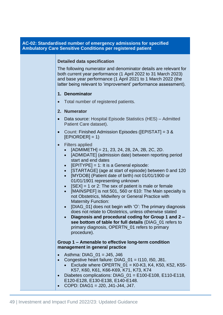### **AC-02: Standardised number of emergency admissions for specified Ambulatory Care Sensitive Conditions per registered patient**

#### **Detailed data specification**

The following numerator and denominator details are relevant for both current year performance (1 April 2022 to 31 March 2023) and base year performance (1 April 2021 to 1 March 2022 (the latter being relevant to 'improvement' performance assessment).

#### **1. Denominator**

• Total number of registered patients.

#### **2. Numerator**

- Data source: Hospital Episode Statistics (HES) Admitted Patient Care dataset).
- Count: Finished Admission Episodes ([EPISTAT] = 3 &  $[EPIORDER] = 1]$
- Filters applied
	- $[ADMIMETH] = 21, 23, 24, 28, 2A, 2B, 2C, 2D.$
	- [ADMIDATE] (admission date) between reporting period start and end dates
	- $[EPITYPE] = 1$ : It is a General episode:
	- [STARTAGE] (age at start of episode) between 0 and 120
	- [MYDOB] (Patient date of birth) not 01/01/1900 or 01/01/1901 representing unknown
	- $[SEX] = 1$  or 2: The sex of patient is male or female
	- [MAINSPEF] is not 501, 560 or 610: The Main specialty is not Obstetrics, Midwifery or General Practice with Maternity Function:
	- [DIAG 01] does not begin with 'O': The primary diagnosis does not relate to Obstetrics, unless otherwise stated
	- **Diagnosis and procedural coding for Group 1 and 2 – see bottom of table for full details** (DIAG\_01 refers to primary diagnosis, OPERTN\_01 refers to primary procedure).

#### **Group 1 – Amenable to effective long-term condition management in general practice**

- Asthma: DIAG  $01 = J45$ , J46
- Congestive heart failure: DIAG 01 = 1110, I50, J81.
	- Exclude where OPERTN  $01 = K0-K3$ , K4, K50, K52, K55-K57, K60, K61, K66-K69, K71, K73, K74
- Diabetes complications:  $DIAG_01 = E100-E108$ ,  $E110-E118$ , E120-E128, E130-E138, E140-E148.
- COPD: DIAG1 = J20, J41-J44, J47.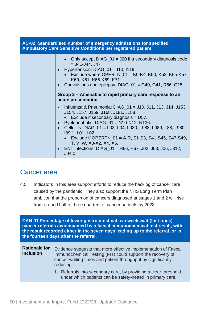| AC-02: Standardised number of emergency admissions for specified<br><b>Ambulatory Care Sensitive Conditions per registered patient</b> |                                                                                                                                                                                                                                                                                                                                                                                                                                                              |
|----------------------------------------------------------------------------------------------------------------------------------------|--------------------------------------------------------------------------------------------------------------------------------------------------------------------------------------------------------------------------------------------------------------------------------------------------------------------------------------------------------------------------------------------------------------------------------------------------------------|
|                                                                                                                                        | • Only accept DIAG_01 = J20 if a secondary diagnosis code<br>$=$ J41-J44, J47<br>• Hypertension: $DIAG_01 = 110$ , $1119$<br>• Exclude where OPERTN_01 = K0-K4, K50, K52, K55-K57,<br>K60, K61, K66-K69, K71<br>Convulsions and epilepsy: DIAG_01 = G40, G41, R56, O15.                                                                                                                                                                                      |
|                                                                                                                                        | Group 2 – Amenable to rapid primary care response to an<br>acute presentation                                                                                                                                                                                                                                                                                                                                                                                |
|                                                                                                                                        | Influenza & Pneumonia: DIAG_01 = J10, J11, J13, J14, J153,<br>$\bullet$<br>J154, J157, J159, J168, J181, J188.<br>• Exclude if secondary diagnosis = $D57$ .<br>Pyelonephritis: $DIAG_01 = N10-N12$ , N136.<br>• Cellulitis: DIAG_01 = L03, L04, L080, L088, L089, L88, L980,<br>189.1, L01, L02.<br>• Exclude if OPERTN_01 = A-R, S1-S3, S41-S45, S47-S49,<br>T, V, W, X0-X2, X4, X5.<br>ENT infections: DIAG_01 = H66, H67, J02, J03, J06, J312,<br>J04.0. |

# Cancer area

4.5 Indicators in this area support efforts to reduce the backlog of cancer care caused by the pandemic. They also support the NHS Long Term Plan ambition that the proportion of cancers diagnosed at stages 1 and 2 will rise from around half to three quarters of cancer patients by 2028.

**CAN-01 Percentage of lower gastrointestinal two week wait (fast track) cancer referrals accompanied by a faecal immunochemical test result, with the result recorded either in the seven days leading up to the referral, or in the fourteen days after the referral.**

| <b>Rationale for</b><br><b>inclusion</b> | Evidence suggests that more effective implementation of Faecal<br>Immunochemical Testing (FIT) could support the recovery of<br>cancer waiting times and patient throughput by significantly<br>reducing: |
|------------------------------------------|-----------------------------------------------------------------------------------------------------------------------------------------------------------------------------------------------------------|
|                                          | 1. Referrals into secondary care, by providing a clear threshold<br>under which patients can be safety-netted in primary care.                                                                            |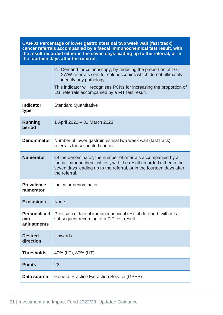**CAN-01 Percentage of lower gastrointestinal two week wait (fast track) cancer referrals accompanied by a faecal immunochemical test result, with the result recorded either in the seven days leading up to the referral, or in the fourteen days after the referral.**

|                                            | 2. Demand for colonoscopy, by reducing the proportion of LGI<br>2WW referrals sent for colonoscopies which do not ultimately<br>identify any pathology.<br>This indicator will recognises PCNs for increasing the proportion of<br>LGI referrals accompanied by a FIT test result. |
|--------------------------------------------|------------------------------------------------------------------------------------------------------------------------------------------------------------------------------------------------------------------------------------------------------------------------------------|
| <b>Indicator</b><br>type                   | <b>Standard Quantitative</b>                                                                                                                                                                                                                                                       |
| Running<br>period                          | 1 April 2022 – 31 March 2023                                                                                                                                                                                                                                                       |
| <b>Denominator</b>                         | Number of lower gastrointestinal two week wait (fast track)<br>referrals for suspected cancer.                                                                                                                                                                                     |
| <b>Numerator</b>                           | Of the denominator, the number of referrals accompanied by a<br>faecal immunochemical test, with the result recorded either in the<br>seven days leading up to the referral, or in the fourteen days after<br>the referral.                                                        |
| <b>Prevalence</b><br>numerator             | Indicator denominator.                                                                                                                                                                                                                                                             |
| <b>Exclusions</b>                          | <b>None</b>                                                                                                                                                                                                                                                                        |
| <b>Personalised</b><br>care<br>adjustments | Provision of faecal immunochemical test kit declined, without a<br>subsequent recording of a FIT test result                                                                                                                                                                       |
| <b>Desired</b><br>direction                | <b>Upwards</b>                                                                                                                                                                                                                                                                     |
| <b>Thresholds</b>                          | 40% (LT), 80% (UT)                                                                                                                                                                                                                                                                 |
| <b>Points</b>                              | 22                                                                                                                                                                                                                                                                                 |
|                                            |                                                                                                                                                                                                                                                                                    |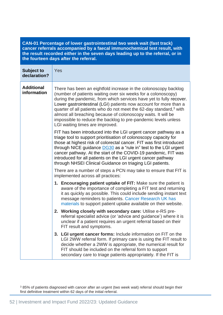**CAN-01 Percentage of lower gastrointestinal two week wait (fast track) cancer referrals accompanied by a faecal immunochemical test result, with the result recorded either in the seven days leading up to the referral, or in the fourteen days after the referral.**

| <b>Subject to</b><br>declaration? | Yes                                                                                                                                                                                                                                                                                                                                                                                                                                                                                                                                  |
|-----------------------------------|--------------------------------------------------------------------------------------------------------------------------------------------------------------------------------------------------------------------------------------------------------------------------------------------------------------------------------------------------------------------------------------------------------------------------------------------------------------------------------------------------------------------------------------|
| <b>Additional</b><br>information  | There has been an eightfold increase in the colonoscopy backlog<br>(number of patients waiting over six weeks for a colonoscopy)<br>during the pandemic, from which services have yet to fully recover.<br>Lower gastrointestinal (LGI) patients now account for more than a<br>quarter of all patients who do not meet the 62-day standard, <sup>3</sup> with<br>almost all breaching because of colonoscopy waits. It will be<br>impossible to reduce the backlog to pre-pandemic levels unless<br>LGI waiting times are improved. |
|                                   | FIT has been introduced into the LGI urgent cancer pathway as a<br>triage tool to support prioritisation of colonoscopy capacity for<br>those at highest risk of colorectal cancer. FIT was first introduced<br>through NICE guidance DG30 as a "rule in" test to the LGI urgent<br>cancer pathway. At the start of the COVID-19 pandemic, FIT was<br>introduced for all patients on the LGI urgent cancer pathway<br>through NHSEI Clinical Guidance on triaging LGI patients.                                                      |
|                                   | There are a number of steps a PCN may take to ensure that FIT is<br>implemented across all practices:                                                                                                                                                                                                                                                                                                                                                                                                                                |
|                                   | 1. Encouraging patient uptake of FIT: Make sure the patient is<br>aware of the importance of completing a FIT test and returning<br>it as quickly as possible. This could include sending instant text<br>message reminders to patients. Cancer Research UK has<br>materials to support patient uptake available on their website.                                                                                                                                                                                                   |
|                                   | 2. Working closely with secondary care: Utilise e-RS pre-<br>referral specialist advice (or 'advice and guidance') where it is<br>unclear if a patient requires an urgent referral based on their<br>FIT result and symptoms.                                                                                                                                                                                                                                                                                                        |
|                                   | 3. LGI urgent cancer forms: Include information on FIT on the<br>LGI 2WW referral form. If primary care is using the FIT result to<br>decide whether a 2WW is appropriate, the numerical result for<br>FIT should be included on the referral form to support<br>secondary care to triage patients appropriately. If the FIT is                                                                                                                                                                                                      |

<sup>3</sup> 85% of patients diagnosed with cancer after an urgent (two week wait) referral should begin their first definitive treatment within 62 days of the initial referral.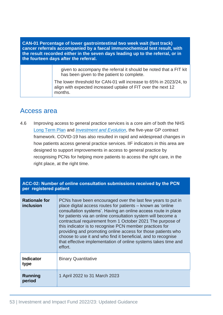**CAN-01 Percentage of lower gastrointestinal two week wait (fast track) cancer referrals accompanied by a faecal immunochemical test result, with the result recorded either in the seven days leading up to the referral, or in the fourteen days after the referral.**

> given to accompany the referral it should be noted that a FIT kit has been given to the patient to complete.

The lower threshold for CAN-01 will increase to 65% in 2023/24, to align with expected increased uptake of FIT over the next 12 months.

# Access area

4.6 Improving access to general practice services is a core aim of both the NHS [Long Term Plan](https://www.longtermplan.nhs.uk/wp-content/uploads/2019/08/nhs-long-term-plan-version-1.2.pdf) and *[Investment and Evolution](https://www.england.nhs.uk/publication/investment-and-evolution-update-to-the-gp-contract-agreement-20-21-23-24/)*, the five-year GP contract framework. COVID-19 has also resulted in rapid and widespread changes in how patients access general practice services. IIF indicators in this area are designed to support improvements in access to general practice by recognising PCNs for helping more patients to access the right care, in the right place, at the right time.

| ACC-02: Number of online consultation submissions received by the PCN<br>per registered patient |                                                                                                                                                                                                                                                                                                                                                                                                                                                                                                                                                                                                    |
|-------------------------------------------------------------------------------------------------|----------------------------------------------------------------------------------------------------------------------------------------------------------------------------------------------------------------------------------------------------------------------------------------------------------------------------------------------------------------------------------------------------------------------------------------------------------------------------------------------------------------------------------------------------------------------------------------------------|
| <b>Rationale for</b><br>inclusion                                                               | PCNs have been encouraged over the last few years to put in<br>place digital access routes for patients - known as 'online<br>consultation systems'. Having an online access route in place<br>for patients via an online consultation system will become a<br>contractual requirement from 1 October 2021 The purpose of<br>this indicator is to recognise PCN member practices for<br>providing and promoting online access for those patients who<br>choose to use it and who find it beneficial, and to recognise<br>that effective implementation of online systems takes time and<br>effort. |
| <b>Indicator</b><br>type                                                                        | <b>Binary Quantitative</b>                                                                                                                                                                                                                                                                                                                                                                                                                                                                                                                                                                         |
| Running<br>period                                                                               | 1 April 2022 to 31 March 2023                                                                                                                                                                                                                                                                                                                                                                                                                                                                                                                                                                      |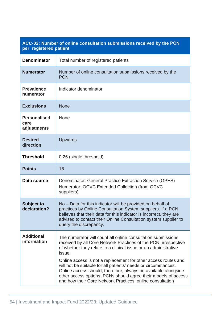| per registered patient                     | ACC-02: Number of online consultation submissions received by the PCN                                                                                                                                                                                                                                                                                                                                                                                                                                                                             |
|--------------------------------------------|---------------------------------------------------------------------------------------------------------------------------------------------------------------------------------------------------------------------------------------------------------------------------------------------------------------------------------------------------------------------------------------------------------------------------------------------------------------------------------------------------------------------------------------------------|
| <b>Denominator</b>                         | Total number of registered patients                                                                                                                                                                                                                                                                                                                                                                                                                                                                                                               |
| <b>Numerator</b>                           | Number of online consultation submissions received by the<br><b>PCN</b>                                                                                                                                                                                                                                                                                                                                                                                                                                                                           |
| <b>Prevalence</b><br>numerator             | Indicator denominator                                                                                                                                                                                                                                                                                                                                                                                                                                                                                                                             |
| <b>Exclusions</b>                          | <b>None</b>                                                                                                                                                                                                                                                                                                                                                                                                                                                                                                                                       |
| <b>Personalised</b><br>care<br>adjustments | None                                                                                                                                                                                                                                                                                                                                                                                                                                                                                                                                              |
| <b>Desired</b><br>direction                | <b>Upwards</b>                                                                                                                                                                                                                                                                                                                                                                                                                                                                                                                                    |
| <b>Threshold</b>                           | 0.26 (single threshold)                                                                                                                                                                                                                                                                                                                                                                                                                                                                                                                           |
| <b>Points</b>                              | 18                                                                                                                                                                                                                                                                                                                                                                                                                                                                                                                                                |
| Data source                                | Denominator: General Practice Extraction Service (GPES)<br>Numerator: OCVC Extended Collection (from OCVC<br>suppliers)                                                                                                                                                                                                                                                                                                                                                                                                                           |
| <b>Subject to</b><br>declaration?          | No - Data for this indicator will be provided on behalf of<br>practices by Online Consultation System suppliers. If a PCN<br>believes that their data for this indicator is incorrect, they are<br>advised to contact their Online Consultation system supplier to<br>query the discrepancy.                                                                                                                                                                                                                                                      |
| <b>Additional</b><br>information           | The numerator will count all online consultation submissions<br>received by all Core Network Practices of the PCN, irrespective<br>of whether they relate to a clinical issue or an administrative<br>issue.<br>Online access is not a replacement for other access routes and<br>will not be suitable for all patients' needs or circumstances.<br>Online access should, therefore, always be available alongside<br>other access options. PCNs should agree their models of access<br>and how their Core Network Practices' online consultation |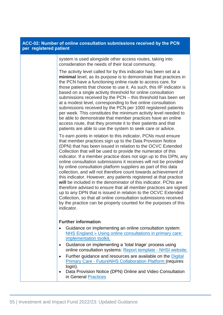| per registered patient | ACC-02: Number of online consultation submissions received by the PCN                                                                                                                                                                                                                                                                                                                                                                                                                                                                                                                                                                                                                                                                                                                                                                                                                                                                                                         |
|------------------------|-------------------------------------------------------------------------------------------------------------------------------------------------------------------------------------------------------------------------------------------------------------------------------------------------------------------------------------------------------------------------------------------------------------------------------------------------------------------------------------------------------------------------------------------------------------------------------------------------------------------------------------------------------------------------------------------------------------------------------------------------------------------------------------------------------------------------------------------------------------------------------------------------------------------------------------------------------------------------------|
|                        | system is used alongside other access routes, taking into<br>consideration the needs of their local community.                                                                                                                                                                                                                                                                                                                                                                                                                                                                                                                                                                                                                                                                                                                                                                                                                                                                |
|                        | The activity level called for by this indicator has been set at a<br>minimal level, as its purpose is to demonstrate that practices in<br>the PCN have a functioning online route to access care, for<br>those patients that choose to use it. As such, this IIF indicator is<br>based on a single activity threshold for online consultation<br>submissions received by the PCN – this threshold has been set<br>at a modest level, corresponding to five online consultation<br>submissions received by the PCN per 1000 registered patients<br>per week. This constitutes the minimum activity level needed to<br>be able to demonstrate that member practices have an online<br>access route, that they promote it to their patients and that<br>patients are able to use the system to seek care or advice.                                                                                                                                                              |
|                        | To earn points in relation to this indicator, PCNs must ensure<br>that member practices sign up to the Data Provision Notice<br>(DPN) that has been issued in relation to the OCVC Extended<br>Collection that will be used to provide the numerator of this<br>indicator. If a member practice does not sign up to this DPN, any<br>online consultation submissions it receives will not be provided<br>by online consultation platform suppliers as part of this data<br>collection, and will not therefore count towards achievement of<br>this indicator. However, any patients registered at that practice<br>will be included in the denominator of this indicator. PCNs are<br>therefore advised to ensure that all member practices are signed<br>up to any DPN that is issued in relation to the OCVC Extended<br>Collection, so that all online consultation submissions received<br>by the practice can be properly counted for the purposes of this<br>indicator. |
|                        | <b>Further information</b><br>Guidance on implementing an online consultation system:<br>NHS England » Using online consultations in primary care:<br>implementation toolkit.<br>Guidance on implementing a 'total triage' process using<br>٠<br>online consultation systems: Report template - NHSI website.<br>Further guidance and resources are available on the Digital<br>$\bullet$<br><b>Primary Care - FutureNHS Collaboration Platform (requires</b>                                                                                                                                                                                                                                                                                                                                                                                                                                                                                                                 |
|                        | login).<br>Data Provision Notice (DPN) Online and Video Consultation<br>٠<br>in General Practices                                                                                                                                                                                                                                                                                                                                                                                                                                                                                                                                                                                                                                                                                                                                                                                                                                                                             |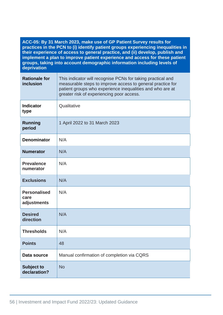| ACC-05: By 31 March 2023, make use of GP Patient Survey results for<br>practices in the PCN to (i) identify patient groups experiencing inequalities in<br>their experience of access to general practice, and (ii) develop, publish and<br>implement a plan to improve patient experience and access for these patient<br>groups, taking into account demographic information including levels of<br>deprivation |                                                                                                                                                                                                                                     |
|-------------------------------------------------------------------------------------------------------------------------------------------------------------------------------------------------------------------------------------------------------------------------------------------------------------------------------------------------------------------------------------------------------------------|-------------------------------------------------------------------------------------------------------------------------------------------------------------------------------------------------------------------------------------|
| <b>Rationale for</b><br>inclusion                                                                                                                                                                                                                                                                                                                                                                                 | This indicator will recognise PCNs for taking practical and<br>measurable steps to improve access to general practice for<br>patient groups who experience inequalities and who are at<br>greater risk of experiencing poor access. |
| <b>Indicator</b><br>type                                                                                                                                                                                                                                                                                                                                                                                          | Qualitative                                                                                                                                                                                                                         |
| <b>Running</b><br>period                                                                                                                                                                                                                                                                                                                                                                                          | 1 April 2022 to 31 March 2023                                                                                                                                                                                                       |
| <b>Denominator</b>                                                                                                                                                                                                                                                                                                                                                                                                | N/A                                                                                                                                                                                                                                 |
| <b>Numerator</b>                                                                                                                                                                                                                                                                                                                                                                                                  | N/A                                                                                                                                                                                                                                 |
| <b>Prevalence</b><br>numerator                                                                                                                                                                                                                                                                                                                                                                                    | N/A                                                                                                                                                                                                                                 |
| <b>Exclusions</b>                                                                                                                                                                                                                                                                                                                                                                                                 | N/A                                                                                                                                                                                                                                 |
| <b>Personalised</b><br>care<br>adjustments                                                                                                                                                                                                                                                                                                                                                                        | N/A                                                                                                                                                                                                                                 |
| <b>Desired</b><br>direction                                                                                                                                                                                                                                                                                                                                                                                       | N/A                                                                                                                                                                                                                                 |
| <b>Thresholds</b>                                                                                                                                                                                                                                                                                                                                                                                                 | N/A                                                                                                                                                                                                                                 |
| <b>Points</b>                                                                                                                                                                                                                                                                                                                                                                                                     | 48                                                                                                                                                                                                                                  |
| Data source                                                                                                                                                                                                                                                                                                                                                                                                       | Manual confirmation of completion via CQRS                                                                                                                                                                                          |
| <b>Subject to</b><br>declaration?                                                                                                                                                                                                                                                                                                                                                                                 | <b>No</b>                                                                                                                                                                                                                           |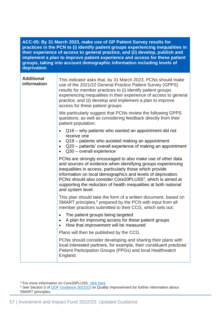| ACC-05: By 31 March 2023, make use of GP Patient Survey results for<br>practices in the PCN to (i) identify patient groups experiencing inequalities in<br>their experience of access to general practice, and (ii) develop, publish and<br>implement a plan to improve patient experience and access for these patient<br>groups, taking into account demographic information including levels of<br>deprivation |                                                                                                                                                                                                                                                                                                                                                                                                                            |
|-------------------------------------------------------------------------------------------------------------------------------------------------------------------------------------------------------------------------------------------------------------------------------------------------------------------------------------------------------------------------------------------------------------------|----------------------------------------------------------------------------------------------------------------------------------------------------------------------------------------------------------------------------------------------------------------------------------------------------------------------------------------------------------------------------------------------------------------------------|
| <b>Additional</b><br>information                                                                                                                                                                                                                                                                                                                                                                                  | This indicator asks that, by 31 March 2023, PCNs should make<br>use of the 2021/22 General Practice Patient Survey (GPPS)<br>results for member practices to (i) identify patient groups<br>experiencing inequalities in their experience of access to general<br>practice, and (ii) develop and implement a plan to improve<br>access for these patient groups.                                                           |
|                                                                                                                                                                                                                                                                                                                                                                                                                   | We particularly suggest that PCNs review the following GPPS<br>questions, as well as considering feedback directly from their<br>patient population:                                                                                                                                                                                                                                                                       |
|                                                                                                                                                                                                                                                                                                                                                                                                                   | Q16 – why patients who wanted an appointment did not<br>receive one<br>Q19 – patients who avoided making an appointment<br>$\bullet$<br>Q20 – patients' overall experience of making an appointment<br>$Q30 - overall$ experience                                                                                                                                                                                          |
|                                                                                                                                                                                                                                                                                                                                                                                                                   | PCNs are strongly encouraged to also make use of other data<br>and sources of evidence when identifying groups experiencing<br>inequalities in access, particularly those which provide<br>information on local demographics and levels of deprivation.<br>PCNs should also consider Core20PLUS5 <sup>4</sup> , which is aimed at<br>supporting the reduction of health inequalities at both national<br>and system level. |
|                                                                                                                                                                                                                                                                                                                                                                                                                   | This plan should take the form of a written document, based on<br>SMART principles, <sup>5</sup> prepared by the PCN with input from all<br>member practices submitted to their CCG, which sets out:                                                                                                                                                                                                                       |
|                                                                                                                                                                                                                                                                                                                                                                                                                   | The patient groups being targeted<br>$\bullet$<br>A plan for improving access for these patient groups<br>How that improvement will be measured                                                                                                                                                                                                                                                                            |
|                                                                                                                                                                                                                                                                                                                                                                                                                   | Plans will then be published by the CCG.                                                                                                                                                                                                                                                                                                                                                                                   |
|                                                                                                                                                                                                                                                                                                                                                                                                                   | PCNs should consider developing and sharing their plans with<br>local interested partners, for example, their constituent practices'<br>Patient Participation Groups (PPGs) and local Healthwatch<br>England.                                                                                                                                                                                                              |

<sup>4</sup> For more information on Core20PLUS5, [click here](https://www.england.nhs.uk/about/equality/equality-hub/core20plus5/)

<sup>5</sup> See Section 5 of [QOF Guidance 2022/23](https://www.england.nhs.uk/publication/quality-and-outcomes-framework-2022-23) on Quality Improvement for further information about SMART principles.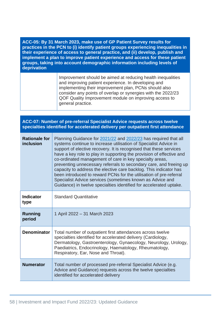| ACC-05: By 31 March 2023, make use of GP Patient Survey results for              |
|----------------------------------------------------------------------------------|
| practices in the PCN to (i) identify patient groups experiencing inequalities in |
| their experience of access to general practice, and (ii) develop, publish and    |
| implement a plan to improve patient experience and access for these patient      |
| groups, taking into account demographic information including levels of          |
| deprivation                                                                      |

Improvement should be aimed at reducing health inequalities and improving patient experience. In developing and implementing their improvement plan, PCNs should also consider any points of overlap or synergies with the 2022/23 QOF Quality Improvement module on improving access to general practice.

## **ACC-07: Number of pre-referral Specialist Advice requests across twelve specialties identified for accelerated delivery per outpatient first attendance**

| <b>Rationale for</b><br>inclusion | Planning Guidance for 2021/22 and 2022/23 has required that all<br>systems continue to increase utilisation of Specialist Advice in<br>support of elective recovery. It is recognised that these services<br>have a key role to play in supporting the provision of effective and<br>co-ordinated management of care in key specialty areas,<br>preventing unnecessary referrals to secondary care, and freeing up<br>capacity to address the elective care backlog. This indicator has<br>been introduced to reward PCNs for the utilisation of pre-referral<br>Specialist Advice services (sometimes known as Advice and<br>Guidance) in twelve specialties identified for accelerated uptake. |
|-----------------------------------|--------------------------------------------------------------------------------------------------------------------------------------------------------------------------------------------------------------------------------------------------------------------------------------------------------------------------------------------------------------------------------------------------------------------------------------------------------------------------------------------------------------------------------------------------------------------------------------------------------------------------------------------------------------------------------------------------|
| <b>Indicator</b><br>type          | <b>Standard Quantitative</b>                                                                                                                                                                                                                                                                                                                                                                                                                                                                                                                                                                                                                                                                     |
| <b>Running</b><br>period          | 1 April 2022 - 31 March 2023                                                                                                                                                                                                                                                                                                                                                                                                                                                                                                                                                                                                                                                                     |
| <b>Denominator</b>                | Total number of outpatient first attendances across twelve<br>specialties identified for accelerated delivery (Cardiology,<br>Dermatology, Gastroenterology, Gynaecology, Neurology, Urology,<br>Paediatrics, Endocrinology, Haematology, Rheumatology,<br>Respiratory, Ear, Nose and Throat).                                                                                                                                                                                                                                                                                                                                                                                                   |
| <b>Numerator</b>                  | Total number of processed pre-referral Specialist Advice (e.g.<br>Advice and Guidance) requests across the twelve specialties<br>identified for accelerated delivery                                                                                                                                                                                                                                                                                                                                                                                                                                                                                                                             |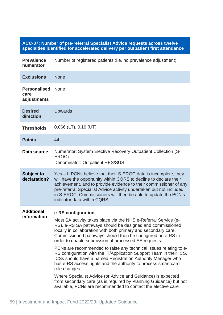| ACC-07: Number of pre-referral Specialist Advice requests across twelve<br>specialties identified for accelerated delivery per outpatient first attendance |                                                                                                                                                                                                                                                                                                                                                                                                                                                                                                                                                                                                                                                                                                                                                                                                                                               |
|------------------------------------------------------------------------------------------------------------------------------------------------------------|-----------------------------------------------------------------------------------------------------------------------------------------------------------------------------------------------------------------------------------------------------------------------------------------------------------------------------------------------------------------------------------------------------------------------------------------------------------------------------------------------------------------------------------------------------------------------------------------------------------------------------------------------------------------------------------------------------------------------------------------------------------------------------------------------------------------------------------------------|
| <b>Prevalence</b><br>numerator                                                                                                                             | Number of registered patients (i.e. no prevalence adjustment)                                                                                                                                                                                                                                                                                                                                                                                                                                                                                                                                                                                                                                                                                                                                                                                 |
| <b>Exclusions</b>                                                                                                                                          | <b>None</b>                                                                                                                                                                                                                                                                                                                                                                                                                                                                                                                                                                                                                                                                                                                                                                                                                                   |
| <b>Personalised</b><br>care<br>adjustments                                                                                                                 | <b>None</b>                                                                                                                                                                                                                                                                                                                                                                                                                                                                                                                                                                                                                                                                                                                                                                                                                                   |
| <b>Desired</b><br>direction                                                                                                                                | <b>Upwards</b>                                                                                                                                                                                                                                                                                                                                                                                                                                                                                                                                                                                                                                                                                                                                                                                                                                |
| <b>Thresholds</b>                                                                                                                                          | $0.066$ (LT), $0.19$ (UT)                                                                                                                                                                                                                                                                                                                                                                                                                                                                                                                                                                                                                                                                                                                                                                                                                     |
| <b>Points</b>                                                                                                                                              | 44                                                                                                                                                                                                                                                                                                                                                                                                                                                                                                                                                                                                                                                                                                                                                                                                                                            |
| Data source                                                                                                                                                | Numerator: System Elective Recovery Outpatient Collection (S-<br>EROC)<br>Denominator: Outpatient HES/SUS                                                                                                                                                                                                                                                                                                                                                                                                                                                                                                                                                                                                                                                                                                                                     |
| <b>Subject to</b><br>declaration?                                                                                                                          | Yes – If PCNs believe that their S-EROC data is incomplete, they<br>will have the opportunity within CQRS to decline to declare their<br>achievement, and to provide evidence to their commissioner of any<br>pre-referral Specialist Advice activity undertaken but not included<br>in S-EROC. Commissioners will then be able to update the PCN's<br>indicator data within CQRS.                                                                                                                                                                                                                                                                                                                                                                                                                                                            |
| <b>Additional</b><br>information                                                                                                                           | e-RS configuration<br>Most SA activity takes place via the NHS e-Referral Service (e-<br>RS). e-RS SA pathways should be designed and commissioned<br>locally in collaboration with both primary and secondary care.<br>Commissioned pathways should then be configured on e-RS in<br>order to enable submission of processed SA requests.<br>PCNs are recommended to raise any technical issues relating to e-<br>RS configuration with the IT/Application Support Team in their ICS.<br>ICSs should have a named Registration Authority Manager who<br>has e-RS access rights and the authority to process smart card<br>role changes.<br>Where Specialist Advice (or Advice and Guidance) is expected<br>from secondary care (as is required by Planning Guidance) but not<br>available, PCNs are recommended to contact the elective care |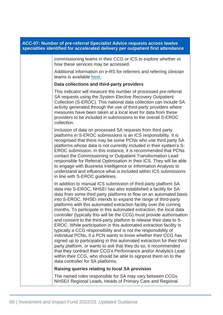| ACC-07: Number of pre-referral Specialist Advice requests across twelve<br>specialties identified for accelerated delivery per outpatient first attendance                                                                                                                                                                                                                                                                                                                                                                                                                                                                                                                                                                                                                                                                                                                                                                                                                                                                                                                                                |
|-----------------------------------------------------------------------------------------------------------------------------------------------------------------------------------------------------------------------------------------------------------------------------------------------------------------------------------------------------------------------------------------------------------------------------------------------------------------------------------------------------------------------------------------------------------------------------------------------------------------------------------------------------------------------------------------------------------------------------------------------------------------------------------------------------------------------------------------------------------------------------------------------------------------------------------------------------------------------------------------------------------------------------------------------------------------------------------------------------------|
| commissioning teams in their CCG or ICS to explore whether or<br>how these services may be accessed.                                                                                                                                                                                                                                                                                                                                                                                                                                                                                                                                                                                                                                                                                                                                                                                                                                                                                                                                                                                                      |
| Additional information on e-RS for referrers and referring clinician<br>teams is available here.                                                                                                                                                                                                                                                                                                                                                                                                                                                                                                                                                                                                                                                                                                                                                                                                                                                                                                                                                                                                          |
| Data collections and third-party providers                                                                                                                                                                                                                                                                                                                                                                                                                                                                                                                                                                                                                                                                                                                                                                                                                                                                                                                                                                                                                                                                |
| This indicator will measure the number of processed pre-referral<br>SA requests using the System Elective Recovery Outpatient<br>Collection (S-EROC). This national data collection can include SA<br>activity generated through the use of third-party providers where<br>measures have been taken at a local level for data from these<br>providers to be included in submissions to the overall S-EROC<br>collection.                                                                                                                                                                                                                                                                                                                                                                                                                                                                                                                                                                                                                                                                                  |
| Inclusion of data on processed SA requests from third party<br>platforms in S-EROC submissions is an ICS responsibility. It is<br>recognised that there may be some PCNs who use third party SA<br>platforms whose data is not currently included in their system's S-<br>EROC submission. In this instance, it is recommended that PCNs<br>contact the Commissioning or Outpatient Transformation Lead<br>responsible for Referral Optimisation in their ICS. They will be able<br>to engage with Business Intelligence or Information Analysts to<br>understand and influence what is included within ICS submissions<br>in line with S-EROC guidelines.                                                                                                                                                                                                                                                                                                                                                                                                                                                |
| In addition to manual ICS submission of third-party platform SA<br>data into S-EROC, NHSEI has also established a facility for SA<br>data from some third party platforms to flow on an automated basis<br>into S-EROC. NHSEI intends to expand the range of third-party<br>platforms with this automated extraction facility over the coming<br>months. To participate in this automated extraction, the local data<br>controller (typically this will be the CCG) must provide authorisation<br>and consent to the third-party platform to release their data to S-<br>EROC. While participation in this automated extraction facility is<br>typically a CCG responsibility and is not the responsibility of<br>individual PCNs, if a PCN wants to know whether their CCG has<br>signed up to participating in this automated extraction for their third<br>party platform, or wants to ask that they do so, it recommended<br>that they contract their CCG's Performance and/or Analytics Lead<br>within their CCG, who should be able to signpost them on to the<br>data controller for SA platforms. |
| Raising queries relating to local SA provision                                                                                                                                                                                                                                                                                                                                                                                                                                                                                                                                                                                                                                                                                                                                                                                                                                                                                                                                                                                                                                                            |
| The named roles responsible for SA may vary between CCGs.<br>NHSE/I Regional Leads, Heads of Primary Care and Regional                                                                                                                                                                                                                                                                                                                                                                                                                                                                                                                                                                                                                                                                                                                                                                                                                                                                                                                                                                                    |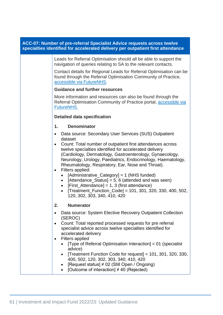| ACC-07: Number of pre-referral Specialist Advice requests across twelve<br>specialties identified for accelerated delivery per outpatient first attendance |                                                                                                                                                                                                                                                                                                                                                                                                                                                                                                                                                                                                                                                                     |  |
|------------------------------------------------------------------------------------------------------------------------------------------------------------|---------------------------------------------------------------------------------------------------------------------------------------------------------------------------------------------------------------------------------------------------------------------------------------------------------------------------------------------------------------------------------------------------------------------------------------------------------------------------------------------------------------------------------------------------------------------------------------------------------------------------------------------------------------------|--|
|                                                                                                                                                            | Leads for Referral Optimisation should all be able to support the<br>navigation of queries relating to SA to the relevant contacts.                                                                                                                                                                                                                                                                                                                                                                                                                                                                                                                                 |  |
|                                                                                                                                                            | Contact details for Regional Leads for Referral Optimisation can be<br>found through the Referral Optimisation Community of Practice,<br>accessible via FutureNHS.                                                                                                                                                                                                                                                                                                                                                                                                                                                                                                  |  |
|                                                                                                                                                            | <b>Guidance and further resources</b>                                                                                                                                                                                                                                                                                                                                                                                                                                                                                                                                                                                                                               |  |
|                                                                                                                                                            | More information and resources can also be found through the<br>Referral Optimisation Community of Practice portal, accessible via<br>FutureNHS.                                                                                                                                                                                                                                                                                                                                                                                                                                                                                                                    |  |
|                                                                                                                                                            | <b>Detailed data specification</b>                                                                                                                                                                                                                                                                                                                                                                                                                                                                                                                                                                                                                                  |  |
|                                                                                                                                                            | <b>Denominator</b><br>1.                                                                                                                                                                                                                                                                                                                                                                                                                                                                                                                                                                                                                                            |  |
|                                                                                                                                                            | Data source: Secondary User Services (SUS) Outpatient<br>$\bullet$                                                                                                                                                                                                                                                                                                                                                                                                                                                                                                                                                                                                  |  |
|                                                                                                                                                            | dataset<br>Count: Total number of outpatient first attendances across<br>$\bullet$<br>twelve specialties identified for accelerated delivery<br>(Cardiology, Dermatology, Gastroenterology, Gynaecology,<br>Neurology, Urology, Paediatrics, Endocrinology, Haematology,<br>Rheumatology, Respiratory, Ear, Nose and Throat).<br>Filters applied:<br>$\bullet$<br>[Administrative_Category] = 1 (NHS funded)<br>$\bullet$<br>[Attendance_Status] = 5, 6 (attended and was seen)<br>$\bullet$<br>[First_Attendance] = 1, 3 (first attendance)<br>$\bullet$<br>[Treatment_Function_Code] = 101, 301, 320, 330, 400, 502,<br>$\bullet$<br>120, 302, 303, 340, 410, 420 |  |
|                                                                                                                                                            | 2.<br><b>Numerator</b>                                                                                                                                                                                                                                                                                                                                                                                                                                                                                                                                                                                                                                              |  |
|                                                                                                                                                            | Data source: System Elective Recovery Outpatient Collection<br>(SEROC)<br>Count: Total reported processed requests for pre referral<br>$\bullet$<br>specialist advice across twelve specialties identified for<br>accelerated delivery<br><b>Filters applied</b><br>[Type of Referral Optimisation Interaction] = 01 (specialist<br>advice)<br>[Treatment Function Code for request] = 101, 301, 320, 330,<br>400, 502, 120, 302, 303, 340, 410, 420<br>[Request status] ≠ 02 (Still Open / Ongoing)<br>[Outcome of interaction] $\neq$ 40 (Rejected)                                                                                                               |  |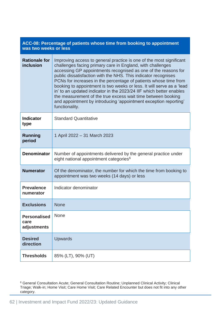| ACC-08: Percentage of patients whose time from booking to appointment<br>was two weeks or less |                                                                                                                                                                                                                                                                                                                                                                                                                                                                                                                                                                                                                                                 |
|------------------------------------------------------------------------------------------------|-------------------------------------------------------------------------------------------------------------------------------------------------------------------------------------------------------------------------------------------------------------------------------------------------------------------------------------------------------------------------------------------------------------------------------------------------------------------------------------------------------------------------------------------------------------------------------------------------------------------------------------------------|
| <b>Rationale for</b><br>inclusion                                                              | Improving access to general practice is one of the most significant<br>challenges facing primary care in England, with challenges<br>accessing GP appointments recognised as one of the reasons for<br>public dissatisfaction with the NHS. This indicator recognises<br>PCNs for increases in the percentage of patients whose time from<br>booking to appointment is two weeks or less. It will serve as a 'lead<br>in' to an updated indicator in the 2023/24 IIF which better enables<br>the measurement of the true excess wait time between booking<br>and appointment by introducing 'appointment exception reporting'<br>functionality. |
| <b>Indicator</b><br>type                                                                       | <b>Standard Quantitative</b>                                                                                                                                                                                                                                                                                                                                                                                                                                                                                                                                                                                                                    |
| <b>Running</b><br>period                                                                       | 1 April 2022 - 31 March 2023                                                                                                                                                                                                                                                                                                                                                                                                                                                                                                                                                                                                                    |
| <b>Denominator</b>                                                                             | Number of appointments delivered by the general practice under<br>eight national appointment categories <sup>6</sup>                                                                                                                                                                                                                                                                                                                                                                                                                                                                                                                            |
| <b>Numerator</b>                                                                               | Of the denominator, the number for which the time from booking to<br>appointment was two weeks (14 days) or less                                                                                                                                                                                                                                                                                                                                                                                                                                                                                                                                |
| <b>Prevalence</b><br>numerator                                                                 | Indicator denominator                                                                                                                                                                                                                                                                                                                                                                                                                                                                                                                                                                                                                           |
| <b>Exclusions</b>                                                                              | <b>None</b>                                                                                                                                                                                                                                                                                                                                                                                                                                                                                                                                                                                                                                     |
| <b>Personalised</b><br>care<br>adjustments                                                     | <b>None</b>                                                                                                                                                                                                                                                                                                                                                                                                                                                                                                                                                                                                                                     |
| <b>Desired</b><br>direction                                                                    | <b>Upwards</b>                                                                                                                                                                                                                                                                                                                                                                                                                                                                                                                                                                                                                                  |
| <b>Thresholds</b>                                                                              | 85% (LT), 90% (UT)                                                                                                                                                                                                                                                                                                                                                                                                                                                                                                                                                                                                                              |

<sup>&</sup>lt;sup>6</sup> General Consultation Acute; General Consultation Routine; Unplanned Clinical Activity; Clinical Triage; Walk-in; Home Visit; Care Home Visit; Care Related Encounter but does not fit into any other category.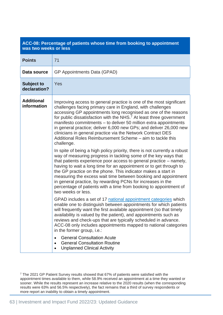| ACC-08: Percentage of patients whose time from booking to appointment<br>was two weeks or less |                                                                                                                                                                                                                                                                                                                                                                                                                                                                                                                                                                                                                                                                                                                                                                                                                                                                                                                                                                                                                                                                                                                                                                                                                                                                                                                                                                                                                                                                                                                                                                                                                                                                                                                                                |
|------------------------------------------------------------------------------------------------|------------------------------------------------------------------------------------------------------------------------------------------------------------------------------------------------------------------------------------------------------------------------------------------------------------------------------------------------------------------------------------------------------------------------------------------------------------------------------------------------------------------------------------------------------------------------------------------------------------------------------------------------------------------------------------------------------------------------------------------------------------------------------------------------------------------------------------------------------------------------------------------------------------------------------------------------------------------------------------------------------------------------------------------------------------------------------------------------------------------------------------------------------------------------------------------------------------------------------------------------------------------------------------------------------------------------------------------------------------------------------------------------------------------------------------------------------------------------------------------------------------------------------------------------------------------------------------------------------------------------------------------------------------------------------------------------------------------------------------------------|
| <b>Points</b>                                                                                  | 71                                                                                                                                                                                                                                                                                                                                                                                                                                                                                                                                                                                                                                                                                                                                                                                                                                                                                                                                                                                                                                                                                                                                                                                                                                                                                                                                                                                                                                                                                                                                                                                                                                                                                                                                             |
| Data source                                                                                    | GP Appointments Data (GPAD)                                                                                                                                                                                                                                                                                                                                                                                                                                                                                                                                                                                                                                                                                                                                                                                                                                                                                                                                                                                                                                                                                                                                                                                                                                                                                                                                                                                                                                                                                                                                                                                                                                                                                                                    |
| <b>Subject to</b><br>declaration?                                                              | Yes                                                                                                                                                                                                                                                                                                                                                                                                                                                                                                                                                                                                                                                                                                                                                                                                                                                                                                                                                                                                                                                                                                                                                                                                                                                                                                                                                                                                                                                                                                                                                                                                                                                                                                                                            |
| <b>Additional</b><br>information                                                               | Improving access to general practice is one of the most significant<br>challenges facing primary care in England, with challenges<br>accessing GP appointments long recognised as one of the reasons<br>for public dissatisfaction with the NHS. <sup>7</sup> At least three government<br>manifesto commitments - to deliver 50 million extra appointments<br>in general practice; deliver 6,000 new GPs; and deliver 26,000 new<br>clinicians in general practice via the Network Contract DES<br>Additional Roles Reimbursement Scheme – aim to tackle this<br>challenge.<br>In spite of being a high policy priority, there is not currently a robust<br>way of measuring progress in tackling some of the key ways that<br>that patients experience poor access to general practice – namely,<br>having to wait a long time for an appointment or to get through to<br>the GP practice on the phone. This indicator makes a start in<br>measuring the excess wait time between booking and appointment<br>in general practice, by rewarding PCNs for increases in the<br>percentage of patients with a time from booking to appointment of<br>two weeks or less.<br>GPAD includes a set of 17 national appointment categories which<br>enable one to distinguish between appointments for which patients<br>will frequently want the first available appointment (so that timely<br>availability is valued by the patient), and appointments such as<br>reviews and check-ups that are typically scheduled in advance.<br>ACC-08 only includes appointments mapped to national categories<br>in the former group, i.e.:<br><b>General Consultation Acute</b><br><b>General Consultation Routine</b><br><b>Unplanned Clinical Activity</b> |

<sup>7</sup> The 2021 GP Patient Survey results showed that 67% of patients were satisfied with the appointment times available to them, while 58.9% received an appointment at a time they wanted or sooner. While the results represent an increase relative to the 2020 results (when the corresponding results were 63% and 56.5% respectively), the fact remains that a third of survey respondents or more report an inability to obtain a timely appointment.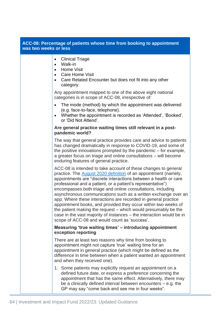| ACC-08: Percentage of patients whose time from booking to appointment<br>was two weeks or less |                                                                                                                                                                                                                                                                                                                                                                                                                                                                                                                                                                                                                                                                                                                                             |  |
|------------------------------------------------------------------------------------------------|---------------------------------------------------------------------------------------------------------------------------------------------------------------------------------------------------------------------------------------------------------------------------------------------------------------------------------------------------------------------------------------------------------------------------------------------------------------------------------------------------------------------------------------------------------------------------------------------------------------------------------------------------------------------------------------------------------------------------------------------|--|
|                                                                                                | <b>Clinical Triage</b><br>$\bullet$<br>Walk-in<br>$\bullet$<br><b>Home Visit</b><br><b>Care Home Visit</b><br>$\bullet$<br>Care Related Encounter but does not fit into any other<br>$\bullet$<br>category.                                                                                                                                                                                                                                                                                                                                                                                                                                                                                                                                 |  |
|                                                                                                | Any appointment mapped to one of the above eight national<br>categories is in scope of ACC-08, irrespective of:                                                                                                                                                                                                                                                                                                                                                                                                                                                                                                                                                                                                                             |  |
|                                                                                                | The mode (method) by which the appointment was delivered<br>$\bullet$<br>(e.g. face-to-face, telephone).<br>Whether the appointment is recorded as 'Attended', 'Booked',<br>$\bullet$<br>or 'Did Not Attend'.                                                                                                                                                                                                                                                                                                                                                                                                                                                                                                                               |  |
|                                                                                                | Are general practice waiting times still relevant in a post-<br>pandemic world?                                                                                                                                                                                                                                                                                                                                                                                                                                                                                                                                                                                                                                                             |  |
|                                                                                                | The way that general practice provides care and advice to patients<br>has changed dramatically in response to COVID-19, and some of<br>the positive innovations prompted by the pandemic – for example,<br>a greater focus on triage and online consultations – will become<br>enduring features of general practice.                                                                                                                                                                                                                                                                                                                                                                                                                       |  |
|                                                                                                | ACC-08 is intended to take account of these changes to general<br>practice. The <b>August 2020 definition</b> of an appointment (namely,<br>appointments are "discrete interactions between a health or care<br>professional and a patient, or a patient's representative")<br>encompasses both triage and online consultations, including<br>asynchronous communications such as a written exchange over an<br>app. Where these interactions are recorded in general practice<br>appointment books, and provided they occur within two weeks of<br>the patient making the request – which would presumably be the<br>case in the vast majority of instances – the interaction would be in<br>scope of ACC-08 and would count as 'success'. |  |
|                                                                                                | Measuring 'true waiting times' – introducing appointment<br>exception reporting                                                                                                                                                                                                                                                                                                                                                                                                                                                                                                                                                                                                                                                             |  |
|                                                                                                | There are at least two reasons why time from booking to<br>appointment might not capture 'true' waiting time for an<br>appointment in general practice (which might be defined as the<br>difference in time between when a patient wanted an appointment<br>and when they received one).                                                                                                                                                                                                                                                                                                                                                                                                                                                    |  |
|                                                                                                | 1. Some patients may explicitly request an appointment on a<br>defined future date, or express a preference concerning the<br>appointment that has the same effect. Alternatively, there may<br>be a clinically defined interval between encounters $-$ e.g. the<br>GP may say "come back and see me in four weeks".                                                                                                                                                                                                                                                                                                                                                                                                                        |  |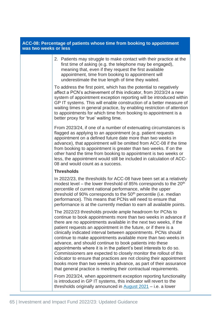## **ACC-08: Percentage of patients whose time from booking to appointment was two weeks or less**

2. Patients may struggle to make contact with their practice at the first time of asking (e.g. the telephone may be engaged), meaning that, even if they request the first available appointment, time from booking to appointment will underestimate the true length of time they waited.

To address the first point, which has the potential to negatively affect a PCN's achievement of this indicator, from 2023/24 a new system of appointment exception reporting will be introduced within GP IT systems. This will enable construction of a better measure of waiting times in general practice, by enabling restriction of attention to appointments for which time from booking to appointment is a better proxy for 'true' waiting time.

From 2023/24, if one of a number of extenuating circumstances is flagged as applying to an appointment (e.g. patient requests appointment on a defined future date more than two weeks in advance), that appointment will be omitted from ACC-08 if the time from booking to appointment is greater than two weeks. If on the other hand the time from booking to appointment is two weeks or less, the appointment would still be included in calculation of ACC-08 and would count as a success.

### **Thresholds**

In 2022/23, the thresholds for ACC-08 have been set at a relatively modest level – the lower threshold of 85% corresponds to the 20<sup>th</sup> percentile of current national performance, while the upper threshold of 90% corresponds to the 50<sup>th</sup> percentile (i.e. median performance). This means that PCNs will need to ensure that performance is at the currently median to earn all available points.

The 2022/23 thresholds provide ample headroom for PCNs to continue to book appointments more than two weeks in advance if there are no appointments available in the next two weeks, if the patient requests an appointment in the future, or if there is a clinically indicated interval between appointments. PCNs should continue to make appointments available more than two weeks in advance, and should continue to book patients into these appointments where it is in the patient's best interests to do so. Commissioners are expected to closely monitor the rollout of this indicator to ensure that practices are not closing their appointment books more than two weeks in advance, as part of their assurance that general practice is meeting their contractual requirements.

From 2023/24, when appointment exception reporting functionality is introduced in GP IT systems, this indicator will revert to the thresholds originally announced in [August 2021](https://www.england.nhs.uk/wp-content/uploads/2021/08/B0828-iii-annex-b-investment-and-impact-fund-21-22-22-23.pdf) – i.e. a lower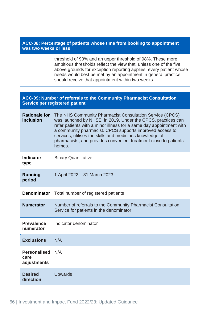| ACC-08: Percentage of patients whose time from booking to appointment<br>was two weeks or less |                                                                                                                                                                                                                                                                          |
|------------------------------------------------------------------------------------------------|--------------------------------------------------------------------------------------------------------------------------------------------------------------------------------------------------------------------------------------------------------------------------|
|                                                                                                | threshold of 90% and an upper threshold of 98%. These more<br>ambitious thresholds reflect the view that, unless one of the five<br>above grounds for exception reporting applies, every patient whose<br>needs would best be met by an appointment in general practice, |

should receive that appointment within two weeks.

| ACC-09: Number of referrals to the Community Pharmacist Consultation<br><b>Service per registered patient</b> |                                                                                                                                                                                                                                                                                                                                                                                                        |
|---------------------------------------------------------------------------------------------------------------|--------------------------------------------------------------------------------------------------------------------------------------------------------------------------------------------------------------------------------------------------------------------------------------------------------------------------------------------------------------------------------------------------------|
| <b>Rationale for</b><br>inclusion                                                                             | The NHS Community Pharmacist Consultation Service (CPCS)<br>was launched by NHSEI in 2019. Under the CPCS, practices can<br>refer patients with a minor illness for a same day appointment with<br>a community pharmacist. CPCS supports improved access to<br>services, utilises the skills and medicines knowledge of<br>pharmacists, and provides convenient treatment close to patients'<br>homes. |
| <b>Indicator</b><br>type                                                                                      | <b>Binary Quantitative</b>                                                                                                                                                                                                                                                                                                                                                                             |
| <b>Running</b><br>period                                                                                      | 1 April 2022 - 31 March 2023                                                                                                                                                                                                                                                                                                                                                                           |
| <b>Denominator</b>                                                                                            | Total number of registered patients                                                                                                                                                                                                                                                                                                                                                                    |
| <b>Numerator</b>                                                                                              | Number of referrals to the Community Pharmacist Consultation<br>Service for patients in the denominator                                                                                                                                                                                                                                                                                                |
| <b>Prevalence</b><br>numerator                                                                                | Indicator denominator                                                                                                                                                                                                                                                                                                                                                                                  |
| <b>Exclusions</b>                                                                                             | N/A                                                                                                                                                                                                                                                                                                                                                                                                    |
| <b>Personalised</b><br>care<br>adjustments                                                                    | N/A                                                                                                                                                                                                                                                                                                                                                                                                    |
| <b>Desired</b><br>direction                                                                                   | <b>Upwards</b>                                                                                                                                                                                                                                                                                                                                                                                         |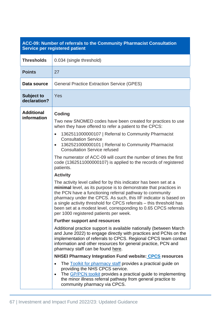# **ACC-09: Number of referrals to the Community Pharmacist Consultation Service per registered patient**

| <b>Thresholds</b>                 | 0.034 (single threshold)                                                                                                                                                                                                                                                                                                                                                                                                                                                                                                                                                                                                                                                                                                                                                                                                                                                                                                                                                                                                                                                                                                                                                                                                                                                                                                                                                                                                                                                                                                                                                                                                                                                                                             |
|-----------------------------------|----------------------------------------------------------------------------------------------------------------------------------------------------------------------------------------------------------------------------------------------------------------------------------------------------------------------------------------------------------------------------------------------------------------------------------------------------------------------------------------------------------------------------------------------------------------------------------------------------------------------------------------------------------------------------------------------------------------------------------------------------------------------------------------------------------------------------------------------------------------------------------------------------------------------------------------------------------------------------------------------------------------------------------------------------------------------------------------------------------------------------------------------------------------------------------------------------------------------------------------------------------------------------------------------------------------------------------------------------------------------------------------------------------------------------------------------------------------------------------------------------------------------------------------------------------------------------------------------------------------------------------------------------------------------------------------------------------------------|
| <b>Points</b>                     | 27                                                                                                                                                                                                                                                                                                                                                                                                                                                                                                                                                                                                                                                                                                                                                                                                                                                                                                                                                                                                                                                                                                                                                                                                                                                                                                                                                                                                                                                                                                                                                                                                                                                                                                                   |
| Data source                       | <b>General Practice Extraction Service (GPES)</b>                                                                                                                                                                                                                                                                                                                                                                                                                                                                                                                                                                                                                                                                                                                                                                                                                                                                                                                                                                                                                                                                                                                                                                                                                                                                                                                                                                                                                                                                                                                                                                                                                                                                    |
| <b>Subject to</b><br>declaration? | Yes                                                                                                                                                                                                                                                                                                                                                                                                                                                                                                                                                                                                                                                                                                                                                                                                                                                                                                                                                                                                                                                                                                                                                                                                                                                                                                                                                                                                                                                                                                                                                                                                                                                                                                                  |
| <b>Additional</b><br>information  | <b>Coding</b><br>Two new SNOMED codes have been created for practices to use<br>when they have offered to refer a patient to the CPCS:<br>1362511000000107   Referral to Community Pharmacist<br>$\bullet$<br><b>Consultation Service</b><br>1362521000000101   Referral to Community Pharmacist<br>$\bullet$<br><b>Consultation Service refused</b><br>The numerator of ACC-09 will count the number of times the first<br>code (1362511000000107) is applied to the records of registered<br>patients.<br><b>Activity</b><br>The activity level called for by this indicator has been set at a<br>minimal level, as its purpose is to demonstrate that practices in<br>the PCN have a functioning referral pathway to community<br>pharmacy under the CPCS. As such, this IIF indicator is based on<br>a single activity threshold for CPCS referrals - this threshold has<br>been set at a modest level, corresponding to 0.65 CPCS referrals<br>per 1000 registered patients per week.<br><b>Further support and resources</b><br>Additional practice support is available nationally (between March<br>and June 2022) to engage directly with practices and PCNs on the<br>implementation of referrals to CPCS. Regional CPCS team contact<br>information and other resources for general practice, PCN and<br>pharmacy staff can be found here.<br><b>NHSEI Pharmacy Integration Fund website: CPCS resources</b><br>The Toolkit for pharmacy staff provides a practical guide on<br>$\bullet$<br>providing the NHS CPCS service.<br>The GP/PCN toolkit provides a practical guide to implementing<br>$\bullet$<br>the minor illness referral pathway from general practice to<br>community pharmacy via CPCS. |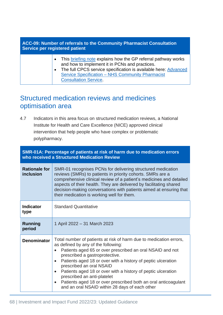| ACC-09: Number of referrals to the Community Pharmacist Consultation<br>Service per registered patient |                                                                                                                                                                                                                                                                                     |
|--------------------------------------------------------------------------------------------------------|-------------------------------------------------------------------------------------------------------------------------------------------------------------------------------------------------------------------------------------------------------------------------------------|
|                                                                                                        | This briefing note explains how the GP referral pathway works<br>and how to implement it in PCNs and practices.<br>The full CPCS service specification is available here: Advanced<br>$\bullet$<br>Service Specification - NHS Community Pharmacist<br><b>Consultation Service.</b> |

# Structured medication reviews and medicines optimisation area

4.7 Indicators in this area focus on structured medication reviews, a National Institute for Health and Care Excellence (NICE) approved clinical intervention that help people who have complex or problematic polypharmacy.

| SMR-01A: Percentage of patients at risk of harm due to medication errors<br>who received a Structured Medication Review |                                                                                                                                                                                                                                                                                                                                                                                                                                                                                                                                                                |
|-------------------------------------------------------------------------------------------------------------------------|----------------------------------------------------------------------------------------------------------------------------------------------------------------------------------------------------------------------------------------------------------------------------------------------------------------------------------------------------------------------------------------------------------------------------------------------------------------------------------------------------------------------------------------------------------------|
| <b>Rationale for</b><br>inclusion                                                                                       | SMR-01 recognises PCNs for delivering structured medication<br>reviews (SMRs) to patients in priority cohorts. SMRs are a<br>comprehensive clinical review of a patient's medicines and detailed<br>aspects of their health. They are delivered by facilitating shared<br>decision-making conversations with patients aimed at ensuring that<br>their medication is working well for them.                                                                                                                                                                     |
| <b>Indicator</b><br>type                                                                                                | <b>Standard Quantitative</b>                                                                                                                                                                                                                                                                                                                                                                                                                                                                                                                                   |
| <b>Running</b><br>period                                                                                                | 1 April 2022 – 31 March 2023                                                                                                                                                                                                                                                                                                                                                                                                                                                                                                                                   |
| <b>Denominator</b>                                                                                                      | Total number of patients at risk of harm due to medication errors,<br>as defined by any of the following:<br>Patients aged 65 or over prescribed an oral NSAID and not<br>prescribed a gastroprotective.<br>Patients aged 18 or over with a history of peptic ulceration<br>$\bullet$<br>prescribed an oral NSAID<br>Patients aged 18 or over with a history of peptic ulceration<br>$\bullet$<br>prescribed an anti-platelet<br>Patients aged 18 or over prescribed both an oral anticoagulant<br>$\bullet$<br>and an oral NSAID within 28 days of each other |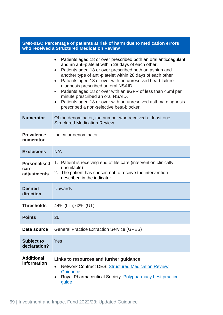| SMR-01A: Percentage of patients at risk of harm due to medication errors<br>who received a Structured Medication Review |                                                                                                                                                                                                                                                                                                                                                                                                                                                                                                                                                                                                                                   |  |
|-------------------------------------------------------------------------------------------------------------------------|-----------------------------------------------------------------------------------------------------------------------------------------------------------------------------------------------------------------------------------------------------------------------------------------------------------------------------------------------------------------------------------------------------------------------------------------------------------------------------------------------------------------------------------------------------------------------------------------------------------------------------------|--|
|                                                                                                                         | Patients aged 18 or over prescribed both an oral anticoagulant<br>$\bullet$<br>and an anti-platelet within 28 days of each other.<br>Patients aged 18 or over prescribed both an aspirin and<br>$\bullet$<br>another type of anti-platelet within 28 days of each other<br>Patients aged 18 or over with an unresolved heart failure<br>$\bullet$<br>diagnosis prescribed an oral NSAID.<br>Patients aged 18 or over with an eGFR of less than 45ml per<br>$\bullet$<br>minute prescribed an oral NSAID.<br>Patients aged 18 or over with an unresolved asthma diagnosis<br>$\bullet$<br>prescribed a non-selective beta-blocker. |  |
| <b>Numerator</b>                                                                                                        | Of the denominator, the number who received at least one<br><b>Structured Medication Review</b>                                                                                                                                                                                                                                                                                                                                                                                                                                                                                                                                   |  |
| <b>Prevalence</b><br>numerator                                                                                          | Indicator denominator                                                                                                                                                                                                                                                                                                                                                                                                                                                                                                                                                                                                             |  |
| <b>Exclusions</b>                                                                                                       | N/A                                                                                                                                                                                                                                                                                                                                                                                                                                                                                                                                                                                                                               |  |
| <b>Personalised</b><br>care<br>adjustments                                                                              | 1. Patient is receiving end of life care (intervention clinically<br>unsuitable)<br>The patient has chosen not to receive the intervention<br>2.<br>described in the indicator                                                                                                                                                                                                                                                                                                                                                                                                                                                    |  |
| <b>Desired</b><br>direction                                                                                             | <b>Upwards</b>                                                                                                                                                                                                                                                                                                                                                                                                                                                                                                                                                                                                                    |  |
| <b>Thresholds</b>                                                                                                       | 44% (LT); 62% (UT)                                                                                                                                                                                                                                                                                                                                                                                                                                                                                                                                                                                                                |  |
| <b>Points</b>                                                                                                           | 26                                                                                                                                                                                                                                                                                                                                                                                                                                                                                                                                                                                                                                |  |
| Data source                                                                                                             | <b>General Practice Extraction Service (GPES)</b>                                                                                                                                                                                                                                                                                                                                                                                                                                                                                                                                                                                 |  |
| <b>Subject to</b><br>declaration?                                                                                       | Yes                                                                                                                                                                                                                                                                                                                                                                                                                                                                                                                                                                                                                               |  |
| <b>Additional</b><br>information                                                                                        | Links to resources and further guidance<br><b>Network Contract DES: Structured Medication Review</b><br>$\bullet$<br>Guidance<br>Royal Pharmaceutical Society: Polypharmacy best practice<br>$\bullet$<br>guide                                                                                                                                                                                                                                                                                                                                                                                                                   |  |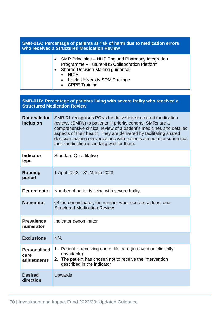| SMR-01A: Percentage of patients at risk of harm due to medication errors<br>who received a Structured Medication Review |                                                                                                                                                                                                                                                                                                                                                                                            |  |
|-------------------------------------------------------------------------------------------------------------------------|--------------------------------------------------------------------------------------------------------------------------------------------------------------------------------------------------------------------------------------------------------------------------------------------------------------------------------------------------------------------------------------------|--|
|                                                                                                                         | SMR Principles – NHS England Pharmacy Integration<br>$\bullet$<br>Programme - FutureNHS Collaboration Platform<br><b>Shared Decision Making guidance:</b><br><b>NICE</b><br><b>Keele University SDM Package</b><br><b>CPPE Training</b><br>$\bullet$                                                                                                                                       |  |
| SMR-01B: Percentage of patients living with severe frailty who received a<br><b>Structured Medication Review</b>        |                                                                                                                                                                                                                                                                                                                                                                                            |  |
| <b>Rationale for</b><br>inclusion                                                                                       | SMR-01 recognises PCNs for delivering structured medication<br>reviews (SMRs) to patients in priority cohorts. SMRs are a<br>comprehensive clinical review of a patient's medicines and detailed<br>aspects of their health. They are delivered by facilitating shared<br>decision-making conversations with patients aimed at ensuring that<br>their medication is working well for them. |  |
| <b>Indicator</b><br>type                                                                                                | <b>Standard Quantitative</b>                                                                                                                                                                                                                                                                                                                                                               |  |
| <b>Running</b><br>period                                                                                                | 1 April 2022 - 31 March 2023                                                                                                                                                                                                                                                                                                                                                               |  |
| <b>Denominator</b>                                                                                                      | Number of patients living with severe frailty.                                                                                                                                                                                                                                                                                                                                             |  |
| <b>Numerator</b>                                                                                                        | Of the denominator, the number who received at least one<br><b>Structured Medication Review</b>                                                                                                                                                                                                                                                                                            |  |
| <b>Prevalence</b><br>numerator                                                                                          | Indicator denominator                                                                                                                                                                                                                                                                                                                                                                      |  |
| <b>Exclusions</b>                                                                                                       | N/A                                                                                                                                                                                                                                                                                                                                                                                        |  |
| <b>Personalised</b><br>care<br>adjustments                                                                              | 1. Patient is receiving end of life care (intervention clinically<br>unsuitable)<br>The patient has chosen not to receive the intervention<br>2.<br>described in the indicator                                                                                                                                                                                                             |  |
| <b>Desired</b><br>direction                                                                                             | Upwards                                                                                                                                                                                                                                                                                                                                                                                    |  |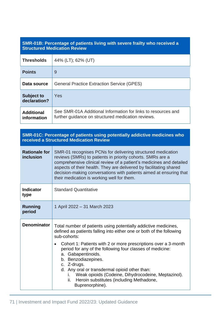## **SMR-01B: Percentage of patients living with severe frailty who received a Structured Medication Review**

| <b>Thresholds</b>                 | 44% (LT); 62% (UT)                                                                                                  |
|-----------------------------------|---------------------------------------------------------------------------------------------------------------------|
| <b>Points</b>                     | 9                                                                                                                   |
| Data source                       | <b>General Practice Extraction Service (GPES)</b>                                                                   |
| <b>Subject to</b><br>declaration? | Yes                                                                                                                 |
| <b>Additional</b><br>information  | See SMR-01A Additional Information for links to resources and<br>further guidance on structured medication reviews. |

**SMR-01C: Percentage of patients using potentially addictive medicines who received a Structured Medication Review**

| <b>Rationale for</b><br>inclusion | SMR-01 recognises PCNs for delivering structured medication<br>reviews (SMRs) to patients in priority cohorts. SMRs are a<br>comprehensive clinical review of a patient's medicines and detailed<br>aspects of their health. They are delivered by facilitating shared<br>decision-making conversations with patients aimed at ensuring that<br>their medication is working well for them.                                                                                                                                                       |
|-----------------------------------|--------------------------------------------------------------------------------------------------------------------------------------------------------------------------------------------------------------------------------------------------------------------------------------------------------------------------------------------------------------------------------------------------------------------------------------------------------------------------------------------------------------------------------------------------|
| <b>Indicator</b><br>type          | <b>Standard Quantitative</b>                                                                                                                                                                                                                                                                                                                                                                                                                                                                                                                     |
| <b>Running</b><br>period          | 1 April 2022 – 31 March 2023                                                                                                                                                                                                                                                                                                                                                                                                                                                                                                                     |
| <b>Denominator</b>                | Total number of patients using potentially addictive medicines,<br>defined as patients falling into either one or both of the following<br>sub-cohorts:<br>Cohort 1: Patients with 2 or more prescriptions over a 3-month<br>$\bullet$<br>period for any of the following four classes of medicine:<br>a. Gabapentinoids.<br>b. Benzodiazepines.<br>c. Z-drugs.<br>d. Any oral or transdermal opioid other than:<br>i. Weak opioids (Codeine, Dihydrocodeine, Meptazinol).<br>Heroin substitutes (including Methadone,<br>ii.<br>Buprenorphine). |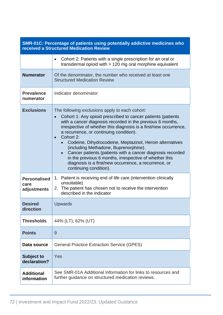| SMR-01C: Percentage of patients using potentially addictive medicines who<br><b>received a Structured Medication Review</b> |                                                                                                                                                                                                                                                                                                                                                                                                                                                                                                                                                                                                                                                     |
|-----------------------------------------------------------------------------------------------------------------------------|-----------------------------------------------------------------------------------------------------------------------------------------------------------------------------------------------------------------------------------------------------------------------------------------------------------------------------------------------------------------------------------------------------------------------------------------------------------------------------------------------------------------------------------------------------------------------------------------------------------------------------------------------------|
|                                                                                                                             | Cohort 2: Patients with a single prescription for an oral or<br>$\bullet$<br>transdermal opioid with $> 120$ mg oral morphine equivalent                                                                                                                                                                                                                                                                                                                                                                                                                                                                                                            |
| <b>Numerator</b>                                                                                                            | Of the denominator, the number who received at least one<br><b>Structured Medication Review</b>                                                                                                                                                                                                                                                                                                                                                                                                                                                                                                                                                     |
| <b>Prevalence</b><br>numerator                                                                                              | Indicator denominator                                                                                                                                                                                                                                                                                                                                                                                                                                                                                                                                                                                                                               |
| <b>Exclusions</b>                                                                                                           | The following exclusions apply to each cohort:<br>Cohort 1: Any opioid prescribed to cancer patients (patients<br>$\bullet$<br>with a cancer diagnosis recorded in the previous 6 months,<br>irrespective of whether this diagnosis is a first/new occurrence,<br>a recurrence, or continuing condition).<br>Cohort 2:<br>$\bullet$<br>Codeine, Dihydrocodeine, Meptazinol, Heroin alternatives<br>(including Methadone, Buprenorphine).<br>Cancer patients (patients with a cancer diagnosis recorded<br>in the previous 6 months, irrespective of whether this<br>diagnosis is a first/new occurrence, a recurrence, or<br>continuing condition). |
| <b>Personalised</b><br>care<br>adjustments                                                                                  | 1. Patient is receiving end of life care (intervention clinically<br>unsuitable)<br>2. The patient has chosen not to receive the intervention<br>described in the indicator                                                                                                                                                                                                                                                                                                                                                                                                                                                                         |
| <b>Desired</b><br>direction                                                                                                 | Upwards                                                                                                                                                                                                                                                                                                                                                                                                                                                                                                                                                                                                                                             |
| <b>Thresholds</b>                                                                                                           | 44% (LT); 62% (UT)                                                                                                                                                                                                                                                                                                                                                                                                                                                                                                                                                                                                                                  |
| <b>Points</b>                                                                                                               | 9                                                                                                                                                                                                                                                                                                                                                                                                                                                                                                                                                                                                                                                   |
| Data source                                                                                                                 | <b>General Practice Extraction Service (GPES)</b>                                                                                                                                                                                                                                                                                                                                                                                                                                                                                                                                                                                                   |
| <b>Subject to</b><br>declaration?                                                                                           | Yes                                                                                                                                                                                                                                                                                                                                                                                                                                                                                                                                                                                                                                                 |
| <b>Additional</b><br>information                                                                                            | See SMR-01A Additional Information for links to resources and<br>further guidance on structured medication reviews.                                                                                                                                                                                                                                                                                                                                                                                                                                                                                                                                 |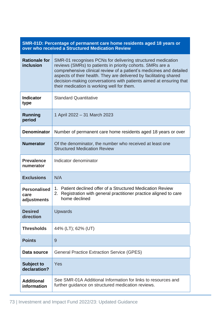| SMR-01D: Percentage of permanent care home residents aged 18 years or<br>over who received a Structured Medication Review |                                                                                                                                                                                                                                                                                                                                                                                            |
|---------------------------------------------------------------------------------------------------------------------------|--------------------------------------------------------------------------------------------------------------------------------------------------------------------------------------------------------------------------------------------------------------------------------------------------------------------------------------------------------------------------------------------|
| <b>Rationale for</b><br>inclusion                                                                                         | SMR-01 recognises PCNs for delivering structured medication<br>reviews (SMRs) to patients in priority cohorts. SMRs are a<br>comprehensive clinical review of a patient's medicines and detailed<br>aspects of their health. They are delivered by facilitating shared<br>decision-making conversations with patients aimed at ensuring that<br>their medication is working well for them. |
| <b>Indicator</b><br>type                                                                                                  | <b>Standard Quantitative</b>                                                                                                                                                                                                                                                                                                                                                               |
| Running<br>period                                                                                                         | 1 April 2022 - 31 March 2023                                                                                                                                                                                                                                                                                                                                                               |
| <b>Denominator</b>                                                                                                        | Number of permanent care home residents aged 18 years or over                                                                                                                                                                                                                                                                                                                              |
| <b>Numerator</b>                                                                                                          | Of the denominator, the number who received at least one<br><b>Structured Medication Review</b>                                                                                                                                                                                                                                                                                            |
| <b>Prevalence</b><br>numerator                                                                                            | Indicator denominator                                                                                                                                                                                                                                                                                                                                                                      |
| <b>Exclusions</b>                                                                                                         | N/A                                                                                                                                                                                                                                                                                                                                                                                        |
| <b>Personalised</b><br>care<br>adjustments                                                                                | 1. Patient declined offer of a Structured Medication Review<br>Registration with general practitioner practice aligned to care<br>2.<br>home declined                                                                                                                                                                                                                                      |
| <b>Desired</b><br>direction                                                                                               | <b>Upwards</b>                                                                                                                                                                                                                                                                                                                                                                             |
| <b>Thresholds</b>                                                                                                         | 44% (LT); 62% (UT)                                                                                                                                                                                                                                                                                                                                                                         |
| <b>Points</b>                                                                                                             | 9                                                                                                                                                                                                                                                                                                                                                                                          |
| Data source                                                                                                               | <b>General Practice Extraction Service (GPES)</b>                                                                                                                                                                                                                                                                                                                                          |
| <b>Subject to</b><br>declaration?                                                                                         | Yes                                                                                                                                                                                                                                                                                                                                                                                        |
| <b>Additional</b><br>information                                                                                          | See SMR-01A Additional Information for links to resources and<br>further guidance on structured medication reviews.                                                                                                                                                                                                                                                                        |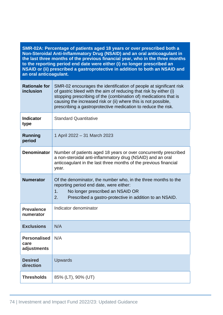**SMR-02A: Percentage of patients aged 18 years or over prescribed both a Non-Steroidal Anti-Inflammatory Drug (NSAID) and an oral anticoagulant in the last three months of the previous financial year, who in the three months to the reporting period end date were either (i) no longer prescribed an NSAID or (ii) prescribed a gastroprotective in addition to both an NSAID and an oral anticoagulant.**

| <b>Rationale for</b><br>inclusion          | SMR-02 encourages the identification of people at significant risk<br>of gastric bleed with the aim of reducing that risk by either (i)<br>stopping prescribing of the (combination of) medications that is<br>causing the increased risk or (ii) where this is not possible,<br>prescribing a gastroprotective medication to reduce the risk. |
|--------------------------------------------|------------------------------------------------------------------------------------------------------------------------------------------------------------------------------------------------------------------------------------------------------------------------------------------------------------------------------------------------|
| <b>Indicator</b><br>type                   | <b>Standard Quantitative</b>                                                                                                                                                                                                                                                                                                                   |
| <b>Running</b><br>period                   | 1 April 2022 - 31 March 2023                                                                                                                                                                                                                                                                                                                   |
| <b>Denominator</b>                         | Number of patients aged 18 years or over concurrently prescribed<br>a non-steroidal anti-inflammatory drug (NSAID) and an oral<br>anticoagulant in the last three months of the previous financial<br>year.                                                                                                                                    |
| <b>Numerator</b>                           | Of the denominator, the number who, in the three months to the<br>reporting period end date, were either:<br>1.<br>No longer prescribed an NSAID OR<br>2.<br>Prescribed a gastro-protective in addition to an NSAID.                                                                                                                           |
| <b>Prevalence</b><br>numerator             | Indicator denominator                                                                                                                                                                                                                                                                                                                          |
| <b>Exclusions</b>                          | N/A                                                                                                                                                                                                                                                                                                                                            |
| <b>Personalised</b><br>care<br>adjustments | N/A                                                                                                                                                                                                                                                                                                                                            |
| <b>Desired</b><br>direction                | <b>Upwards</b>                                                                                                                                                                                                                                                                                                                                 |
| <b>Thresholds</b>                          | 85% (LT), 90% (UT)                                                                                                                                                                                                                                                                                                                             |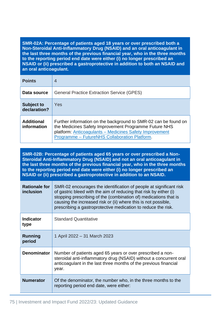**SMR-02A: Percentage of patients aged 18 years or over prescribed both a Non-Steroidal Anti-Inflammatory Drug (NSAID) and an oral anticoagulant in the last three months of the previous financial year, who in the three months to the reporting period end date were either (i) no longer prescribed an NSAID or (ii) prescribed a gastroprotective in addition to both an NSAID and an oral anticoagulant.**

| <b>Points</b>                     | $\overline{4}$                                                                                                                                                                                                                       |
|-----------------------------------|--------------------------------------------------------------------------------------------------------------------------------------------------------------------------------------------------------------------------------------|
| Data source                       | <b>General Practice Extraction Service (GPES)</b>                                                                                                                                                                                    |
| <b>Subject to</b><br>declaration? | Yes                                                                                                                                                                                                                                  |
| <b>Additional</b><br>information  | Further information on the background to SMR-02 can be found on<br>the Medicines Safety Improvement Programme Future NHS<br>platform: Anticoagulants - Medicines Safety Improvement<br>Programme - FutureNHS Collaboration Platform. |

**SMR-02B: Percentage of patients aged 65 years or over prescribed a Non-Steroidal Anti-Inflammatory Drug (NSAID) and not an oral anticoagulant in the last three months of the previous financial year, who in the three months to the reporting period end date were either (i) no longer prescribed an NSAID or (ii) prescribed a gastroprotective in addition to an NSAID.**

| <b>Rationale for</b><br>inclusion | SMR-02 encourages the identification of people at significant risk<br>of gastric bleed with the aim of reducing that risk by either (i)<br>stopping prescribing of the (combination of) medications that is<br>causing the increased risk or (ii) where this is not possible,<br>prescribing a gastroprotective medication to reduce the risk. |
|-----------------------------------|------------------------------------------------------------------------------------------------------------------------------------------------------------------------------------------------------------------------------------------------------------------------------------------------------------------------------------------------|
| <b>Indicator</b><br>type          | <b>Standard Quantitative</b>                                                                                                                                                                                                                                                                                                                   |
| Running<br>period                 | 1 April 2022 – 31 March 2023                                                                                                                                                                                                                                                                                                                   |
| <b>Denominator</b>                | Number of patients aged 65 years or over prescribed a non-<br>steroidal anti-inflammatory drug (NSAID) without a concurrent oral<br>anticoagulant in the last three months of the previous financial<br>year.                                                                                                                                  |
| <b>Numerator</b>                  | Of the denominator, the number who, in the three months to the<br>reporting period end date, were either:                                                                                                                                                                                                                                      |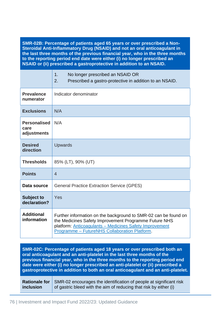| SMR-02B: Percentage of patients aged 65 years or over prescribed a Non-<br>Steroidal Anti-Inflammatory Drug (NSAID) and not an oral anticoagulant in<br>the last three months of the previous financial year, who in the three months<br>to the reporting period end date were either (i) no longer prescribed an<br>NSAID or (ii) prescribed a gastroprotective in addition to an NSAID. |                                                                                                                                                                                                                                      |
|-------------------------------------------------------------------------------------------------------------------------------------------------------------------------------------------------------------------------------------------------------------------------------------------------------------------------------------------------------------------------------------------|--------------------------------------------------------------------------------------------------------------------------------------------------------------------------------------------------------------------------------------|
|                                                                                                                                                                                                                                                                                                                                                                                           | 1.<br>No longer prescribed an NSAID OR<br>2.<br>Prescribed a gastro-protective in addition to an NSAID.                                                                                                                              |
| <b>Prevalence</b><br>numerator                                                                                                                                                                                                                                                                                                                                                            | Indicator denominator                                                                                                                                                                                                                |
| <b>Exclusions</b>                                                                                                                                                                                                                                                                                                                                                                         | N/A                                                                                                                                                                                                                                  |
| <b>Personalised</b><br>care<br>adjustments                                                                                                                                                                                                                                                                                                                                                | N/A                                                                                                                                                                                                                                  |
| <b>Desired</b><br>direction                                                                                                                                                                                                                                                                                                                                                               | <b>Upwards</b>                                                                                                                                                                                                                       |
| <b>Thresholds</b>                                                                                                                                                                                                                                                                                                                                                                         | 85% (LT), 90% (UT)                                                                                                                                                                                                                   |
| <b>Points</b>                                                                                                                                                                                                                                                                                                                                                                             | $\overline{4}$                                                                                                                                                                                                                       |
| Data source                                                                                                                                                                                                                                                                                                                                                                               | <b>General Practice Extraction Service (GPES)</b>                                                                                                                                                                                    |
| <b>Subject to</b><br>declaration?                                                                                                                                                                                                                                                                                                                                                         | Yes                                                                                                                                                                                                                                  |
| <b>Additional</b><br>information                                                                                                                                                                                                                                                                                                                                                          | Further information on the background to SMR-02 can be found on<br>the Medicines Safety Improvement Programme Future NHS<br>platform: Anticoagulants - Medicines Safety Improvement<br>Programme - FutureNHS Collaboration Platform. |

**SMR-02C: Percentage of patients aged 18 years or over prescribed both an oral anticoagulant and an anti-platelet in the last three months of the previous financial year, who in the three months to the reporting period end date were either (i) no longer prescribed an anti-platelet or (ii) prescribed a gastroprotective in addition to both an oral anticoagulant and an anti-platelet.**

**Rationale for inclusion** SMR-02 encourages the identification of people at significant risk of gastric bleed with the aim of reducing that risk by either (i)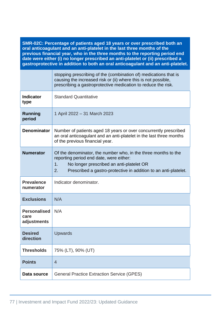| SMR-02C: Percentage of patients aged 18 years or over prescribed both an<br>oral anticoagulant and an anti-platelet in the last three months of the<br>previous financial year, who in the three months to the reporting period end<br>date were either (i) no longer prescribed an anti-platelet or (ii) prescribed a<br>gastroprotective in addition to both an oral anticoagulant and an anti-platelet. |                                                                                                                                                                                                                                      |
|------------------------------------------------------------------------------------------------------------------------------------------------------------------------------------------------------------------------------------------------------------------------------------------------------------------------------------------------------------------------------------------------------------|--------------------------------------------------------------------------------------------------------------------------------------------------------------------------------------------------------------------------------------|
|                                                                                                                                                                                                                                                                                                                                                                                                            | stopping prescribing of the (combination of) medications that is<br>causing the increased risk or (ii) where this is not possible,<br>prescribing a gastroprotective medication to reduce the risk.                                  |
| <b>Indicator</b><br>type                                                                                                                                                                                                                                                                                                                                                                                   | <b>Standard Quantitative</b>                                                                                                                                                                                                         |
| <b>Running</b><br>period                                                                                                                                                                                                                                                                                                                                                                                   | 1 April 2022 - 31 March 2023                                                                                                                                                                                                         |
| <b>Denominator</b>                                                                                                                                                                                                                                                                                                                                                                                         | Number of patients aged 18 years or over concurrently prescribed<br>an oral anticoagulant and an anti-platelet in the last three months<br>of the previous financial year.                                                           |
| <b>Numerator</b>                                                                                                                                                                                                                                                                                                                                                                                           | Of the denominator, the number who, in the three months to the<br>reporting period end date, were either:<br>No longer prescribed an anti-platelet OR<br>1.<br>2.<br>Prescribed a gastro-protective in addition to an anti-platelet. |
| <b>Prevalence</b><br>numerator                                                                                                                                                                                                                                                                                                                                                                             | Indicator denominator.                                                                                                                                                                                                               |
| <b>Exclusions</b>                                                                                                                                                                                                                                                                                                                                                                                          | N/A                                                                                                                                                                                                                                  |
| <b>Personalised</b><br>care<br>adjustments                                                                                                                                                                                                                                                                                                                                                                 | N/A                                                                                                                                                                                                                                  |
| <b>Desired</b><br>direction                                                                                                                                                                                                                                                                                                                                                                                | <b>Upwards</b>                                                                                                                                                                                                                       |
| <b>Thresholds</b>                                                                                                                                                                                                                                                                                                                                                                                          | 75% (LT), 90% (UT)                                                                                                                                                                                                                   |
| <b>Points</b>                                                                                                                                                                                                                                                                                                                                                                                              | $\overline{4}$                                                                                                                                                                                                                       |
| Data source                                                                                                                                                                                                                                                                                                                                                                                                | <b>General Practice Extraction Service (GPES)</b>                                                                                                                                                                                    |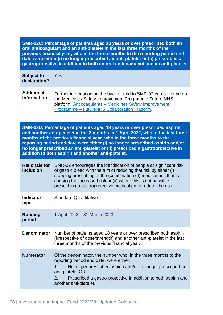**SMR-02C: Percentage of patients aged 18 years or over prescribed both an oral anticoagulant and an anti-platelet in the last three months of the previous financial year, who in the three months to the reporting period end date were either (i) no longer prescribed an anti-platelet or (ii) prescribed a gastroprotective in addition to both an oral anticoagulant and an anti-platelet.**

| <b>Subject to</b><br>declaration? | Yes                                                                                                                                                                                                                                  |
|-----------------------------------|--------------------------------------------------------------------------------------------------------------------------------------------------------------------------------------------------------------------------------------|
| <b>Additional</b><br>information  | Further information on the background to SMR-02 can be found on<br>the Medicines Safety Improvement Programme Future NHS<br>platform: Anticoagulants - Medicines Safety Improvement<br>Programme - FutureNHS Collaboration Platform. |

**SMR-02D: Percentage of patients aged 18 years or over prescribed aspirin and another anti-platelet in the 3 months to 1 April 2022, who in the last three months of the previous financial year, who in the three months to the reporting period end date were either (i) no longer prescribed aspirin and/or no longer prescribed an anti-platelet or (ii) prescribed a gastroprotective in addition to both aspirin and another anti-platelet.**

| <b>Rationale for</b><br>inclusion | SMR-02 encourages the identification of people at significant risk<br>of gastric bleed with the aim of reducing that risk by either (i)<br>stopping prescribing of the (combination of) medications that is<br>causing the increased risk or (ii) where this is not possible,<br>prescribing a gastroprotective medication to reduce the risk. |
|-----------------------------------|------------------------------------------------------------------------------------------------------------------------------------------------------------------------------------------------------------------------------------------------------------------------------------------------------------------------------------------------|
| <b>Indicator</b><br>type          | <b>Standard Quantitative</b>                                                                                                                                                                                                                                                                                                                   |
| <b>Running</b><br>period          | 1 April 2022 – 31 March 2023                                                                                                                                                                                                                                                                                                                   |
| <b>Denominator</b>                | Number of patients aged 18 years or over prescribed both aspirin<br>(irrespective of dose/strength) and another anti-platelet in the last<br>three months of the previous financial year.                                                                                                                                                      |
| <b>Numerator</b>                  | Of the denominator, the number who, in the three months to the<br>reporting period end date, were either:<br>1.<br>No longer prescribed aspirin and/or no longer prescribed an<br>anti-platelet OR<br>Prescribed a gastro-protective in addition to both aspirin and<br>2.<br>another anti-platelet.                                           |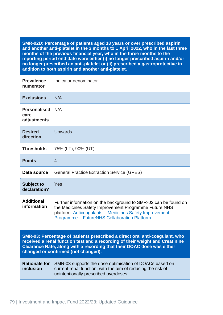**SMR-02D: Percentage of patients aged 18 years or over prescribed aspirin and another anti-platelet in the 3 months to 1 April 2022, who in the last three months of the previous financial year, who in the three months to the reporting period end date were either (i) no longer prescribed aspirin and/or no longer prescribed an anti-platelet or (ii) prescribed a gastroprotective in addition to both aspirin and another anti-platelet.**

| <b>Prevalence</b><br>numerator             | Indicator denominator.                                                                                                                                                                                                               |
|--------------------------------------------|--------------------------------------------------------------------------------------------------------------------------------------------------------------------------------------------------------------------------------------|
| <b>Exclusions</b>                          | N/A                                                                                                                                                                                                                                  |
| <b>Personalised</b><br>care<br>adjustments | N/A                                                                                                                                                                                                                                  |
| <b>Desired</b><br>direction                | <b>Upwards</b>                                                                                                                                                                                                                       |
| <b>Thresholds</b>                          | 75% (LT), 90% (UT)                                                                                                                                                                                                                   |
| <b>Points</b>                              | $\overline{4}$                                                                                                                                                                                                                       |
| Data source                                | <b>General Practice Extraction Service (GPES)</b>                                                                                                                                                                                    |
| <b>Subject to</b><br>declaration?          | Yes                                                                                                                                                                                                                                  |
| <b>Additional</b><br>information           | Further information on the background to SMR-02 can be found on<br>the Medicines Safety Improvement Programme Future NHS<br>platform: Anticoagulants - Medicines Safety Improvement<br>Programme - FutureNHS Collaboration Platform. |

**SMR-03: Percentage of patients prescribed a direct oral anti-coagulant, who received a renal function test and a recording of their weight and Creatinine Clearance Rate, along with a recording that their DOAC dose was either changed or confirmed (not changed).**

|           | <b>Rationale for</b> SMR-03 supports the dose optimisation of DOACs based on |
|-----------|------------------------------------------------------------------------------|
| inclusion | current renal function, with the aim of reducing the risk of                 |
|           | unintentionally prescribed overdoses.                                        |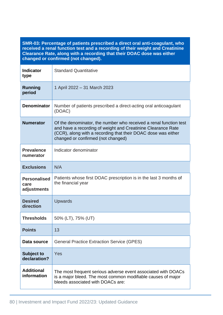**SMR-03: Percentage of patients prescribed a direct oral anti-coagulant, who received a renal function test and a recording of their weight and Creatinine Clearance Rate, along with a recording that their DOAC dose was either changed or confirmed (not changed).**

| <b>Indicator</b><br>type                   | <b>Standard Quantitative</b>                                                                                                                                                                                                             |
|--------------------------------------------|------------------------------------------------------------------------------------------------------------------------------------------------------------------------------------------------------------------------------------------|
| <b>Running</b><br>period                   | 1 April 2022 - 31 March 2023                                                                                                                                                                                                             |
| <b>Denominator</b>                         | Number of patients prescribed a direct-acting oral anticoagulant<br>(DOAC)                                                                                                                                                               |
| <b>Numerator</b>                           | Of the denominator, the number who received a renal function test<br>and have a recording of weight and Creatinine Clearance Rate<br>(CCR), along with a recording that their DOAC dose was either<br>changed or confirmed (not changed) |
| <b>Prevalence</b><br>numerator             | Indicator denominator                                                                                                                                                                                                                    |
| <b>Exclusions</b>                          | N/A                                                                                                                                                                                                                                      |
| <b>Personalised</b><br>care<br>adjustments | Patients whose first DOAC prescription is in the last 3 months of<br>the financial year                                                                                                                                                  |
| <b>Desired</b><br>direction                | Upwards                                                                                                                                                                                                                                  |
| <b>Thresholds</b>                          | 50% (LT), 75% (UT)                                                                                                                                                                                                                       |
| <b>Points</b>                              | 13                                                                                                                                                                                                                                       |
| Data source                                | <b>General Practice Extraction Service (GPES)</b>                                                                                                                                                                                        |
| <b>Subject to</b><br>declaration?          | Yes                                                                                                                                                                                                                                      |
| <b>Additional</b><br>information           | The most frequent serious adverse event associated with DOACs<br>is a major bleed. The most common modifiable causes of major<br>bleeds associated with DOACs are:                                                                       |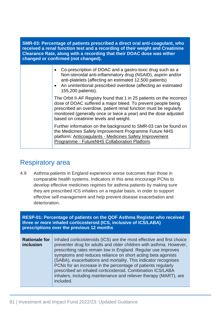**SMR-03: Percentage of patients prescribed a direct oral anti-coagulant, who received a renal function test and a recording of their weight and Creatinine Clearance Rate, along with a recording that their DOAC dose was either changed or confirmed (not changed).**

- Co-prescription of DOAC and a gastro-toxic drug such as a Non-steroidal anti-inflammatory drug (NSAID), aspirin and/or anti-platelets (affecting an estimated 12,500 patients)
- An unintentional prescribed overdose (affecting an estimated 155,200 patients).

The Orbit II-AF Registry found that 1 in 25 patients on the incorrect dose of DOAC suffered a major bleed. To prevent people being prescribed an overdose, patient renal function must be regularly monitored (generally once or twice a year) and the dose adjusted based on creatinine levels and weight.

Further information on the background to SMR-03 can be found on the Medicines Safety Improvement Programme Future NHS platform: Anticoagulants - [Medicines Safety Improvement](https://future.nhs.uk/MedicinesSafetyImprovement/view?objectId=30423344)  Programme - [FutureNHS Collaboration Platform.](https://future.nhs.uk/MedicinesSafetyImprovement/view?objectId=30423344)

# Respiratory area

4.9 Asthma patients in England experience worse outcomes than those in comparable health systems. Indicators in this area encourage PCNs to develop effective medicines regimes for asthma patients by making sure they are prescribed ICS inhalers on a regular basis, in order to support effective self-management and help prevent disease exacerbation and deterioration.

**RESP-01: Percentage of patients on the QOF Asthma Register who received three or more inhaled corticosteroid (ICS, inclusive of ICS/LABA) prescriptions over the previous 12 months Rationale for inclusion** Inhaled corticosteroids (ICS) are the most effective and first choice preventer drug for adults and older children with asthma. However, prescribing rates remain low in England. Regular use improves symptoms and reduces reliance on short acting beta agonists (SABA), exacerbations and mortality. This indicator recognises PCNs for an increase in the percentage of patients regularly prescribed an inhaled corticosteroid. Combination ICS/LABA inhalers, including maintenance and reliever therapy (MART), are included.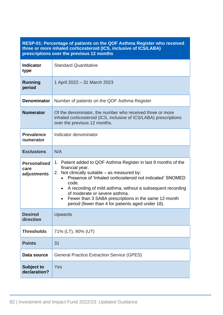#### **RESP-01: Percentage of patients on the QOF Asthma Register who received three or more inhaled corticosteroid (ICS, inclusive of ICS/LABA) prescriptions over the previous 12 months**

| <b>Indicator</b><br>type                   | <b>Standard Quantitative</b>                                                                                                                                                                                                                                                                                                                                                                                                      |  |  |
|--------------------------------------------|-----------------------------------------------------------------------------------------------------------------------------------------------------------------------------------------------------------------------------------------------------------------------------------------------------------------------------------------------------------------------------------------------------------------------------------|--|--|
| <b>Running</b><br>period                   | 1 April 2022 - 31 March 2023                                                                                                                                                                                                                                                                                                                                                                                                      |  |  |
| <b>Denominator</b>                         | Number of patients on the QOF Asthma Register                                                                                                                                                                                                                                                                                                                                                                                     |  |  |
| <b>Numerator</b>                           | Of the denominator, the number who received three or more<br>inhaled corticosteroid (ICS, inclusive of ICS/LABA) prescriptions<br>over the previous 12 months.                                                                                                                                                                                                                                                                    |  |  |
| <b>Prevalence</b><br>numerator             | Indicator denominator                                                                                                                                                                                                                                                                                                                                                                                                             |  |  |
| <b>Exclusions</b>                          | N/A                                                                                                                                                                                                                                                                                                                                                                                                                               |  |  |
| <b>Personalised</b><br>care<br>adjustments | 1. Patient added to QOF Asthma Register in last 9 months of the<br>financial year.<br>2. Not clinically suitable – as measured by:<br>Presence of 'Inhaled corticosteroid not indicated' SNOMED<br>code.<br>A recording of mild asthma, without a subsequent recording<br>$\bullet$<br>of moderate or severe asthma.<br>Fewer than 3 SABA prescriptions in the same 12-month<br>period (fewer than 4 for patients aged under 18). |  |  |
| <b>Desired</b><br>direction                | Upwards                                                                                                                                                                                                                                                                                                                                                                                                                           |  |  |
| <b>Thresholds</b>                          | 71% (LT), 90% (UT)                                                                                                                                                                                                                                                                                                                                                                                                                |  |  |
| <b>Points</b>                              | 31                                                                                                                                                                                                                                                                                                                                                                                                                                |  |  |
| Data source                                | <b>General Practice Extraction Service (GPES)</b>                                                                                                                                                                                                                                                                                                                                                                                 |  |  |
| <b>Subject to</b><br>declaration?          | Yes                                                                                                                                                                                                                                                                                                                                                                                                                               |  |  |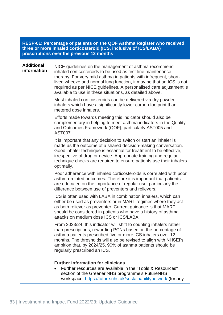| RESP-01: Percentage of patients on the QOF Asthma Register who received<br>three or more inhaled corticosteroid (ICS, inclusive of ICS/LABA)<br>prescriptions over the previous 12 months |                                                                                                                                                                                                                                                                                                                                                                                                     |  |  |
|-------------------------------------------------------------------------------------------------------------------------------------------------------------------------------------------|-----------------------------------------------------------------------------------------------------------------------------------------------------------------------------------------------------------------------------------------------------------------------------------------------------------------------------------------------------------------------------------------------------|--|--|
| <b>Additional</b><br>information                                                                                                                                                          | NICE guidelines on the management of asthma recommend<br>inhaled corticosteroids to be used as first-line maintenance<br>therapy. For very mild asthma in patients with infrequent, short-<br>lived wheeze and normal lung function, it may be that an ICS is not<br>required as per NICE guidelines. A personalised care adjustment is<br>available to use in these situations, as detailed above. |  |  |
|                                                                                                                                                                                           | Most inhaled corticosteroids can be delivered via dry powder<br>inhalers which have a significantly lower carbon footprint than<br>metered dose inhalers.                                                                                                                                                                                                                                           |  |  |
|                                                                                                                                                                                           | Efforts made towards meeting this indicator should also be<br>complementary in helping to meet asthma indicators in the Quality<br>and Outcomes Framework (QOF), particularly AST005 and<br>AST007.                                                                                                                                                                                                 |  |  |
|                                                                                                                                                                                           | It is important that any decision to switch or start an inhaler is<br>made as the outcome of a shared decision-making conversation.<br>Good inhaler technique is essential for treatment to be effective,<br>irrespective of drug or device. Appropriate training and regular<br>technique checks are required to ensure patients use their inhalers<br>optimally.                                  |  |  |
|                                                                                                                                                                                           | Poor adherence with inhaled corticosteroids is correlated with poor<br>asthma-related outcomes. Therefore it is important that patients<br>are educated on the importance of regular use, particularly the<br>difference between use of preventers and relievers.                                                                                                                                   |  |  |
|                                                                                                                                                                                           | ICS is often used with LABA in combination inhalers, which can<br>either be used as preventers or in MART regimes where they act<br>as both reliever as preventer. Current guidance is that MART<br>should be considered in patients who have a history of asthma<br>attacks on medium dose ICS or ICS/LABA.                                                                                        |  |  |
|                                                                                                                                                                                           | From 2023/24, this indicator will shift to counting inhalers rather<br>than prescriptions, rewarding PCNs based on the percentage of<br>asthma patients prescribed five or more ICS inhalers over 12<br>months. The thresholds will also be revised to align with NHSEI's<br>ambition that, by 2024/25, 90% of asthma patients should be<br>regularly prescribed an ICS.                            |  |  |
|                                                                                                                                                                                           | <b>Further information for clinicians</b><br>Further resources are available in the "Tools & Resources"<br>section of the Greener NHS programme's FutureNHS<br>workspace: https://future.nhs.uk/sustainabilitynetwork (for any                                                                                                                                                                      |  |  |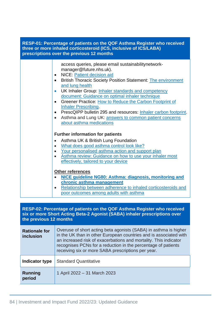| RESP-01: Percentage of patients on the QOF Asthma Register who received<br>three or more inhaled corticosteroid (ICS, inclusive of ICS/LABA)<br>prescriptions over the previous 12 months |                                                                                                                                                                                                                                                                                                                                                                                                                                                                                                                                                                                                                                                         |  |  |
|-------------------------------------------------------------------------------------------------------------------------------------------------------------------------------------------|---------------------------------------------------------------------------------------------------------------------------------------------------------------------------------------------------------------------------------------------------------------------------------------------------------------------------------------------------------------------------------------------------------------------------------------------------------------------------------------------------------------------------------------------------------------------------------------------------------------------------------------------------------|--|--|
|                                                                                                                                                                                           | access queries, please email sustainabilitynetwork-<br>manager@future.nhs.uk).<br><b>NICE: Patient decision aid</b><br>$\bullet$<br><b>British Thoracic Society Position Statement: The environment</b><br>$\bullet$<br>and lung health<br>UK Inhaler Group: Inhaler standards and competency<br>$\bullet$<br>document: Guidance on optimal inhaler technique<br>Greener Practice: How to Reduce the Carbon Footprint of<br>$\bullet$<br><b>Inhaler Prescribing.</b><br>PrescQIPP bulletin 295 and resources: Inhaler carbon footprint.<br>$\bullet$<br>Asthma and Lung UK: answers to common patient concerns<br>$\bullet$<br>about asthma medications |  |  |
|                                                                                                                                                                                           | <b>Further information for patients</b><br>Asthma UK & British Lung Foundation<br>$\bullet$<br>What does good asthma control look like?<br>$\bullet$<br>Your personalised asthma action and support plan<br>$\bullet$<br>Asthma review: Guidance on how to use your inhaler most<br>effectively, tailored to your device<br><b>Other references</b><br>NICE guideline NG80: Asthma: diagnosis, monitoring and<br>$\bullet$<br>chronic asthma management<br>Relationship between adherence to inhaled corticosteroids and<br>$\bullet$<br>poor outcomes among adults with asthma                                                                         |  |  |

| RESP-02: Percentage of patients on the QOF Asthma Register who received<br>six or more Short Acting Beta-2 Agonist (SABA) inhaler prescriptions over<br>the previous 12 months |                                                                                                                                                                                                                                                                                                                                  |  |
|--------------------------------------------------------------------------------------------------------------------------------------------------------------------------------|----------------------------------------------------------------------------------------------------------------------------------------------------------------------------------------------------------------------------------------------------------------------------------------------------------------------------------|--|
| <b>Rationale for</b><br>inclusion                                                                                                                                              | Overuse of short acting beta agonists (SABA) in asthma is higher<br>in the UK than in other European countries and is associated with<br>an increased risk of exacerbations and mortality. This indicator<br>recognises PCNs for a reduction in the percentage of patients<br>receiving six or more SABA prescriptions per year. |  |
| Indicator type                                                                                                                                                                 | <b>Standard Quantitative</b>                                                                                                                                                                                                                                                                                                     |  |
| <b>Running</b><br>period                                                                                                                                                       | 1 April 2022 - 31 March 2023                                                                                                                                                                                                                                                                                                     |  |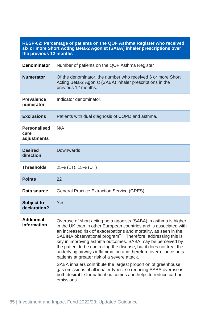| RESP-02. Percentage of patients on the QOF ASthina Register who received<br>six or more Short Acting Beta-2 Agonist (SABA) inhaler prescriptions over<br>the previous 12 months |                                                                                                                                                                                                                                                                                                                                                                                                                                                                                                                                                                                                                                                                                                                                                                       |  |
|---------------------------------------------------------------------------------------------------------------------------------------------------------------------------------|-----------------------------------------------------------------------------------------------------------------------------------------------------------------------------------------------------------------------------------------------------------------------------------------------------------------------------------------------------------------------------------------------------------------------------------------------------------------------------------------------------------------------------------------------------------------------------------------------------------------------------------------------------------------------------------------------------------------------------------------------------------------------|--|
| <b>Denominator</b>                                                                                                                                                              | Number of patients on the QOF Asthma Register                                                                                                                                                                                                                                                                                                                                                                                                                                                                                                                                                                                                                                                                                                                         |  |
| <b>Numerator</b>                                                                                                                                                                | Of the denominator, the number who received 6 or more Short<br>Acting Beta-2 Agonist (SABA) inhaler prescriptions in the<br>previous 12 months.                                                                                                                                                                                                                                                                                                                                                                                                                                                                                                                                                                                                                       |  |
| <b>Prevalence</b><br>numerator                                                                                                                                                  | Indicator denominator.                                                                                                                                                                                                                                                                                                                                                                                                                                                                                                                                                                                                                                                                                                                                                |  |
| <b>Exclusions</b>                                                                                                                                                               | Patients with dual diagnosis of COPD and asthma.                                                                                                                                                                                                                                                                                                                                                                                                                                                                                                                                                                                                                                                                                                                      |  |
| <b>Personalised</b><br>care<br>adjustments                                                                                                                                      | N/A                                                                                                                                                                                                                                                                                                                                                                                                                                                                                                                                                                                                                                                                                                                                                                   |  |
| <b>Desired</b><br>direction                                                                                                                                                     | <b>Downwards</b>                                                                                                                                                                                                                                                                                                                                                                                                                                                                                                                                                                                                                                                                                                                                                      |  |
| <b>Thresholds</b>                                                                                                                                                               | 25% (LT), 15% (UT)                                                                                                                                                                                                                                                                                                                                                                                                                                                                                                                                                                                                                                                                                                                                                    |  |
| <b>Points</b>                                                                                                                                                                   | 22                                                                                                                                                                                                                                                                                                                                                                                                                                                                                                                                                                                                                                                                                                                                                                    |  |
| Data source                                                                                                                                                                     | <b>General Practice Extraction Service (GPES)</b>                                                                                                                                                                                                                                                                                                                                                                                                                                                                                                                                                                                                                                                                                                                     |  |
| <b>Subject to</b><br>declaration?                                                                                                                                               | Yes                                                                                                                                                                                                                                                                                                                                                                                                                                                                                                                                                                                                                                                                                                                                                                   |  |
| <b>Additional</b><br>information                                                                                                                                                | Overuse of short acting beta agonists (SABA) in asthma is higher<br>in the UK than in other European countries and is associated with<br>an increased risk of exacerbations and mortality, as seen in the<br>SABINA observational program <sup>2,3</sup> . Therefore, addressing this is<br>key in improving asthma outcomes. SABA may be perceived by<br>the patient to be controlling the disease, but it does not treat the<br>underlying airways inflammation and therefore overreliance puts<br>patients at greater risk of a severe attack.<br>SABA inhalers contribute the largest proportion of greenhouse<br>gas emissions of all inhaler types, so reducing SABA overuse is<br>both desirable for patient outcomes and helps to reduce carbon<br>emissions. |  |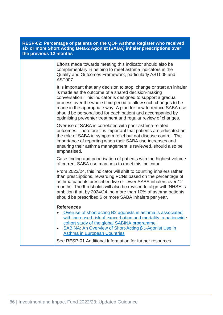#### **RESP-02: Percentage of patients on the QOF Asthma Register who received six or more Short Acting Beta-2 Agonist (SABA) inhaler prescriptions over the previous 12 months**

Efforts made towards meeting this indicator should also be complementary in helping to meet asthma indicators in the Quality and Outcomes Framework, particularly AST005 and AST007.

It is important that any decision to stop, change or start an inhaler is made as the outcome of a shared decision-making conversation. This indicator is designed to support a gradual process over the whole time period to allow such changes to be made in the appropriate way. A plan for how to reduce SABA use should be personalised for each patient and accompanied by optimising preventer treatment and regular review of changes.

Overuse of SABA is correlated with poor asthma-related outcomes. Therefore it is important that patients are educated on the role of SABA in symptom relief but not disease control. The importance of reporting when their SABA use increases and ensuring their asthma management is reviewed, should also be emphasised.

Case finding and prioritisation of patients with the highest volume of current SABA use may help to meet this indicator.

From 2023/24, this indicator will shift to counting inhalers rather than prescriptions, rewarding PCNs based on the percentage of asthma patients prescribed five or fewer SABA inhalers over 12 months. The thresholds will also be revised to align with NHSEI's ambition that, by 2024/24, no more than 10% of asthma patients should be prescribed 6 or more SABA inhalers per year.

#### **References**

- Overuse of short acting B2 agonists in asthma is associated with increased risk of exacerbation and mortality: a nationwide cohort study of the global SABINA programme.
- [SABINA: An Overview of Short-Acting β](https://pubmed.ncbi.nlm.nih.gov/31981105/) 2-Agonist Use in [Asthma in European Countries](https://pubmed.ncbi.nlm.nih.gov/31981105/)

See RESP-01 Additional Information for further resources.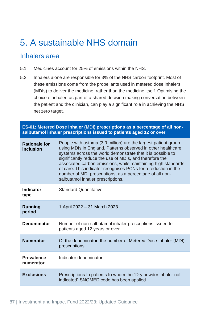# 5. A sustainable NHS domain

### Inhalers area

- 5.1 Medicines account for 25% of emissions within the NHS.
- 5.2 Inhalers alone are responsible for 3% of the NHS carbon footprint. Most of these emissions come from the propellants used in metered dose inhalers (MDIs) to deliver the medicine, rather than the medicine itself. Optimising the choice of inhaler, as part of a shared decision making conversation between the patient and the clinician, can play a significant role in achieving the NHS net zero target.

**ES-01: Metered Dose Inhaler (MDI) prescriptions as a percentage of all nonsalbutamol inhaler prescriptions issued to patients aged 12 or over** 

| <b>Rationale for</b><br>inclusion | People with asthma (3.9 million) are the largest patient group<br>using MDIs in England. Patterns observed in other healthcare<br>systems across the world demonstrate that it is possible to<br>significantly reduce the use of MDIs, and therefore the<br>associated carbon emissions, while maintaining high standards<br>of care. This indicator recognises PCNs for a reduction in the<br>number of MDI prescriptions, as a percentage of all non-<br>salbutamol inhaler prescriptions. |
|-----------------------------------|----------------------------------------------------------------------------------------------------------------------------------------------------------------------------------------------------------------------------------------------------------------------------------------------------------------------------------------------------------------------------------------------------------------------------------------------------------------------------------------------|
| <b>Indicator</b><br>type          | <b>Standard Quantitative</b>                                                                                                                                                                                                                                                                                                                                                                                                                                                                 |
| Running<br>period                 | 1 April 2022 - 31 March 2023                                                                                                                                                                                                                                                                                                                                                                                                                                                                 |
| <b>Denominator</b>                | Number of non-salbutamol inhaler prescriptions issued to<br>patients aged 12 years or over                                                                                                                                                                                                                                                                                                                                                                                                   |
| <b>Numerator</b>                  | Of the denominator, the number of Metered Dose Inhaler (MDI)<br>prescriptions                                                                                                                                                                                                                                                                                                                                                                                                                |
| <b>Prevalence</b><br>numerator    | Indicator denominator                                                                                                                                                                                                                                                                                                                                                                                                                                                                        |
| <b>Exclusions</b>                 | Prescriptions to patients to whom the "Dry powder inhaler not<br>indicated" SNOMED code has been applied                                                                                                                                                                                                                                                                                                                                                                                     |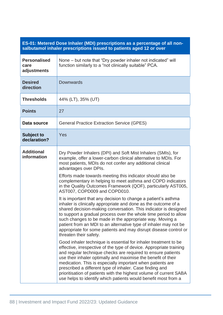#### **ES-01: Metered Dose Inhaler (MDI) prescriptions as a percentage of all nonsalbutamol inhaler prescriptions issued to patients aged 12 or over**

| <b>Personalised</b><br>care<br>adjustments | None – but note that "Dry powder inhaler not indicated" will<br>function similarly to a "not clinically suitable" PCA.                                                                                                                                                                                                                                                                                                                                                                                                                                                                                                                                                                                                                                                                                                                                                                                                                                                                                                                                                                                                                                                                                                                                                                                                                                                                                                                                                                                    |  |
|--------------------------------------------|-----------------------------------------------------------------------------------------------------------------------------------------------------------------------------------------------------------------------------------------------------------------------------------------------------------------------------------------------------------------------------------------------------------------------------------------------------------------------------------------------------------------------------------------------------------------------------------------------------------------------------------------------------------------------------------------------------------------------------------------------------------------------------------------------------------------------------------------------------------------------------------------------------------------------------------------------------------------------------------------------------------------------------------------------------------------------------------------------------------------------------------------------------------------------------------------------------------------------------------------------------------------------------------------------------------------------------------------------------------------------------------------------------------------------------------------------------------------------------------------------------------|--|
| <b>Desired</b><br>direction                | <b>Downwards</b>                                                                                                                                                                                                                                                                                                                                                                                                                                                                                                                                                                                                                                                                                                                                                                                                                                                                                                                                                                                                                                                                                                                                                                                                                                                                                                                                                                                                                                                                                          |  |
| <b>Thresholds</b>                          | 44% (LT), 35% (UT)                                                                                                                                                                                                                                                                                                                                                                                                                                                                                                                                                                                                                                                                                                                                                                                                                                                                                                                                                                                                                                                                                                                                                                                                                                                                                                                                                                                                                                                                                        |  |
| <b>Points</b>                              | 27                                                                                                                                                                                                                                                                                                                                                                                                                                                                                                                                                                                                                                                                                                                                                                                                                                                                                                                                                                                                                                                                                                                                                                                                                                                                                                                                                                                                                                                                                                        |  |
| Data source                                | <b>General Practice Extraction Service (GPES)</b>                                                                                                                                                                                                                                                                                                                                                                                                                                                                                                                                                                                                                                                                                                                                                                                                                                                                                                                                                                                                                                                                                                                                                                                                                                                                                                                                                                                                                                                         |  |
| <b>Subject to</b><br>declaration?          | Yes                                                                                                                                                                                                                                                                                                                                                                                                                                                                                                                                                                                                                                                                                                                                                                                                                                                                                                                                                                                                                                                                                                                                                                                                                                                                                                                                                                                                                                                                                                       |  |
| <b>Additional</b><br>information           | Dry Powder Inhalers (DPI) and Soft Mist Inhalers (SMIs), for<br>example, offer a lower-carbon clinical alternative to MDIs. For<br>most patients, MDIs do not confer any additional clinical<br>advantages over DPIs.<br>Efforts made towards meeting this indicator should also be<br>complementary in helping to meet asthma and COPD indicators<br>in the Quality Outcomes Framework (QOF), particularly AST005,<br>AST007, COPD009 and COPD010.<br>It is important that any decision to change a patient's asthma<br>inhaler is clinically appropriate and done as the outcome of a<br>shared decision-making conversation. This indicator is designed<br>to support a gradual process over the whole time period to allow<br>such changes to be made in the appropriate way. Moving a<br>patient from an MDI to an alternative type of inhaler may not be<br>appropriate for some patients and may disrupt disease control or<br>threaten their safety.<br>Good inhaler technique is essential for inhaler treatment to be<br>effective, irrespective of the type of device. Appropriate training<br>and regular technique checks are required to ensure patients<br>use their inhaler optimally and maximise the benefit of their<br>medication. This is especially important when patients are<br>prescribed a different type of inhaler. Case finding and<br>prioritisation of patients with the highest volume of current SABA<br>use helps to identify which patients would benefit most from a |  |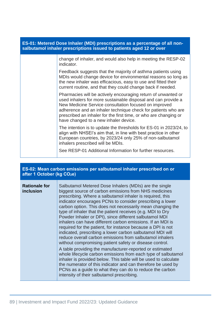| ES-01: Metered Dose Inhaler (MDI) prescriptions as a percentage of all non-<br>salbutamol inhaler prescriptions issued to patients aged 12 or over |                                                                                                                                                                                                                                                                                                                                                                       |  |
|----------------------------------------------------------------------------------------------------------------------------------------------------|-----------------------------------------------------------------------------------------------------------------------------------------------------------------------------------------------------------------------------------------------------------------------------------------------------------------------------------------------------------------------|--|
|                                                                                                                                                    | change of inhaler, and would also help in meeting the RESP-02<br>indicator.                                                                                                                                                                                                                                                                                           |  |
|                                                                                                                                                    | Feedback suggests that the majority of asthma patients using<br>MDIs would change device for environmental reasons so long as<br>the new inhaler was efficacious, easy to use and fitted their<br>current routine, and that they could change back if needed.                                                                                                         |  |
|                                                                                                                                                    | Pharmacies will be actively encouraging return of unwanted or<br>used inhalers for more sustainable disposal and can provide a<br>New Medicine Service consultation focused on improved<br>adherence and an inhaler technique check for patients who are<br>prescribed an inhaler for the first time, or who are changing or<br>have changed to a new inhaler device. |  |
|                                                                                                                                                    | The intention is to update the thresholds for ES-01 in 2023/24, to<br>align with NHSEI's aim that, in line with best practice in other<br>European countries, by 2023/24 only 25% of non-salbutamol<br>inhalers prescribed will be MDIs.                                                                                                                              |  |
|                                                                                                                                                    | See RESP-01 Additional Information for further resources.                                                                                                                                                                                                                                                                                                             |  |

#### **ES-02: Mean carbon emissions per salbutamol inhaler prescribed on or after 1 October (kg CO2e)**

| <b>Rationale for</b><br>inclusion | Salbutamol Metered Dose Inhalers (MDIs) are the single<br>biggest source of carbon emissions from NHS medicines<br>prescribing. Where a salbutamol inhaler is required, this<br>indicator encourages PCNs to consider prescribing a lower<br>carbon option. This does not necessarily mean changing the<br>type of inhaler that the patient receives (e.g. MDI to Dry<br>Powder Inhaler or DPI), since different salbutamol MDI<br>inhalers can have different carbon emissions. If an MDI is<br>required for the patient, for instance because a DPI is not<br>indicated, prescribing a lower carbon salbutamol MDI will<br>reduce overall carbon emissions from salbutamol inhalers<br>without compromising patient safety or disease control. |
|-----------------------------------|--------------------------------------------------------------------------------------------------------------------------------------------------------------------------------------------------------------------------------------------------------------------------------------------------------------------------------------------------------------------------------------------------------------------------------------------------------------------------------------------------------------------------------------------------------------------------------------------------------------------------------------------------------------------------------------------------------------------------------------------------|
|                                   | A table providing the manufacturer-reported or estimated<br>whole lifecycle carbon emissions from each type of salbutamol<br>inhaler is provided below. This table will be used to calculate<br>the numerator of this indicator and can therefore be used by<br>PCNs as a guide to what they can do to reduce the carbon<br>intensity of their salbutamol prescribing.                                                                                                                                                                                                                                                                                                                                                                           |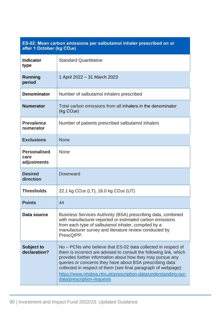### **ES-02: Mean carbon emissions per salbutamol inhaler prescribed on or after 1 October (kg CO2e)**

| <b>Indicator</b><br>type                   | <b>Standard Quantitative</b>                                                                                                                                                                                                                                                                                                                                                                                                    |  |
|--------------------------------------------|---------------------------------------------------------------------------------------------------------------------------------------------------------------------------------------------------------------------------------------------------------------------------------------------------------------------------------------------------------------------------------------------------------------------------------|--|
| <b>Running</b><br>period                   | 1 April 2022 - 31 March 2023                                                                                                                                                                                                                                                                                                                                                                                                    |  |
| <b>Denominator</b>                         | Number of salbutamol inhalers prescribed                                                                                                                                                                                                                                                                                                                                                                                        |  |
| <b>Numerator</b>                           | Total carbon emissions from all inhalers in the denominator<br>(kg CO <sub>2</sub> e)                                                                                                                                                                                                                                                                                                                                           |  |
| <b>Prevalence</b><br>numerator             | Number of patients prescribed salbutamol inhalers                                                                                                                                                                                                                                                                                                                                                                               |  |
| <b>Exclusions</b>                          | <b>None</b>                                                                                                                                                                                                                                                                                                                                                                                                                     |  |
| <b>Personalised</b><br>care<br>adjustments | None                                                                                                                                                                                                                                                                                                                                                                                                                            |  |
| <b>Desired</b><br>direction                | Downward                                                                                                                                                                                                                                                                                                                                                                                                                        |  |
| <b>Thresholds</b>                          | 22.1 kg $CO2e$ (LT), 18.0 kg $CO2e$ (UT)                                                                                                                                                                                                                                                                                                                                                                                        |  |
| <b>Points</b>                              | 44                                                                                                                                                                                                                                                                                                                                                                                                                              |  |
| Data source                                | Business Services Authority (BSA) prescribing data, combined<br>with manufacturer-reported or estimated carbon emissions<br>from each type of salbutamol inhaler, compiled by a<br>manufacturer survey and literature review conducted by<br>PrescQIPP.                                                                                                                                                                         |  |
| <b>Subject to</b><br>declaration?          | No – PCNs who believe that ES-02 data collected in respect of<br>them is incorrect are advised to consult the following link, which<br>provides further information about how they may pursue any<br>queries or concerns they have about BSA prescribing data<br>collected in respect of them (see final paragraph of webpage):<br>https://www.nhsbsa.nhs.uk/prescription-data/understanding-our-<br>data/prescription-requests |  |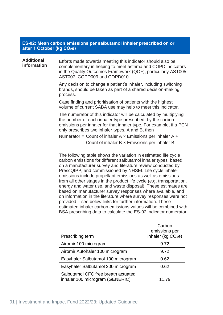| after 1 October (kg CO <sub>2</sub> e) | ES-02: Mean carbon emissions per salbutamol inhaler prescribed on or                                                                                                                                                                                                                                                                                                                                                                                                                                                                                                                                                                                                                                                                                                                                          |                                                           |  |  |
|----------------------------------------|---------------------------------------------------------------------------------------------------------------------------------------------------------------------------------------------------------------------------------------------------------------------------------------------------------------------------------------------------------------------------------------------------------------------------------------------------------------------------------------------------------------------------------------------------------------------------------------------------------------------------------------------------------------------------------------------------------------------------------------------------------------------------------------------------------------|-----------------------------------------------------------|--|--|
| <b>Additional</b><br>information       | Efforts made towards meeting this indicator should also be<br>complementary in helping to meet asthma and COPD indicators<br>in the Quality Outcomes Framework (QOF), particularly AST005,<br>AST007, COPD009 and COPD010.                                                                                                                                                                                                                                                                                                                                                                                                                                                                                                                                                                                    |                                                           |  |  |
|                                        | Any decision to change a patient's inhaler, including switching<br>brands, should be taken as part of a shared decision-making<br>process.<br>Case finding and prioritisation of patients with the highest<br>volume of current SABA use may help to meet this indicator.                                                                                                                                                                                                                                                                                                                                                                                                                                                                                                                                     |                                                           |  |  |
|                                        |                                                                                                                                                                                                                                                                                                                                                                                                                                                                                                                                                                                                                                                                                                                                                                                                               |                                                           |  |  |
|                                        | The numerator of this indicator will be calculated by multiplying<br>the number of each inhaler type prescribed, by the carbon<br>emissions per inhaler for that inhaler type. For example, if a PCN<br>only prescribes two inhaler types, A and B, then<br>Numerator = Count of inhaler $A \times$ Emissions per inhaler $A +$<br>Count of inhaler $B \times$ Emissions per inhaler B                                                                                                                                                                                                                                                                                                                                                                                                                        |                                                           |  |  |
|                                        | The following table shows the variation in estimated life cycle<br>carbon emissions for different salbutamol inhaler types, based<br>on a manufacturer survey and literature review conducted by<br>PrescQIPP, and commissioned by NHSEI. Life cycle inhaler<br>emissions include propellant emissions as well as emissions<br>from all other stages in the product life cycle (e.g. transportation,<br>energy and water use, and waste disposal). These estimates are<br>based on manufacturer survey responses where available, and<br>on information in the literature where survey responses were not<br>provided – see below links for further information. These<br>estimated inhaler carbon emissions values will be combined with<br>BSA prescribing data to calculate the ES-02 indicator numerator. |                                                           |  |  |
|                                        | Prescribing term                                                                                                                                                                                                                                                                                                                                                                                                                                                                                                                                                                                                                                                                                                                                                                                              | Carbon<br>emissions per<br>inhaler (kg CO <sub>2e</sub> ) |  |  |
|                                        | Airomir 100 microgram                                                                                                                                                                                                                                                                                                                                                                                                                                                                                                                                                                                                                                                                                                                                                                                         | 9.72                                                      |  |  |
|                                        | Airomir Autohaler 100 microgram                                                                                                                                                                                                                                                                                                                                                                                                                                                                                                                                                                                                                                                                                                                                                                               | 9.72                                                      |  |  |
|                                        | Easyhaler Salbutamol 100 microgram                                                                                                                                                                                                                                                                                                                                                                                                                                                                                                                                                                                                                                                                                                                                                                            | 0.62                                                      |  |  |
|                                        | Easyhaler Salbutamol 200 microgram                                                                                                                                                                                                                                                                                                                                                                                                                                                                                                                                                                                                                                                                                                                                                                            | 0.62                                                      |  |  |
|                                        | Salbutamol CFC free breath actuated<br>inhaler 100 microgram (GENERIC)                                                                                                                                                                                                                                                                                                                                                                                                                                                                                                                                                                                                                                                                                                                                        | 11.79                                                     |  |  |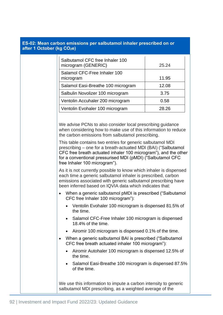| after 1 October (kg CO <sub>2e)</sub> | ES-02. Mean candon emissions per saibutanior initialer prescribed on or                                                                                                                                                                                                                                                                                           |       |  |
|---------------------------------------|-------------------------------------------------------------------------------------------------------------------------------------------------------------------------------------------------------------------------------------------------------------------------------------------------------------------------------------------------------------------|-------|--|
|                                       | Salbutamol CFC free Inhaler 100<br>microgram (GENERIC)                                                                                                                                                                                                                                                                                                            | 25.24 |  |
|                                       | Salamol CFC-Free Inhaler 100<br>microgram                                                                                                                                                                                                                                                                                                                         | 11.95 |  |
|                                       | Salamol Easi-Breathe 100 microgram                                                                                                                                                                                                                                                                                                                                | 12.08 |  |
|                                       | Salbulin Novolizer 100 microgram                                                                                                                                                                                                                                                                                                                                  | 3.75  |  |
|                                       | Ventolin Accuhaler 200 microgram                                                                                                                                                                                                                                                                                                                                  | 0.58  |  |
|                                       | Ventolin Evohaler 100 microgram                                                                                                                                                                                                                                                                                                                                   | 28.26 |  |
|                                       | We advise PCNs to also consider local prescribing guidance<br>when considering how to make use of this information to reduce<br>the carbon emissions from salbutamol prescribing.                                                                                                                                                                                 |       |  |
|                                       | This table contains two entries for generic salbutamol MDI<br>prescribing - one for a breath-actuated MDI (BAI) ("Salbutamol<br>CFC free breath actuated inhaler 100 microgram"), and the other<br>for a conventional pressurised MDI (pMDI) ("Salbutamol CFC<br>free Inhaler 100 microgram").                                                                    |       |  |
|                                       | As it is not currently possible to know which inhaler is dispensed<br>each time a generic salbutamol inhaler is prescribed, carbon<br>emissions associated with generic salbutamol prescribing have<br>been inferred based on IQVIA data which indicates that:<br>When a generic salbutamol pMDI is prescribed ("Salbutamol"<br>CFC free Inhaler 100 microgram"): |       |  |
|                                       |                                                                                                                                                                                                                                                                                                                                                                   |       |  |
|                                       | Ventolin Evohaler 100 microgram is dispensed 81.5% of<br>the time.                                                                                                                                                                                                                                                                                                |       |  |
|                                       | Salamol CFC-Free Inhaler 100 microgram is dispensed<br>18.4% of the time.<br>Airomir 100 microgram is dispensed 0.1% of the time.<br>$\bullet$                                                                                                                                                                                                                    |       |  |
|                                       |                                                                                                                                                                                                                                                                                                                                                                   |       |  |
|                                       | When a generic salbutamol BAI is prescribed ("Salbutamol"<br>$\bullet$<br>CFC free breath actuated inhaler 100 microgram"):                                                                                                                                                                                                                                       |       |  |
|                                       | Airomir Autohaler 100 microgram is dispensed 12.5% of<br>the time.                                                                                                                                                                                                                                                                                                |       |  |
|                                       | Salamol Easi-Breathe 100 microgram is dispensed 87.5%<br>$\bullet$<br>of the time.                                                                                                                                                                                                                                                                                |       |  |
|                                       | We use this information to impute a carbon intensity to generic<br>salbutamol MDI prescribing, as a weighted average of the                                                                                                                                                                                                                                       |       |  |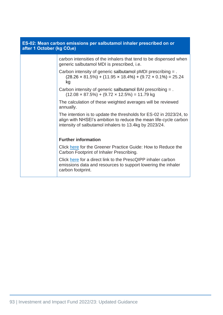| ES-02: Mean carbon emissions per salbutamol inhaler prescribed on or<br>after 1 October (kg CO <sub>2</sub> e) |                                                                                                                                                                                                  |
|----------------------------------------------------------------------------------------------------------------|--------------------------------------------------------------------------------------------------------------------------------------------------------------------------------------------------|
|                                                                                                                | carbon intensities of the inhalers that tend to be dispensed when<br>generic salbutamol MDI is prescribed, i.e.                                                                                  |
|                                                                                                                | Carbon intensity of generic salbutamol pMDI prescribing = .<br>$(28.26 \times 81.5\%) + (11.95 \times 18.4\%) + (9.72 \times 0.1\%) = 25.24$<br>kg                                               |
|                                                                                                                | Carbon intensity of generic salbutamol BAI prescribing = .<br>$(12.08 \times 87.5\%) + (9.72 \times 12.5\%) = 11.79$ kg                                                                          |
|                                                                                                                | The calculation of these weighted averages will be reviewed<br>annually.                                                                                                                         |
|                                                                                                                | The intention is to update the thresholds for ES-02 in 2023/24, to<br>align with NHSEI's ambition to reduce the mean life-cycle carbon<br>intensity of salbutamol inhalers to 13.4kg by 2023/24. |
|                                                                                                                | <b>Further information</b>                                                                                                                                                                       |
|                                                                                                                | Click here for the Greener Practice Guide: How to Reduce the<br>Carbon Footprint of Inhaler Prescribing.                                                                                         |
|                                                                                                                | Click here for a direct link to the PrescQIPP inhaler carbon<br>emissions data and resources to support lowering the inhaler<br>carbon footprint.                                                |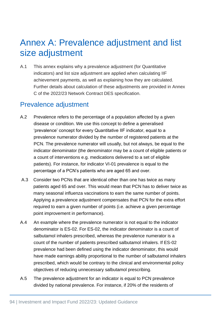# Annex A: Prevalence adjustment and list size adjustment

A.1 This annex explains why a prevalence adjustment (for Quantitative indicators) and list size adjustment are applied when calculating IIF achievement payments, as well as explaining how they are calculated. Further details about calculation of these adjustments are provided in Annex C of the 2022/23 Network Contract DES specification.

# Prevalence adjustment

- A.2 Prevalence refers to the percentage of a population affected by a given disease or condition. We use this concept to define a generalised 'prevalence' concept for every Quantitative IIF indicator, equal to a prevalence numerator divided by the number of registered patients at the PCN. The prevalence numerator will usually, but not always, be equal to the indicator denominator (the denominator may be a count of eligible patients or a count of interventions e.g. medications delivered to a set of eligible patients). For instance, for indicator VI-01 prevalence is equal to the percentage of a PCN's patients who are aged 65 and over.
- A.3 Consider two PCNs that are identical other than one has twice as many patients aged 65 and over. This would mean that PCN has to deliver twice as many seasonal influenza vaccinations to earn the same number of points. Applying a prevalence adjustment compensates that PCN for the extra effort required to earn a given number of points (i.e. achieve a given percentage point improvement in performance).
- A.4 An example where the prevalence numerator is not equal to the indicator denominator is ES-02. For ES-02, the indicator denominator is a count of salbutamol inhalers prescribed, whereas the prevalence numerator is a count of the number of patients prescribed salbutamol inhalers. If ES-02 prevalence had been defined using the indicator denominator, this would have made earnings ability proportional to the number of salbutamol inhalers prescribed, which would be contrary to the clinical and environmental policy objectives of reducing unnecessary salbutamol prescribing.
- A.5 The prevalence adjustment for an indicator is equal to PCN prevalence divided by national prevalence. For instance, if 20% of the residents of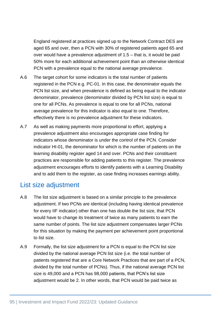England registered at practices signed up to the Network Contract DES are aged 65 and over, then a PCN with 30% of registered patients aged 65 and over would have a prevalence adjustment of 1.5 – that is, it would be paid 50% more for each additional achievement point than an otherwise identical PCN with a prevalence equal to the national average prevalence.

- A.6 The target cohort for some indicators is the total number of patients registered in the PCN e.g. PC-01. In this case, the denominator equals the PCN list size, and when prevalence is defined as being equal to the indicator denominator, prevalence (denominator divided by PCN list size) is equal to one for all PCNs. As prevalence is equal to one for all PCNs, national average prevalence for this indicator is also equal to one. Therefore, effectively there is no prevalence adjustment for these indicators.
- A.7 As well as making payments more proportional to effort, applying a prevalence adjustment also encourages appropriate case finding for indicators whose denominator is under the control of the PCN. Consider indicator HI-01, the denominator for which is the number of patients on the learning disability register aged 14 and over. PCNs and their constituent practices are responsible for adding patients to this register. The prevalence adjustment encourages efforts to identify patients with a Learning Disability and to add them to the register, as case finding increases earnings ability.

### List size adjustment

- A.8 The list size adjustment is based on a similar principle to the prevalence adjustment. If two PCNs are identical (including having identical prevalence for every IIF indicator) other than one has double the list size, that PCN would have to change its treatment of twice as many patients to earn the same number of points. The list size adjustment compensates larger PCNs for this situation by making the payment per achievement point proportional to list size.
- A.9 Formally, the list size adjustment for a PCN is equal to the PCN list size divided by the national average PCN list size (i.e. the total number of patients registered that are a Core Network Practices that are part of a PCN, divided by the total number of PCNs). Thus, if the national average PCN list size is 49,000 and a PCN has 98,000 patients, that PCN's list size adjustment would be 2. In other words, that PCN would be paid twice as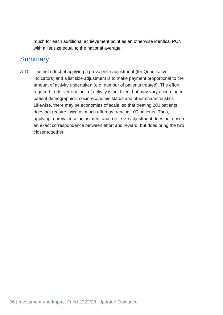much for each additional achievement point as an otherwise identical PCN with a list size equal to the national average.

# **Summary**

A.10 The net effect of applying a prevalence adjustment (for Quantitative indicators) and a list size adjustment is to make payment proportional to the amount of activity undertaken (e.g. number of patients treated). The effort required to deliver one unit of activity is not fixed, but may vary according to patient demographics, socio-economic status and other characteristics. Likewise, there may be economies of scale, so that treating 200 patients does not require twice as much effort as treating 100 patients. Thus, applying a prevalence adjustment and a list size adjustment does not ensure an exact correspondence between effort and reward, but does bring the two closer together.